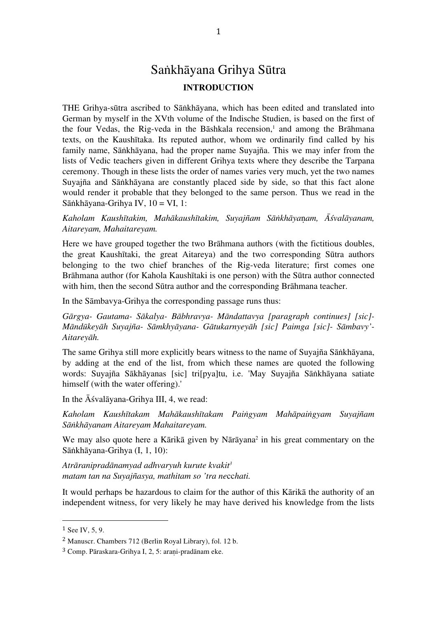# Saṅkhāyana Grihya Sūtra **INTRODUCTION**

THE Grihya-sūtra ascribed to Sāṅkhāyana, which has been edited and translated into German by myself in the XVth volume of the Indische Studien, is based on the first of the four Vedas, the Rig-veda in the Bāshkala recension, <sup>1</sup> and among the Brāhmana texts, on the Kaushītaka. Its reputed author, whom we ordinarily find called by his family name, Sāṅkhāyana, had the proper name Suyajña. This we may infer from the lists of Vedic teachers given in different Grihya texts where they describe the Tarpana ceremony. Though in these lists the order of names varies very much, yet the two names Suyajña and Sāṅkhāyana are constantly placed side by side, so that this fact alone would render it probable that they belonged to the same person. Thus we read in the Sāṅkhāyana-Grihya IV, 10 = VI, 1:

*Kaholam Kaushītakim, Mahākaushītakim, Suyajñam Sāṅkhāya*ṇ*am, Āśvalāyanam, Aitareyam, Mahaitareyam.*

Here we have grouped together the two Brāhmana authors (with the fictitious doubles, the great Kaushītaki, the great Aitareya) and the two corresponding Sūtra authors belonging to the two chief branches of the Rig-veda literature; first comes one Brāhmana author (for Kahola Kaushītaki is one person) with the Sūtra author connected with him, then the second Sūtra author and the corresponding Brāhmana teacher.

In the Sāmbavya-Grihya the corresponding passage runs thus:

*Gārgya- Gautama- Sākalya- Bābhravya- Māndattavya [paragraph continues] [sic]- Māndūkeyāh Suyajña- Sāmkhyāyana- Gātukarnyeyāh [sic] Paimga [sic]- Sāmbavy'- Aitareyāh.*

The same Grihya still more explicitly bears witness to the name of Suyajña Sāṅkhāyana, by adding at the end of the list, from which these names are quoted the following words: Suyajña Sākhāyanas [sic] tri[pya]tu, i.e. 'May Suyajña Sāṅkhāyana satiate himself (with the water offering).'

In the Āśvalāyana-Grihya III, 4, we read:

*Kaholam Kaushītakam Mahākaushītakam Paiṅgyam Mahāpaiṅgyam Suyajñam Sāṅkhāyanam Aitareyam Mahaitareyam.*

We may also quote here a Kārikā given by Nārāyana<sup>2</sup> in his great commentary on the Sāṅkhāyana-Grihya (I, 1, 10):

*Atrāranipradānamyad adhvaryuh kurute kvakit3 matam tan na Suyajñasya, mathitam so 'tra ne*cc*hati.*

It would perhaps be hazardous to claim for the author of this Kārikā the authority of an independent witness, for very likely he may have derived his knowledge from the lists

<sup>1</sup> See IV, 5, 9.

<sup>2</sup> Manuscr. Chambers 712 (Berlin Royal Library), fol. 12 b.

<sup>3</sup> Comp. Pāraskara-Grihya I, 2, 5: araṇi-pradānam eke.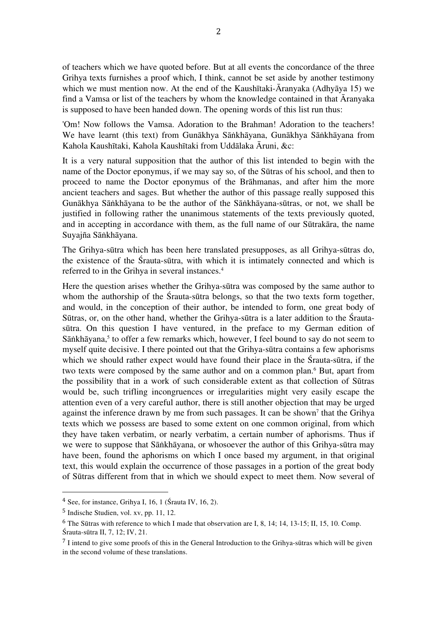of teachers which we have quoted before. But at all events the concordance of the three Grihya texts furnishes a proof which, I think, cannot be set aside by another testimony which we must mention now. At the end of the Kaushītaki-Āranyaka (Adhyāya 15) we find a Vamsa or list of the teachers by whom the knowledge contained in that Āranyaka is supposed to have been handed down. The opening words of this list run thus:

'Om! Now follows the Vamsa. Adoration to the Brahman! Adoration to the teachers! We have learnt (this text) from Gunākhya Sāṅkhāyana, Gunākhya Sāṅkhāyana from Kahola Kaushītaki, Kahola Kaushītaki from Uddālaka Āruni, &c:

It is a very natural supposition that the author of this list intended to begin with the name of the Doctor eponymus, if we may say so, of the Sūtras of his school, and then to proceed to name the Doctor eponymus of the Brāhmanas, and after him the more ancient teachers and sages. But whether the author of this passage really supposed this Gunākhya Sāṅkhāyana to be the author of the Sāṅkhāyana-sūtras, or not, we shall be justified in following rather the unanimous statements of the texts previously quoted, and in accepting in accordance with them, as the full name of our Sūtrakāra, the name Suyajña Sāṅkhāyana.

The Grihya-sūtra which has been here translated presupposes, as all Grihya-sūtras do, the existence of the Śrauta-sūtra, with which it is intimately connected and which is referred to in the Grihya in several instances. 4

Here the question arises whether the Grihya-sūtra was composed by the same author to whom the authorship of the Śrauta-sūtra belongs, so that the two texts form together, and would, in the conception of their author, be intended to form, one great body of Sūtras, or, on the other hand, whether the Grihya-sūtra is a later addition to the Śrautasūtra. On this question I have ventured, in the preface to my German edition of Sāṅkhāyana, <sup>5</sup> to offer a few remarks which, however, I feel bound to say do not seem to myself quite decisive. I there pointed out that the Grihya-sūtra contains a few aphorisms which we should rather expect would have found their place in the Śrauta-sūtra, if the two texts were composed by the same author and on a common plan. <sup>6</sup> But, apart from the possibility that in a work of such considerable extent as that collection of Sūtras would be, such trifling incongruences or irregularities might very easily escape the attention even of a very careful author, there is still another objection that may be urged against the inference drawn by me from such passages. It can be shown<sup>7</sup> that the Grihya texts which we possess are based to some extent on one common original, from which they have taken verbatim, or nearly verbatim, a certain number of aphorisms. Thus if we were to suppose that Sāṅkhāyana, or whosoever the author of this Grihya-sūtra may have been, found the aphorisms on which I once based my argument, in that original text, this would explain the occurrence of those passages in a portion of the great body of Sūtras different from that in which we should expect to meet them. Now several of

<sup>4</sup> See, for instance, Grihya I, 16, 1 (Śrauta IV, 16, 2).

<sup>5</sup> Indische Studien, vol. xv, pp. 11, 12.

<sup>6</sup> The Sūtras with reference to which I made that observation are I, 8, 14; 14, 13-15; II, 15, 10. Comp. Śrauta-sūtra II, 7, 12; IV, 21.

<sup>7</sup> I intend to give some proofs of this in the General Introduction to the Grihya-sūtras which will be given in the second volume of these translations.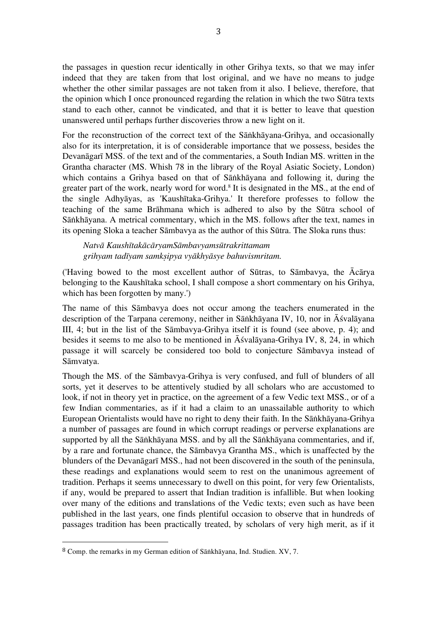the passages in question recur identically in other Grihya texts, so that we may infer indeed that they are taken from that lost original, and we have no means to judge whether the other similar passages are not taken from it also. I believe, therefore, that the opinion which I once pronounced regarding the relation in which the two Sūtra texts stand to each other, cannot be vindicated, and that it is better to leave that question unanswered until perhaps further discoveries throw a new light on it.

For the reconstruction of the correct text of the Sāṅkhāyana-Grihya, and occasionally also for its interpretation, it is of considerable importance that we possess, besides the Devanāgarī MSS. of the text and of the commentaries, a South Indian MS. written in the Grantha character (MS. Whish 78 in the library of the Royal Asiatic Society, London) which contains a Grihya based on that of Sāṅkhāyana and following it, during the greater part of the work, nearly word for word. <sup>8</sup> It is designated in the MS., at the end of the single Adhyāyas, as 'Kaushītaka-Grihya.' It therefore professes to follow the teaching of the same Brāhmana which is adhered to also by the Sūtra school of Sāṅkhāyana. A metrical commentary, which in the MS. follows after the text, names in its opening Sloka a teacher Sāmbavya as the author of this Sūtra. The Sloka runs thus:

*Natvā KaushītakācāryamSāmbavyamsūtrakrittamam grihyam tadīyam samkṣipya vyākhyāsye bahuvismritam.*

('Having bowed to the most excellent author of Sūtras, to Sāmbavya, the Ācārya belonging to the Kaushītaka school, I shall compose a short commentary on his Grihya, which has been forgotten by many.')

The name of this Sāmbavya does not occur among the teachers enumerated in the description of the Tarpana ceremony, neither in Sāṅkhāyana IV, 10, nor in Āśvalāyana III, 4; but in the list of the Sāmbavya-Grihya itself it is found (see above, p. 4); and besides it seems to me also to be mentioned in Āśvalāyana-Grihya IV, 8, 24, in which passage it will scarcely be considered too bold to conjecture Sāmbavya instead of Sāmvatya.

Though the MS. of the Sāmbavya-Grihya is very confused, and full of blunders of all sorts, yet it deserves to be attentively studied by all scholars who are accustomed to look, if not in theory yet in practice, on the agreement of a few Vedic text MSS., or of a few Indian commentaries, as if it had a claim to an unassailable authority to which European Orientalists would have no right to deny their faith. In the Sāṅkhāyana-Grihya a number of passages are found in which corrupt readings or perverse explanations are supported by all the Sāṅkhāyana MSS. and by all the Sāṅkhāyana commentaries, and if, by a rare and fortunate chance, the Sāmbavya Grantha MS., which is unaffected by the blunders of the Devanāgarī MSS., had not been discovered in the south of the peninsula, these readings and explanations would seem to rest on the unanimous agreement of tradition. Perhaps it seems unnecessary to dwell on this point, for very few Orientalists, if any, would be prepared to assert that Indian tradition is infallible. But when looking over many of the editions and translations of the Vedic texts; even such as have been published in the last years, one finds plentiful occasion to observe that in hundreds of passages tradition has been practically treated, by scholars of very high merit, as if it

<sup>8</sup> Comp. the remarks in my German edition of Sāṅkhāyana, Ind. Studien. XV, 7.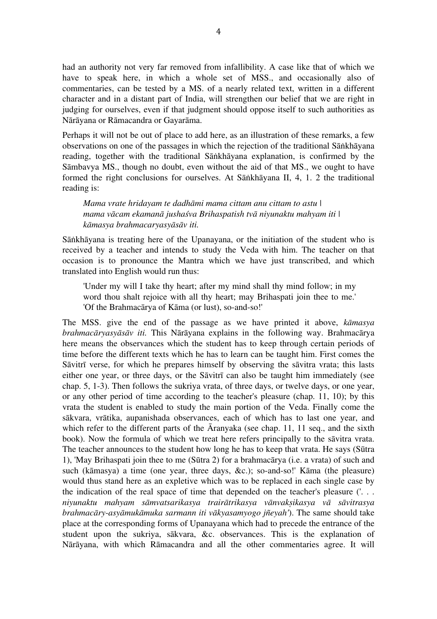had an authority not very far removed from infallibility. A case like that of which we have to speak here, in which a whole set of MSS., and occasionally also of commentaries, can be tested by a MS. of a nearly related text, written in a different character and in a distant part of India, will strengthen our belief that we are right in judging for ourselves, even if that judgment should oppose itself to such authorities as Nārāyana or Rāmacandra or Gayarāma.

Perhaps it will not be out of place to add here, as an illustration of these remarks, a few observations on one of the passages in which the rejection of the traditional Sāṅkhāyana reading, together with the traditional Sāṅkhāyana explanation, is confirmed by the Sāmbavya MS., though no doubt, even without the aid of that MS., we ought to have formed the right conclusions for ourselves. At Sāṅkhāyana II, 4, 1. 2 the traditional reading is:

*Mama vrate hridayam te dadhāmi mama cittam anu cittam to astu | mama vācam ekamanā jushaśva Brihaspatish tvā niyunaktu mahyam iti | kāmasya brahmacaryasyāsāv iti.*

Sāṅkhāyana is treating here of the Upanayana, or the initiation of the student who is received by a teacher and intends to study the Veda with him. The teacher on that occasion is to pronounce the Mantra which we have just transcribed, and which translated into English would run thus:

'Under my will I take thy heart; after my mind shall thy mind follow; in my word thou shalt rejoice with all thy heart; may Brihaspati join thee to me.' 'Of the Brahmacārya of Kāma (or lust), so-and-so!'

The MSS. give the end of the passage as we have printed it above, *kāmasya brahmacāryasyāsāv iti.* This Nārāyana explains in the following way. Brahmacārya here means the observances which the student has to keep through certain periods of time before the different texts which he has to learn can be taught him. First comes the Sāvitrī verse, for which he prepares himself by observing the sāvitra vrata; this lasts either one year, or three days, or the Sāvitrī can also be taught him immediately (see chap. 5, 1-3). Then follows the sukriya vrata, of three days, or twelve days, or one year, or any other period of time according to the teacher's pleasure (chap. 11, 10); by this vrata the student is enabled to study the main portion of the Veda. Finally come the sākvara, vrātika, aupanishada observances, each of which has to last one year, and which refer to the different parts of the  $\bar{A}$ ranyaka (see chap. 11, 11 seq., and the sixth book). Now the formula of which we treat here refers principally to the sāvitra vrata. The teacher announces to the student how long he has to keep that vrata. He says (Sūtra 1), 'May Brihaspati join thee to me (Sūtra 2) for a brahmacārya (i.e. a vrata) of such and such (kāmasya) a time (one year, three days, &c.); so-and-so!' Kāma (the pleasure) would thus stand here as an expletive which was to be replaced in each single case by the indication of the real space of time that depended on the teacher's pleasure ('. . . *niyunaktu mahyam sāmvatsarikasya trairātrikasya vānvakṣikasya vā sāvitrasya brahmacāry-asyāmukāmuka sarmann iti vākyasamyogo jñeyah'*). The same should take place at the corresponding forms of Upanayana which had to precede the entrance of the student upon the sukriya, sākvara, &c. observances. This is the explanation of Nārāyana, with which Rāmacandra and all the other commentaries agree. It will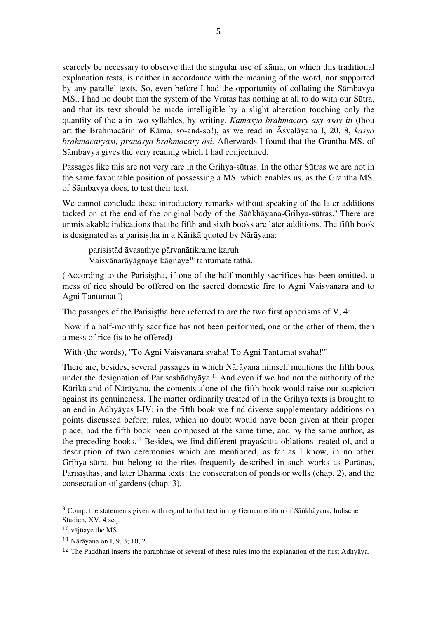scarcely be necessary to observe that the singular use of kāma, on which this traditional explanation rests, is neither in accordance with the meaning of the word, nor supported by any parallel texts. So, even before I had the opportunity of collating the Sāmbavya MS., I had no doubt that the system of the Vratas has nothing at all to do with our Sūtra, and that its text should be made intelligible by a slight alteration touching only the quantity of the a in two syllables, by writing, *Kāmasya brahma*c*āry asy asāv iti* (thou art the Brahmacārin of Kāma, so-and-so!), as we read in Āśvalāyana I, 20, 8, *kasya brahmacāryasi, prānasya brahma*c*āry asi.* Afterwards I found that the Grantha MS. of Sāmbavya gives the very reading which I had conjectured.

Passages like this are not very rare in the Grihya-sūtras. In the other Sūtras we are not in the same favourable position of possessing a MS. which enables us, as the Grantha MS. of Sāmbavya does, to test their text.

We cannot conclude these introductory remarks without speaking of the later additions tacked on at the end of the original body of the Sāṅkhāyana-Grihya-sūtras. <sup>9</sup> There are unmistakable indications that the fifth and sixth books are later additions. The fifth book is designated as a parisistha in a Kārikā quoted by Nārāyana:

parisiṣṭād āvasathye pārvanātikrame karuh Vaisvānarāyāgnaye kāgnaye<sup>10</sup> tantumate tathā.

('According to the Parisistha, if one of the half-monthly sacrifices has been omitted, a mess of rice should be offered on the sacred domestic fire to Agni Vaisvānara and to Agni Tantumat.')

The passages of the Parisistha here referred to are the two first aphorisms of V, 4:

'Now if a half-monthly sacrifice has not been performed, one or the other of them, then a mess of rice (is to be offered)—

'With (the words), "To Agni Vaisvānara svāhā! To Agni Tantumat svāhā!'"

There are, besides, several passages in which Nārāyana himself mentions the fifth book under the designation of Pariseshādhyāya. <sup>11</sup> And even if we had not the authority of the Kārikā and of Nārāyana, the contents alone of the fifth book would raise our suspicion against its genuineness. The matter ordinarily treated of in the Grihya texts is brought to an end in Adhyāyas I-IV; in the fifth book we find diverse supplementary additions on points discussed before; rules, which no doubt would have been given at their proper place, had the fifth book been composed at the same time, and by the same author, as the preceding books. <sup>12</sup> Besides, we find different prāyaścitta oblations treated of, and a description of two ceremonies which are mentioned, as far as I know, in no other Grihya-sūtra, but belong to the rites frequently described in such works as Purānas, Parisisthas, and later Dharma texts: the consecration of ponds or wells (chap. 2), and the consecration of gardens (chap. 3).

<sup>&</sup>lt;sup>9</sup> Comp. the statements given with regard to that text in my German edition of Sāṅkhāyana, Indische Studien, XV, 4 seq.

 $10$  vājñave the MS.

<sup>11</sup> Nārāyana on I, 9, 3; 10, 2.

<sup>&</sup>lt;sup>12</sup> The Paddhati inserts the paraphrase of several of these rules into the explanation of the first Adhyāya.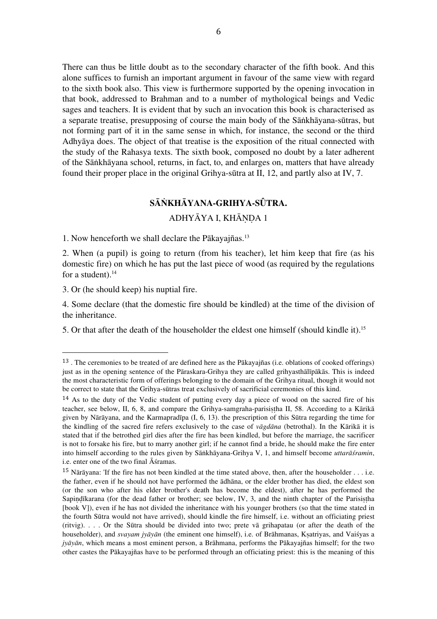There can thus be little doubt as to the secondary character of the fifth book. And this alone suffices to furnish an important argument in favour of the same view with regard to the sixth book also. This view is furthermore supported by the opening invocation in that book, addressed to Brahman and to a number of mythological beings and Vedic sages and teachers. It is evident that by such an invocation this book is characterised as a separate treatise, presupposing of course the main body of the Sāṅkhāyana-sūtras, but not forming part of it in the same sense in which, for instance, the second or the third Adhyāya does. The object of that treatise is the exposition of the ritual connected with the study of the Rahasya texts. The sixth book, composed no doubt by a later adherent of the Sāṅkhāyana school, returns, in fact, to, and enlarges on, matters that have already found their proper place in the original Grihya-sūtra at II, 12, and partly also at IV, 7.

# **SĀṄKHĀYANA-GRIHYA-SÛTRA.**

# ADHYĀYA I, KHĀNDA 1

1. Now henceforth we shall declare the Pākayajñas.13

2. When (a pupil) is going to return (from his teacher), let him keep that fire (as his domestic fire) on which he has put the last piece of wood (as required by the regulations for a student). $14$ 

3. Or (he should keep) his nuptial fire.

 

4. Some declare (that the domestic fire should be kindled) at the time of the division of the inheritance.

5. Or that after the death of the householder the eldest one himself (should kindle it).15

<sup>13</sup> . The ceremonies to be treated of are defined here as the Pākayajñas (i.e. oblations of cooked offerings) just as in the opening sentence of the Pāraskara-Grihya they are called grihyasthālīpākās. This is indeed the most characteristic form of offerings belonging to the domain of the Grihya ritual, though it would not be correct to state that the Grihya-sūtras treat exclusively of sacrificial ceremonies of this kind.

 $14$  As to the duty of the Vedic student of putting every day a piece of wood on the sacred fire of his teacher, see below, II, 6, 8, and compare the Grihya-samgraha-parisistha II, 58. According to a Kārikā given by Nārāyana, and the Karmapradīpa (I, 6, 13). the prescription of this Sūtra regarding the time for the kindling of the sacred fire refers exclusively to the case of *vāgdāna* (betrothal). In the Kārikā it is stated that if the betrothed girl dies after the fire has been kindled, but before the marriage, the sacrificer is not to forsake his fire, but to marry another girl; if he cannot find a bride, he should make the fire enter into himself according to the rules given by Sāṅkhāyana-Grihya V, 1, and himself become *uttarāśramin*, i.e. enter one of the two final Āśramas.

<sup>15</sup> Nārāyana: 'If the fire has not been kindled at the time stated above, then, after the householder . . . i.e. the father, even if he should not have performed the ādhāna, or the elder brother has died, the eldest son (or the son who after his elder brother's death has become the eldest), after he has performed the Sapindīkarana (for the dead father or brother; see below, IV, 3, and the ninth chapter of the Parisistha [book V]), even if he has not divided the inheritance with his younger brothers (so that the time stated in the fourth Sūtra would not have arrived), should kindle the fire himself, i.e. without an officiating priest (ritvig). . . . Or the Sūtra should be divided into two; prete vā grihapatau (or after the death of the householder), and *svayam jyāyān* (the eminent one himself), i.e. of Brāhmanas, Kṣatriyas, and Vaiśyas a *jyāyān*, which means a most eminent person, a Brāhmana, performs the Pākayajñas himself; for the two other castes the Pākayajñas have to be performed through an officiating priest: this is the meaning of this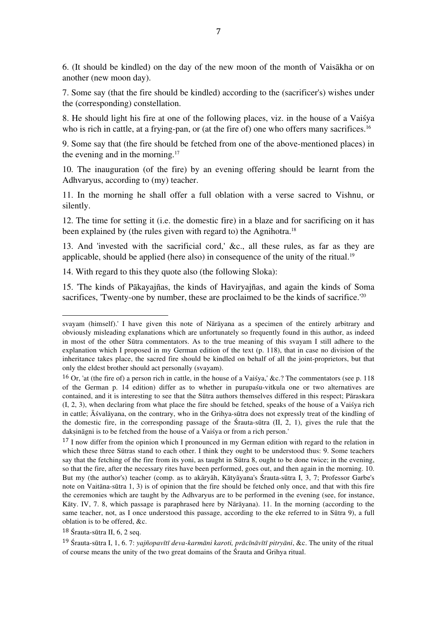6. (It should be kindled) on the day of the new moon of the month of Vaisākha or on another (new moon day).

7. Some say (that the fire should be kindled) according to the (sacrificer's) wishes under the (corresponding) constellation.

8. He should light his fire at one of the following places, viz. in the house of a Vaiśya who is rich in cattle, at a frying-pan, or (at the fire of) one who offers many sacrifices.<sup>16</sup>

9. Some say that (the fire should be fetched from one of the above-mentioned places) in the evening and in the morning.<sup>17</sup>

10. The inauguration (of the fire) by an evening offering should be learnt from the Adhvaryus, according to (my) teacher.

11. In the morning he shall offer a full oblation with a verse sacred to Vishnu, or silently.

12. The time for setting it (i.e. the domestic fire) in a blaze and for sacrificing on it has been explained by (the rules given with regard to) the Agnihotra.<sup>18</sup>

13. And 'invested with the sacrificial cord,' &c., all these rules, as far as they are applicable, should be applied (here also) in consequence of the unity of the ritual.<sup>19</sup>

14. With regard to this they quote also (the following Sloka):

15. 'The kinds of Pākayajñas, the kinds of Haviryajñas, and again the kinds of Soma sacrifices, 'Twenty-one by number, these are proclaimed to be the kinds of sacrifice.<sup>'20</sup>

<sup>18</sup> Śrauta-sūtra II, 6, 2 seq.

svayam (himself).' I have given this note of Nārāyana as a specimen of the entirely arbitrary and obviously misleading explanations which are unfortunately so frequently found in this author, as indeed in most of the other Sūtra commentators. As to the true meaning of this svayam I still adhere to the explanation which I proposed in my German edition of the text (p. 118), that in case no division of the inheritance takes place, the sacred fire should be kindled on behalf of all the joint-proprietors, but that only the eldest brother should act personally (svayam).

<sup>&</sup>lt;sup>16</sup> Or, 'at (the fire of) a person rich in cattle, in the house of a Vaisya,' &c.? The commentators (see p. 118 of the German p. 14 edition) differ as to whether in purupaśu-vitkula one or two alternatives are contained, and it is interesting to see that the Sūtra authors themselves differed in this respect; Pāraskara (I, 2, 3), when declaring from what place the fire should be fetched, speaks of the house of a Vaiśya rich in cattle; Āśvalāyana, on the contrary, who in the Grihya-sūtra does not expressly treat of the kindling of the domestic fire, in the corresponding passage of the Śrauta-sūtra (II, 2, 1), gives the rule that the daksināgni is to be fetched from the house of a Vaisya or from a rich person.'

<sup>&</sup>lt;sup>17</sup> I now differ from the opinion which I pronounced in my German edition with regard to the relation in which these three Sūtras stand to each other. I think they ought to be understood thus: 9. Some teachers say that the fetching of the fire from its yoni, as taught in Sūtra 8, ought to be done twice; in the evening, so that the fire, after the necessary rites have been performed, goes out, and then again in the morning. 10. But my (the author's) teacher (comp. as to akāryāh, Kātyāyana's Śrauta-sūtra I, 3, 7; Professor Garbe's note on Vaitāna-sūtra 1, 3) is of opinion that the fire should be fetched only once, and that with this fire the ceremonies which are taught by the Adhvaryus are to be performed in the evening (see, for instance, Kāty. IV, 7. 8, which passage is paraphrased here by Nārāyana). 11. In the morning (according to the same teacher, not, as I once understood this passage, according to the eke referred to in Sūtra 9), a full oblation is to be offered, &c.

<sup>&</sup>lt;sup>19</sup> Śrauta-sūtra I, 1, 6.7: yajñopavītī deva-karmāni karoti, prācīnāvītī pitryāni, &c. The unity of the ritual of course means the unity of the two great domains of the Śrauta and Grihya ritual.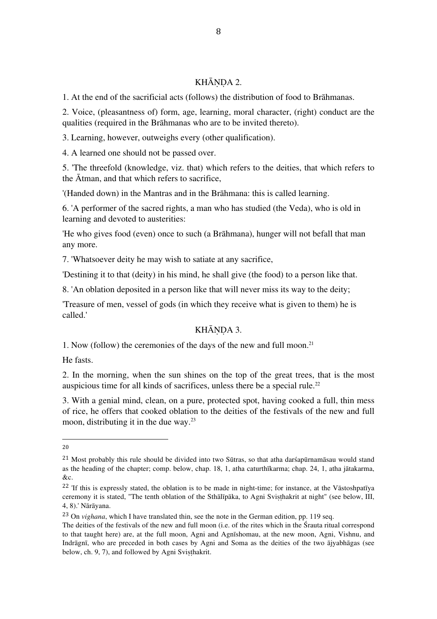# KHĀNDA 2.

1. At the end of the sacrificial acts (follows) the distribution of food to Brāhmanas.

2. Voice, (pleasantness of) form, age, learning, moral character, (right) conduct are the qualities (required in the Brāhmanas who are to be invited thereto).

3. Learning, however, outweighs every (other qualification).

4. A learned one should not be passed over.

5. 'The threefold (knowledge, viz. that) which refers to the deities, that which refers to the Ātman, and that which refers to sacrifice,

'(Handed down) in the Mantras and in the Brāhmana: this is called learning.

6. 'A performer of the sacred rights, a man who has studied (the Veda), who is old in learning and devoted to austerities:

'He who gives food (even) once to such (a Brāhmana), hunger will not befall that man any more.

7. 'Whatsoever deity he may wish to satiate at any sacrifice,

'Destining it to that (deity) in his mind, he shall give (the food) to a person like that.

8. 'An oblation deposited in a person like that will never miss its way to the deity;

'Treasure of men, vessel of gods (in which they receive what is given to them) he is called.'

# KHĀNDA 3.

1. Now (follow) the ceremonies of the days of the new and full moon.21

He fasts.

2. In the morning, when the sun shines on the top of the great trees, that is the most auspicious time for all kinds of sacrifices, unless there be a special rule. 22

3. With a genial mind, clean, on a pure, protected spot, having cooked a full, thin mess of rice, he offers that cooked oblation to the deities of the festivals of the new and full moon, distributing it in the due way. 23

<sup>20</sup>

<sup>21</sup> Most probably this rule should be divided into two Sūtras, so that atha darśapūrnamāsau would stand as the heading of the chapter; comp. below, chap. 18, 1, atha caturthīkarma; chap. 24, 1, atha jātakarma, &c.

<sup>&</sup>lt;sup>22</sup> 'If this is expressly stated, the oblation is to be made in night-time; for instance, at the Vāstoshpatīya ceremony it is stated, "The tenth oblation of the Sthālīpāka, to Agni Sviṣṭhakrit at night" (see below, III, 4, 8).' Nārāyana.

<sup>23</sup> On *vighana*, which I have translated thin, see the note in the German edition, pp. 119 seq.

The deities of the festivals of the new and full moon (i.e. of the rites which in the Śrauta ritual correspond to that taught here) are, at the full moon, Agni and Agnīshomau, at the new moon, Agni, Vishnu, and Indrāgnī, who are preceded in both cases by Agni and Soma as the deities of the two ājyabhāgas (see below, ch. 9, 7), and followed by Agni Svisthakrit.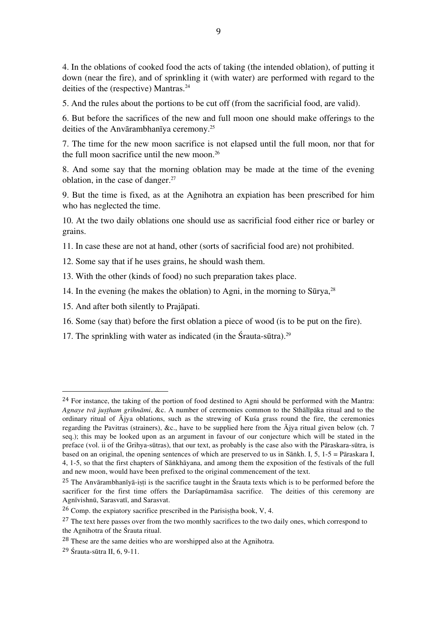4. In the oblations of cooked food the acts of taking (the intended oblation), of putting it down (near the fire), and of sprinkling it (with water) are performed with regard to the deities of the (respective) Mantras.<sup>24</sup>

5. And the rules about the portions to be cut off (from the sacrificial food, are valid).

6. But before the sacrifices of the new and full moon one should make offerings to the deities of the Anvārambhanīya ceremony.25

7. The time for the new moon sacrifice is not elapsed until the full moon, nor that for the full moon sacrifice until the new moon. 26

8. And some say that the morning oblation may be made at the time of the evening oblation, in the case of danger.27

9. But the time is fixed, as at the Agnihotra an expiation has been prescribed for him who has neglected the time.

10. At the two daily oblations one should use as sacrificial food either rice or barley or grains.

11. In case these are not at hand, other (sorts of sacrificial food are) not prohibited.

12. Some say that if he uses grains, he should wash them.

13. With the other (kinds of food) no such preparation takes place.

- 14. In the evening (he makes the oblation) to Agni, in the morning to  $\text{Sūrya}^{28}$
- 15. And after both silently to Prajāpati.

- 16. Some (say that) before the first oblation a piece of wood (is to be put on the fire).
- 17. The sprinkling with water as indicated (in the Śrauta-sūtra).<sup>29</sup>

<sup>&</sup>lt;sup>24</sup> For instance, the taking of the portion of food destined to Agni should be performed with the Mantra: *Agnaye tvā juṣṭham grihnāmi*, &c. A number of ceremonies common to the Sthālīpāka ritual and to the ordinary ritual of  $\overline{A}$ jya oblations, such as the strewing of Kuśa grass round the fire, the ceremonies regarding the Pavitras (strainers), &c., have to be supplied here from the  $\bar{A}$ jya ritual given below (ch. 7 seq.); this may be looked upon as an argument in favour of our conjecture which will be stated in the preface (vol. ii of the Grihya-sūtras), that our text, as probably is the case also with the Pāraskara-sūtra, is based on an original, the opening sentences of which are preserved to us in Sāṅkh. I, 5, 1-5 = Pāraskara I, 4, 1-5, so that the first chapters of Sāṅkhāyana, and among them the exposition of the festivals of the full and new moon, would have been prefixed to the original commencement of the text.

<sup>&</sup>lt;sup>25</sup> The Anvārambhanīyā-isti is the sacrifice taught in the Śrauta texts which is to be performed before the sacrificer for the first time offers the Darśapūrnamāsa sacrifice. The deities of this ceremony are Agnīvishnū, Sarasvatī, and Sarasvat.

 $26$  Comp. the expiatory sacrifice prescribed in the Parisistha book, V, 4.

<sup>&</sup>lt;sup>27</sup> The text here passes over from the two monthly sacrifices to the two daily ones, which correspond to the Agnihotra of the Śrauta ritual.

<sup>28</sup> These are the same deities who are worshipped also at the Agnihotra.

<sup>29</sup> Śrauta-sūtra II, 6, 9-11.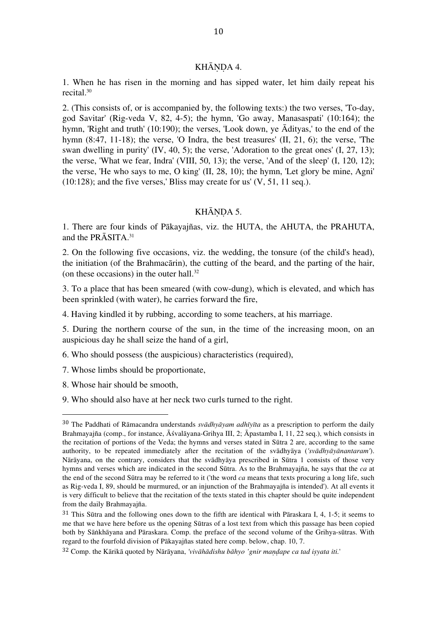## KHĀNDA 4.

1. When he has risen in the morning and has sipped water, let him daily repeat his recital.30

2. (This consists of, or is accompanied by, the following texts:) the two verses, 'To-day, god Savitar' (Rig-veda V, 82, 4-5); the hymn, 'Go away, Manasaspati' (10:164); the hymn, 'Right and truth' (10:190); the verses, 'Look down, ye Ādityas,' to the end of the hymn (8:47, 11-18); the verse, 'O Indra, the best treasures' (II, 21, 6); the verse, 'The swan dwelling in purity' (IV, 40, 5); the verse, 'Adoration to the great ones' (I, 27, 13); the verse, 'What we fear, Indra' (VIII, 50, 13); the verse, 'And of the sleep' (I, 120, 12); the verse, 'He who says to me, O king' (II, 28, 10); the hymn, 'Let glory be mine, Agni'  $(10:128)$ ; and the five verses,' Bliss may create for us'  $(V, 51, 11$  seq.).

#### KHĀNDA 5.

1. There are four kinds of Pākayajñas, viz. the HUTA, the AHUTA, the PRAHUTA, and the PRASITA.<sup>31</sup>

2. On the following five occasions, viz. the wedding, the tonsure (of the child's head), the initiation (of the Brahmacārin), the cutting of the beard, and the parting of the hair, (on these occasions) in the outer hall. 32

3. To a place that has been smeared (with cow-dung), which is elevated, and which has been sprinkled (with water), he carries forward the fire,

4. Having kindled it by rubbing, according to some teachers, at his marriage.

5. During the northern course of the sun, in the time of the increasing moon, on an auspicious day he shall seize the hand of a girl,

6. Who should possess (the auspicious) characteristics (required),

7. Whose limbs should be proportionate,

8. Whose hair should be smooth,

 

9. Who should also have at her neck two curls turned to the right.

<sup>30</sup> The Paddhati of Rāmacandra understands *svādhyāyam adhīyīta* as a prescription to perform the daily Brahmayajña (comp., for instance, Āśvalāyana-Grihya III, 2; Āpastamba I, 11, 22 seq.), which consists in the recitation of portions of the Veda; the hymns and verses stated in Sūtra 2 are, according to the same authority, to be repeated immediately after the recitation of the svādhyāya (*'svādhyāyānantaram'*). Nārāyana, on the contrary, considers that the svādhyāya prescribed in Sūtra 1 consists of those very hymns and verses which are indicated in the second Sūtra. As to the Brahmayajña, he says that the *ca* at the end of the second Sūtra may be referred to it ('the word *ca* means that texts procuring a long life, such as Rig-veda I, 89, should be murmured, or an injunction of the Brahmayajña is intended'). At all events it is very difficult to believe that the recitation of the texts stated in this chapter should be quite independent from the daily Brahmayajña.

<sup>31</sup> This Sūtra and the following ones down to the fifth are identical with Pāraskara I, 4, 1-5; it seems to me that we have here before us the opening Sūtras of a lost text from which this passage has been copied both by Sāṅkhāyana and Pāraskara. Comp. the preface of the second volume of the Grihya-sūtras. With regard to the fourfold division of Pākayajñas stated here comp. below, chap. 10, 7.

<sup>32</sup> Comp. the Kārikā quoted by Nārāyana, *'vivāhādishu bāhyo 'gnir maṇḍape ca tad iṣyata iti.*'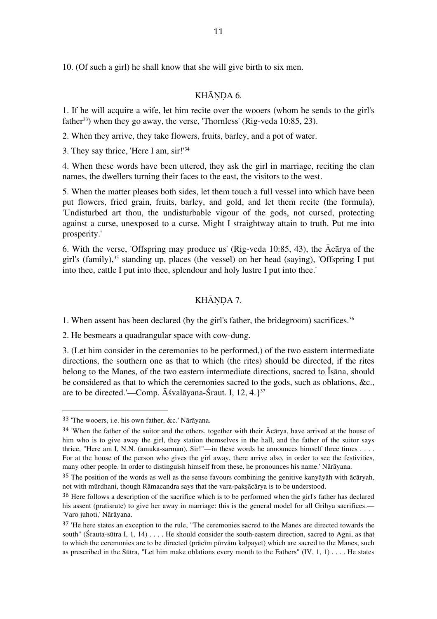10. (Of such a girl) he shall know that she will give birth to six men.

# KHĀNDA 6.

1. If he will acquire a wife, let him recite over the wooers (whom he sends to the girl's father<sup>33</sup>) when they go away, the verse, 'Thornless' (Rig-veda 10:85, 23).

2. When they arrive, they take flowers, fruits, barley, and a pot of water.

3. They say thrice, 'Here I am, sir!'34

4. When these words have been uttered, they ask the girl in marriage, reciting the clan names, the dwellers turning their faces to the east, the visitors to the west.

5. When the matter pleases both sides, let them touch a full vessel into which have been put flowers, fried grain, fruits, barley, and gold, and let them recite (the formula), 'Undisturbed art thou, the undisturbable vigour of the gods, not cursed, protecting against a curse, unexposed to a curse. Might I straightway attain to truth. Put me into prosperity.'

6. With the verse, 'Offspring may produce us' (Rig-veda 10:85, 43), the Ācārya of the girl's (family),<sup>35</sup> standing up, places (the vessel) on her head (saying), 'Offspring I put into thee, cattle I put into thee, splendour and holy lustre I put into thee.'

# KHĀNDA 7.

1. When assent has been declared (by the girl's father, the bridegroom) sacrifices. 36

2. He besmears a quadrangular space with cow-dung.

3. (Let him consider in the ceremonies to be performed,) of the two eastern intermediate directions, the southern one as that to which (the rites) should be directed, if the rites belong to the Manes, of the two eastern intermediate directions, sacred to Îsāna, should be considered as that to which the ceremonies sacred to the gods, such as oblations, &c., are to be directed.'—Comp. Āśvalāyana-Śraut. I, 12, 4.}37

<sup>33</sup> 'The wooers, i.e. his own father, &c.' Nārāyana.

 $34$  'When the father of the suitor and the others, together with their  $\bar{A}c\bar{a}r$  and he arrived at the house of him who is to give away the girl, they station themselves in the hall, and the father of the suitor says thrice, "Here am I, N.N. (amuka-sarman), Sir!"—in these words he announces himself three times . . . . For at the house of the person who gives the girl away, there arrive also, in order to see the festivities, many other people. In order to distinguish himself from these, he pronounces his name.' Nārāyana.

 $35$  The position of the words as well as the sense favours combining the genitive kanyāyāh with  $\bar{a}$ cāryah, not with mūrdhani, though Rāmacandra says that the vara-pakṣācārya is to be understood.

<sup>36</sup> Here follows a description of the sacrifice which is to be performed when the girl's father has declared his assent (pratisrute) to give her away in marriage: this is the general model for all Grihya sacrifices.— 'Varo juhoti,' Nārāyana.

<sup>37</sup> 'He here states an exception to the rule, "The ceremonies sacred to the Manes are directed towards the south" (Śrauta-sūtra I, 1, 14) . . . . He should consider the south-eastern direction, sacred to Agni, as that to which the ceremonies are to be directed (prācīm pūrvām kalpayet) which are sacred to the Manes, such as prescribed in the Sūtra, "Let him make oblations every month to the Fathers"  $(IV, 1, 1) \ldots$ . He states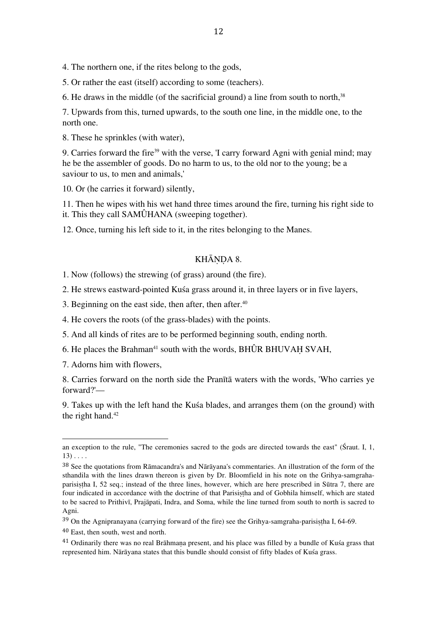4. The northern one, if the rites belong to the gods,

5. Or rather the east (itself) according to some (teachers).

6. He draws in the middle (of the sacrificial ground) a line from south to north,38

7. Upwards from this, turned upwards, to the south one line, in the middle one, to the north one.

8. These he sprinkles (with water),

9. Carries forward the fire<sup>39</sup> with the verse, 'I carry forward Agni with genial mind; may he be the assembler of goods. Do no harm to us, to the old nor to the young; be a saviour to us, to men and animals,'

10. Or (he carries it forward) silently,

11. Then he wipes with his wet hand three times around the fire, turning his right side to it. This they call SAMÛHANA (sweeping together).

12. Once, turning his left side to it, in the rites belonging to the Manes.

# KHĀNDA 8.

1. Now (follows) the strewing (of grass) around (the fire).

2. He strews eastward-pointed Kuśa grass around it, in three layers or in five layers,

3. Beginning on the east side, then after, then after. 40

4. He covers the roots (of the grass-blades) with the points.

5. And all kinds of rites are to be performed beginning south, ending north.

6. He places the Brahman<sup>41</sup> south with the words, BHÛR BHUVAH SVAH,

7. Adorns him with flowers,

 

8. Carries forward on the north side the Pranītā waters with the words, 'Who carries ye forward?'—

9. Takes up with the left hand the Kuśa blades, and arranges them (on the ground) with the right hand. 42

an exception to the rule, "The ceremonies sacred to the gods are directed towards the east" (Śraut. I, 1,  $13)$  . . . .

<sup>38</sup> See the quotations from Rāmacandra's and Nārāyana's commentaries. An illustration of the form of the sthandila with the lines drawn thereon is given by Dr. Bloomfield in his note on the Grihya-samgrahaparisistha I, 52 seq.; instead of the three lines, however, which are here prescribed in Sūtra 7, there are four indicated in accordance with the doctrine of that Parisistha and of Gobhila himself, which are stated to be sacred to Prithivī, Prajāpati, Indra, and Soma, while the line turned from south to north is sacred to Agni.

<sup>39</sup> On the Agnipranayana (carrying forward of the fire) see the Grihya-samgraha-parisiṣṭha I, 64-69.

<sup>40</sup> East, then south, west and north.

<sup>&</sup>lt;sup>41</sup> Ordinarily there was no real Brāhmana present, and his place was filled by a bundle of Kuśa grass that represented him. Nārāyana states that this bundle should consist of fifty blades of Kuśa grass.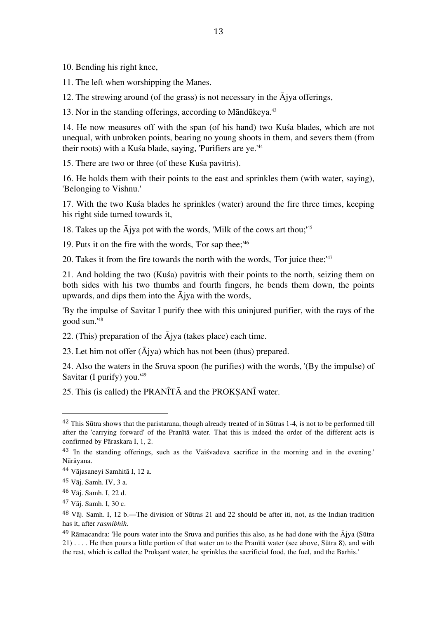10. Bending his right knee,

11. The left when worshipping the Manes.

12. The strewing around (of the grass) is not necessary in the  $\bar{A}$ jya offerings,

13. Nor in the standing offerings, according to Māndūkeya. 43

14. He now measures off with the span (of his hand) two Kuśa blades, which are not unequal, with unbroken points, bearing no young shoots in them, and severs them (from their roots) with a Kuśa blade, saying, 'Purifiers are ye.' 44

15. There are two or three (of these Kuśa pavitris).

16. He holds them with their points to the east and sprinkles them (with water, saying), 'Belonging to Vishnu.'

17. With the two Kuśa blades he sprinkles (water) around the fire three times, keeping his right side turned towards it,

18. Takes up the Ājya pot with the words, 'Milk of the cows art thou;' 45

19. Puts it on the fire with the words, 'For sap thee;' 46

20. Takes it from the fire towards the north with the words, 'For juice thee;' 47

21. And holding the two (Kuśa) pavitris with their points to the north, seizing them on both sides with his two thumbs and fourth fingers, he bends them down, the points upwards, and dips them into the  $\overline{A}$ jya with the words,

'By the impulse of Savitar I purify thee with this uninjured purifier, with the rays of the good sun.' 48

22. (This) preparation of the Ājya (takes place) each time.

23. Let him not offer  $(\bar{A}$ jya) which has not been (thus) prepared.

24. Also the waters in the Sruva spoon (he purifies) with the words, '(By the impulse) of Savitar (I purify) you.' 49

25. This (is called) the PRANÎT $\overline{A}$  and the PROKSANÎ water.

<sup>&</sup>lt;sup>42</sup> This Sūtra shows that the paristarana, though already treated of in Sūtras 1-4, is not to be performed till after the 'carrying forward' of the Pranītā water. That this is indeed the order of the different acts is confirmed by Pāraskara I, 1, 2.

<sup>43</sup> 'In the standing offerings, such as the Vaiśvadeva sacrifice in the morning and in the evening.' Nārāyana.

<sup>44</sup> Vājasaneyi Samhitā I, 12 a.

<sup>45</sup> Vāj. Samh. IV, 3 a.

<sup>46</sup> Vāj. Samh. I, 22 d.

<sup>47</sup> Vāj. Samh. I, 30 c.

<sup>48</sup> Vāj. Samh. I, 12 b.—The division of Sūtras 21 and 22 should be after iti, not, as the Indian tradition has it, after *rasmibhih*.

<sup>&</sup>lt;sup>49</sup> Rāmacandra: 'He pours water into the Sruva and purifies this also, as he had done with the  $\bar{A}$ jya (Sūtra 21) . . . . He then pours a little portion of that water on to the Pranītā water (see above, Sūtra 8), and with the rest, which is called the Proksanī water, he sprinkles the sacrificial food, the fuel, and the Barhis.'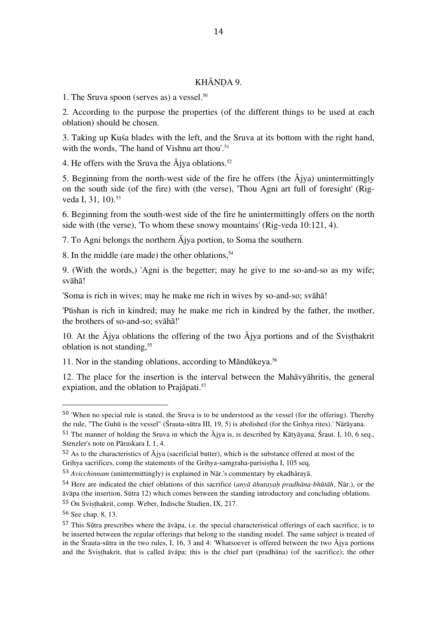## KHĀNDA 9.

1. The Sruva spoon (serves as) a vessel. 50

2. According to the purpose the properties (of the different things to be used at each oblation) should be chosen.

3. Taking up Kuśa blades with the left, and the Sruva at its bottom with the right hand, with the words, 'The hand of Vishnu art thou'.<sup>51</sup>

4. He offers with the Sruva the Ājya oblations. 52

5. Beginning from the north-west side of the fire he offers (the  $\bar{A}$ jya) unintermittingly on the south side (of the fire) with (the verse), 'Thou Agni art full of foresight' (Rigveda I, 31, 10). 53

6. Beginning from the south-west side of the fire he unintermittingly offers on the north side with (the verse), 'To whom these snowy mountains' (Rig-veda 10:121, 4).

7. To Agni belongs the northern Ājya portion, to Soma the southern.

8. In the middle (are made) the other oblations, 54

9. (With the words,) 'Agni is the begetter; may he give to me so-and-so as my wife; svāhā!

'Soma is rich in wives; may he make me rich in wives by so-and-so; svāhā!

'Pūshan is rich in kindred; may he make me rich in kindred by the father, the mother, the brothers of so-and-so; svāhā!'

10. At the  $\overline{A}$  iva oblations the offering of the two  $\overline{A}$  iva portions and of the Svisthakrit oblation is not standing, 55

11. Nor in the standing oblations, according to Māndūkeya. 56

12. The place for the insertion is the interval between the Mahāvyāhritis, the general expiation, and the oblation to Prajāpati. 57

<sup>50</sup> 'When no special rule is stated, the Sruva is to be understood as the vessel (for the offering). Thereby the rule, "The Guhū is the vessel" (Śrauta-sūtra III, 19, 5) is abolished (for the Grihya rites).' Nārāyana.

<sup>&</sup>lt;sup>51</sup> The manner of holding the Sruva in which the  $\bar{A}$ jya is, is described by Kātyāyana, Śraut. I, 10, 6 seq., Stenzler's note on Pāraskara I, 1, 4.

 $52$  As to the characteristics of  $\overline{A}$ jya (sacrificial butter), which is the substance offered at most of the Grihya sacrifices, comp the statements of the Grihya-samgraha-parisistha I, 105 seq.

<sup>53</sup> *Avicchinnam* (unintermittingly) is explained in Nār.'s commentary by ekadhārayā.

<sup>54</sup> Here are indicated the chief oblations of this sacrifice (*anyā āhutayaḥ pradhāna-bhūtāh*, Nār.), or the āvāpa (the insertion, Sūtra 12) which comes between the standing introductory and concluding oblations. 55 On Svisthakrit, comp. Weber, Indische Studien, IX, 217.

<sup>56</sup> See chap. 8, 13.

<sup>57</sup> This Sūtra prescribes where the āvāpa, i.e. the special characteristical offerings of each sacrifice, is to be inserted between the regular offerings that belong to the standing model. The same subject is treated of in the Śrauta-sūtra in the two rules, I, 16, 3 and 4: 'Whatsoever is offered between the two  $\overline{A}$ jya portions and the Sviṣṭhakrit, that is called āvāpa; this is the chief part (pradhāna) (of the sacrifice); the other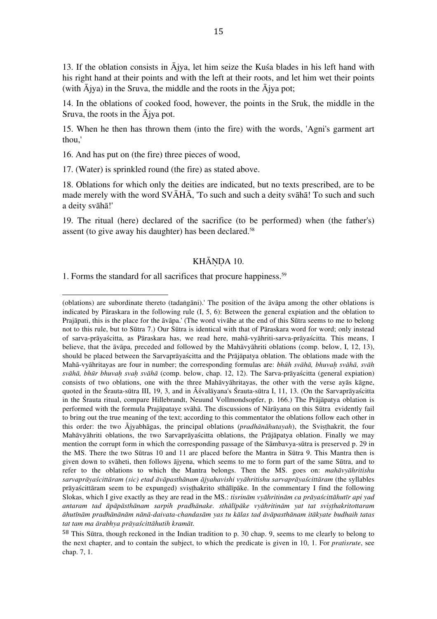13. If the oblation consists in  $\bar{A}$ jya, let him seize the Kusa blades in his left hand with his right hand at their points and with the left at their roots, and let him wet their points (with  $\bar{A}$ jya) in the Sruva, the middle and the roots in the  $\bar{A}$ jya pot;

14. In the oblations of cooked food, however, the points in the Sruk, the middle in the Sruva, the roots in the Ājya pot.

15. When he then has thrown them (into the fire) with the words, 'Agni's garment art thou,'

16. And has put on (the fire) three pieces of wood,

17. (Water) is sprinkled round (the fire) as stated above.

18. Oblations for which only the deities are indicated, but no texts prescribed, are to be made merely with the word SVĀHĀ, 'To such and such a deity svāhā! To such and such a deity svāhā!'

19. The ritual (here) declared of the sacrifice (to be performed) when (the father's) assent (to give away his daughter) has been declared. 58

# KHĀNDA 10.

1. Forms the standard for all sacrifices that procure happiness. 59

<sup>(</sup>oblations) are subordinate thereto (tadaṅgāni).' The position of the āvāpa among the other oblations is indicated by Pāraskara in the following rule (I, 5, 6): Between the general expiation and the oblation to Prajāpati, this is the place for the āvāpa.' (The word vivāhe at the end of this Sūtra seems to me to belong not to this rule, but to Sūtra 7.) Our Sūtra is identical with that of Pāraskara word for word; only instead of sarva-prāyaścitta, as Pāraskara has, we read here, mahā-vyāhriti-sarva-prāyaścitta. This means, I believe, that the āvāpa, preceded and followed by the Mahāvyāhriti oblations (comp. below, I, 12, 13), should be placed between the Sarvaprāyaścitta and the Prājāpatya oblation. The oblations made with the Mahā-vyāhritayas are four in number; the corresponding formulas are: *bhūh svāhā, bhuvaḥ svāhā, svāh svāhā, bhūr bhuvaḥ svaḥ svāhā* (comp. below, chap. 12, 12). The Sarva-prāyaścitta (general expiation) consists of two oblations, one with the three Mahāvyāhritayas, the other with the verse ayās kāgne, quoted in the Śrauta-sūtra III, 19, 3, and in Āśvalāyana's Śrauta-sūtra I, 11, 13. (On the Sarvaprāyaścitta in the Śrauta ritual, compare Hillebrandt, Neuund Vollmondsopfer, p. 166.) The Prājāpatya oblation is performed with the formula Prajāpataye svāhā. The discussions of Nārāyana on this Sūtra evidently fail to bring out the true meaning of the text; according to this commentator the oblations follow each other in this order: the two Ājyabhāgas, the principal oblations (*pradhānāhutayah*), the Sviṣṭhakrit, the four Mahāvyāhriti oblations, the two Sarvaprāyaścitta oblations, the Prājāpatya oblation. Finally we may mention the corrupt form in which the corresponding passage of the Sāmbavya-sūtra is preserved p. 29 in the MS. There the two Sūtras 10 and 11 are placed before the Mantra in Sūtra 9. This Mantra then is given down to svāheti, then follows ājyena, which seems to me to form part of the same Sūtra, and to refer to the oblations to which the Mantra belongs. Then the MS. goes on: *mahāvyāhritishu*  sarvaprāvaścittāram (sic) etad āvāpasthānam ājvahavishi vyāhritishu sarvaprāvaścittāram (the syllables prāyaścittāram seem to be expunged) sviṣṭhakrito sthālīpāke. In the commentary I find the following Slokas, which I give exactly as they are read in the MS.: *tisrinām vyāhritinām ca prāyaścittāhutīr api yad*  antaram tad āpāpāsthānam sarpih pradhānake, sthālīpāke vyāhritinām yat tat svisthakritottaram āhutīnām pradhānānām nānā-daivata-chandasām yas tu kālas tad āvāpasthānam itākyate budhaih tatas *tat tam ma ārabhya prāyaścittāhutih kramāt.*

<sup>58</sup> This Sūtra, though reckoned in the Indian tradition to p. 30 chap. 9, seems to me clearly to belong to the next chapter, and to contain the subject, to which the predicate is given in 10, 1. For *pratisrute*, see chap. 7, 1.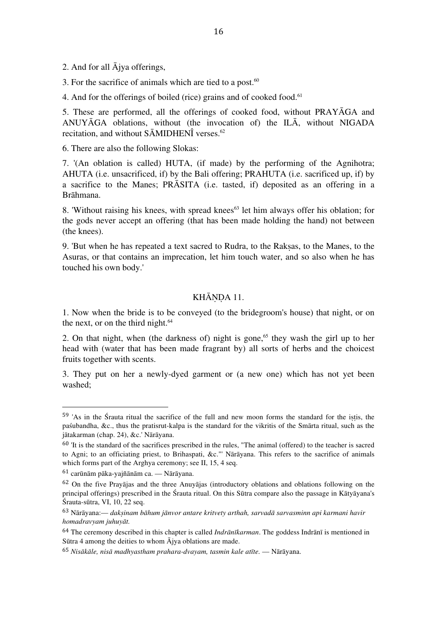2. And for all Ājya offerings,

3. For the sacrifice of animals which are tied to a post. $60$ 

4. And for the offerings of boiled (rice) grains and of cooked food. 61

5. These are performed, all the offerings of cooked food, without PRAYĀGA and ANUYĀGA oblations, without (the invocation of) the ILĀ, without NIGADA recitation, and without SĀMIDHENÎ verses. 62

6. There are also the following Slokas:

7. '(An oblation is called) HUTA, (if made) by the performing of the Agnihotra; AHUTA (i.e. unsacrificed, if) by the Bali offering; PRAHUTA (i.e. sacrificed up, if) by a sacrifice to the Manes; PRĀSITA (i.e. tasted, if) deposited as an offering in a Brāhmana.

8. 'Without raising his knees, with spread knees $63$  let him always offer his oblation; for the gods never accept an offering (that has been made holding the hand) not between (the knees).

9. 'But when he has repeated a text sacred to Rudra, to the Rakṣas, to the Manes, to the Asuras, or that contains an imprecation, let him touch water, and so also when he has touched his own body.'

# KHĀNDA 11.

1. Now when the bride is to be conveyed (to the bridegroom's house) that night, or on the next, or on the third night. 64

2. On that night, when (the darkness of) night is gone, 65 they wash the girl up to her head with (water that has been made fragrant by) all sorts of herbs and the choicest fruits together with scents.

3. They put on her a newly-dyed garment or (a new one) which has not yet been washed;

<sup>59</sup> 'As in the Śrauta ritual the sacrifice of the full and new moon forms the standard for the iṣṭis, the paśubandha, &c., thus the pratisrut-kalpa is the standard for the vikritis of the Smārta ritual, such as the jātakarman (chap. 24), &c.' Nārāyana.

 $60$  'It is the standard of the sacrifices prescribed in the rules, "The animal (offered) to the teacher is sacred to Agni; to an officiating priest, to Brihaspati, &c."' Nārāyana. This refers to the sacrifice of animals which forms part of the Arghya ceremony; see II, 15, 4 seq.

 $61$  carūnām pāka-vaiñānām ca. — Nārāvana.

<sup>62</sup> On the five Prayājas and the three Anuyājas (introductory oblations and oblations following on the principal offerings) prescribed in the Śrauta ritual. On this Sūtra compare also the passage in Kātyāyana's Śrauta-sūtra, VI, 10, 22 seq.

<sup>63</sup> Nārāyana:— *dakṣinam bāhum jānvor antare kritvety arthah, sarvadā sarvasminn api karmani havir homadravyam juhuyāt.*

<sup>64</sup> The ceremony described in this chapter is called *Indrānīkarman*. The goddess Indrānī is mentioned in Sūtra 4 among the deities to whom Ājya oblations are made.

<sup>65</sup> *Nisākāle, nisā madhyastham prahara-dvayam, tasmin kale atīte.* — Nārāyana.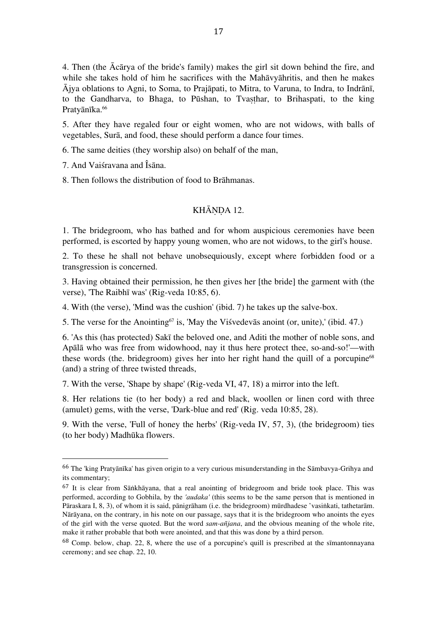4. Then (the Ācārya of the bride's family) makes the girl sit down behind the fire, and while she takes hold of him he sacrifices with the Mahāvyāhritis, and then he makes Ājya oblations to Agni, to Soma, to Prajāpati, to Mitra, to Varuna, to Indra, to Indrānī, to the Gandharva, to Bhaga, to Pūshan, to Tvasthar, to Brihaspati, to the king Pratyānīka. 66

5. After they have regaled four or eight women, who are not widows, with balls of vegetables, Surā, and food, these should perform a dance four times.

6. The same deities (they worship also) on behalf of the man,

7. And Vaiśravana and Îsāna.

 

8. Then follows the distribution of food to Brāhmanas.

# KHĀNDA 12.

1. The bridegroom, who has bathed and for whom auspicious ceremonies have been performed, is escorted by happy young women, who are not widows, to the girl's house.

2. To these he shall not behave unobsequiously, except where forbidden food or a transgression is concerned.

3. Having obtained their permission, he then gives her [the bride] the garment with (the verse), 'The Raibhī was' (Rig-veda 10:85, 6).

4. With (the verse), 'Mind was the cushion' (ibid. 7) he takes up the salve-box.

5. The verse for the Anointing<sup> $67$ </sup> is, 'May the Visvedevas anoint (or, unite),' (ibid. 47.)

6. 'As this (has protected) Sakī the beloved one, and Aditi the mother of noble sons, and Apālā who was free from widowhood, nay it thus here protect thee, so-and-so!'—with these words (the, bridegroom) gives her into her right hand the quill of a porcupine<sup>68</sup> (and) a string of three twisted threads,

7. With the verse, 'Shape by shape' (Rig-veda VI, 47, 18) a mirror into the left.

8. Her relations tie (to her body) a red and black, woollen or linen cord with three (amulet) gems, with the verse, 'Dark-blue and red' (Rig. veda 10:85, 28).

9. With the verse, 'Full of honey the herbs' (Rig-veda IV, 57, 3), (the bridegroom) ties (to her body) Madhūka flowers.

<sup>66</sup> The 'king Pratyānīka' has given origin to a very curious misunderstanding in the Sāmbavya-Grihya and its commentary;

<sup>67</sup> It is clear from Sāṅkhāyana, that a real anointing of bridegroom and bride took place. This was performed, according to Gobhila, by the *'audaka'* (this seems to be the same person that is mentioned in Pāraskara I, 8, 3), of whom it is said, pānigrāham (i.e. the bridegroom) mūrdhadese 'vasiṅkati, tathetarām. Nārāyana, on the contrary, in his note on our passage, says that it is the bridegroom who anoints the eyes of the girl with the verse quoted. But the word *sam-añjana*, and the obvious meaning of the whole rite, make it rather probable that both were anointed, and that this was done by a third person.

<sup>68</sup> Comp. below, chap. 22, 8, where the use of a porcupine's quill is prescribed at the sīmantonnayana ceremony; and see chap. 22, 10.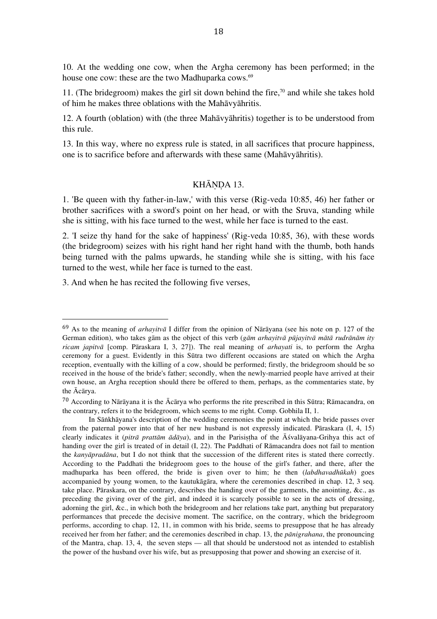10. At the wedding one cow, when the Argha ceremony has been performed; in the house one cow: these are the two Madhuparka cows. 69

11. (The bridegroom) makes the girl sit down behind the fire, 70 and while she takes hold of him he makes three oblations with the Mahāvyāhritis.

12. A fourth (oblation) with (the three Mahāvyāhritis) together is to be understood from this rule.

13. In this way, where no express rule is stated, in all sacrifices that procure happiness, one is to sacrifice before and afterwards with these same (Mahāvyāhritis).

# KHĀNDA 13.

1. 'Be queen with thy father-in-law,' with this verse (Rig-veda 10:85, 46) her father or brother sacrifices with a sword's point on her head, or with the Sruva, standing while she is sitting, with his face turned to the west, while her face is turned to the east.

2. 'I seize thy hand for the sake of happiness' (Rig-veda 10:85, 36), with these words (the bridegroom) seizes with his right hand her right hand with the thumb, both hands being turned with the palms upwards, he standing while she is sitting, with his face turned to the west, while her face is turned to the east.

3. And when he has recited the following five verses,

<sup>69</sup> As to the meaning of *arhayitvā* I differ from the opinion of Nārāyana (see his note on p. 127 of the German edition), who takes gām as the object of this verb (*gām arhayitvā pūjayitvā mātā rudrānām ity ricam japitvā* [comp. Pāraskara I, 3, 27]). The real meaning of *arhayati* is, to perform the Argha ceremony for a guest. Evidently in this Sūtra two different occasions are stated on which the Argha reception, eventually with the killing of a cow, should be performed; firstly, the bridegroom should be so received in the house of the bride's father; secondly, when the newly-married people have arrived at their own house, an Argha reception should there be offered to them, perhaps, as the commentaries state, by the Ācārya.

 $70$  According to Nārāyana it is the Ācārya who performs the rite prescribed in this Sūtra; Rāmacandra, on the contrary, refers it to the bridegroom, which seems to me right. Comp. Gobhila II, 1.

In Sāṅkhāyana's description of the wedding ceremonies the point at which the bride passes over from the paternal power into that of her new husband is not expressly indicated. Pāraskara (I, 4, 15) clearly indicates it (*pitrā prattām ādāya*), and in the Parisiṣṭha of the Āśvalāyana-Grihya this act of handing over the girl is treated of in detail (I, 22). The Paddhati of Rāmacandra does not fail to mention the *kanyāpradāna*, but I do not think that the succession of the different rites is stated there correctly. According to the Paddhati the bridegroom goes to the house of the girl's father, and there, after the madhuparka has been offered, the bride is given over to him; he then (*labdhavadhūkah*) goes accompanied by young women, to the kautukāgāra, where the ceremonies described in chap. 12, 3 seq. take place. Pāraskara, on the contrary, describes the handing over of the garments, the anointing, &c., as preceding the giving over of the girl, and indeed it is scarcely possible to see in the acts of dressing, adorning the girl, &c., in which both the bridegroom and her relations take part, anything but preparatory performances that precede the decisive moment. The sacrifice, on the contrary, which the bridegroom performs, according to chap. 12, 11, in common with his bride, seems to presuppose that he has already received her from her father; and the ceremonies described in chap. 13, the *pānigrahana*, the pronouncing of the Mantra, chap. 13, 4, the seven steps — all that should be understood not as intended to establish the power of the husband over his wife, but as presupposing that power and showing an exercise of it.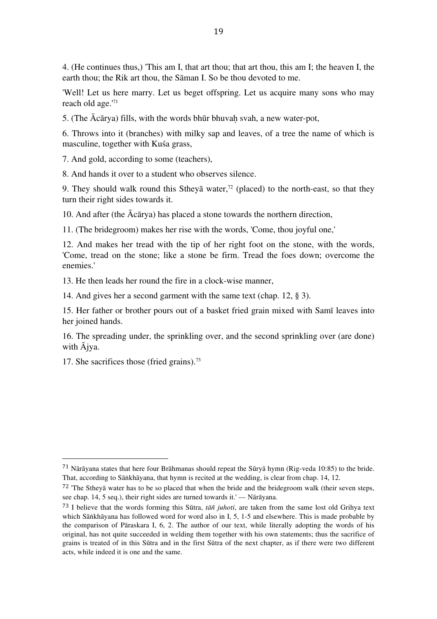4. (He continues thus,) 'This am I, that art thou; that art thou, this am I; the heaven I, the earth thou; the Rik art thou, the Sāman I. So be thou devoted to me.

'Well! Let us here marry. Let us beget offspring. Let us acquire many sons who may reach old age.' 71

5. (The  $\bar{A}c\bar{a}rya$ ) fills, with the words bhūr bhuvah svah, a new water-pot,

6. Throws into it (branches) with milky sap and leaves, of a tree the name of which is masculine, together with Kuśa grass,

7. And gold, according to some (teachers),

8. And hands it over to a student who observes silence.

9. They should walk round this Stheya water,<sup> $72$ </sup> (placed) to the north-east, so that they turn their right sides towards it.

10. And after (the Ācārya) has placed a stone towards the northern direction,

11. (The bridegroom) makes her rise with the words, 'Come, thou joyful one,'

12. And makes her tread with the tip of her right foot on the stone, with the words, 'Come, tread on the stone; like a stone be firm. Tread the foes down; overcome the enemies.'

13. He then leads her round the fire in a clock-wise manner,

14. And gives her a second garment with the same text (chap. 12, § 3).

15. Her father or brother pours out of a basket fried grain mixed with Samī leaves into her joined hands.

16. The spreading under, the sprinkling over, and the second sprinkling over (are done) with Ājya.

17. She sacrifices those (fried grains). 73

<sup>71</sup> Nārāyana states that here four Brāhmanas should repeat the Sūryā hymn (Rig-veda 10:85) to the bride. That, according to Sāṅkhāyana, that hymn is recited at the wedding, is clear from chap. 14, 12.

 $72$  'The Stheyā water has to be so placed that when the bride and the bridegroom walk (their seven steps, see chap. 14, 5 seq.), their right sides are turned towards it.' — Nārāyana.

<sup>73</sup> I believe that the words forming this Sūtra, *tāñ juhoti*, are taken from the same lost old Grihya text which Sāṅkhāyana has followed word for word also in I, 5, 1-5 and elsewhere. This is made probable by the comparison of Pāraskara I, 6, 2. The author of our text, while literally adopting the words of his original, has not quite succeeded in welding them together with his own statements; thus the sacrifice of grains is treated of in this Sūtra and in the first Sūtra of the next chapter, as if there were two different acts, while indeed it is one and the same.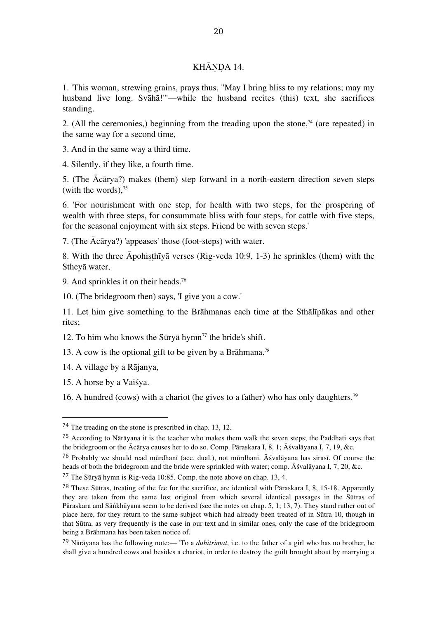# KHĀNDA 14.

1. 'This woman, strewing grains, prays thus, "May I bring bliss to my relations; may my husband live long. Svāhā!"'—while the husband recites (this) text, she sacrifices standing.

2. (All the ceremonies,) beginning from the treading upon the stone, $74$  (are repeated) in the same way for a second time,

3. And in the same way a third time.

4. Silently, if they like, a fourth time.

5. (The Ācārya?) makes (them) step forward in a north-eastern direction seven steps (with the words), 75

6. 'For nourishment with one step, for health with two steps, for the prospering of wealth with three steps, for consummate bliss with four steps, for cattle with five steps, for the seasonal enjoyment with six steps. Friend be with seven steps.'

7. (The Ācārya?) 'appeases' those (foot-steps) with water.

8. With the three Āpohiṣṭhīyā verses (Rig-veda 10:9, 1-3) he sprinkles (them) with the Stheyā water,

9. And sprinkles it on their heads. 76

10. (The bridegroom then) says, 'I give you a cow.'

11. Let him give something to the Brāhmanas each time at the Sthālīpākas and other rites;

12. To him who knows the Sūryā hymn<sup>77</sup> the bride's shift.

13. A cow is the optional gift to be given by a Brāhmana. 78

14. A village by a Rājanya,

 

15. A horse by a Vaiśya.

16. A hundred (cows) with a chariot (he gives to a father) who has only daughters. 79

<sup>74</sup> The treading on the stone is prescribed in chap. 13, 12.

<sup>75</sup> According to Nārāyana it is the teacher who makes them walk the seven steps; the Paddhati says that the bridegroom or the Ācārya causes her to do so. Comp. Pāraskara I, 8, 1; Āśvalāyana I, 7, 19, &c.

<sup>76</sup> Probably we should read mūrdhanī (acc. dual.), not mūrdhani. Āśvalāyana has sirasī. Of course the heads of both the bridegroom and the bride were sprinkled with water; comp. Āśvalāyana I, 7, 20, &c.

<sup>77</sup> The Sūryā hymn is Rig-veda 10:85. Comp. the note above on chap. 13, 4.

<sup>78</sup> These Sūtras, treating of the fee for the sacrifice, are identical with Pāraskara I, 8, 15-18. Apparently they are taken from the same lost original from which several identical passages in the Sūtras of Pāraskara and Sāṅkhāyana seem to be derived (see the notes on chap. 5, 1; 13, 7). They stand rather out of place here, for they return to the same subject which had already been treated of in Sūtra 10, though in that Sūtra, as very frequently is the case in our text and in similar ones, only the case of the bridegroom being a Brāhmana has been taken notice of.

<sup>79</sup> Nārāyana has the following note:— 'To a *duhitrimat*, i.e. to the father of a girl who has no brother, he shall give a hundred cows and besides a chariot, in order to destroy the guilt brought about by marrying a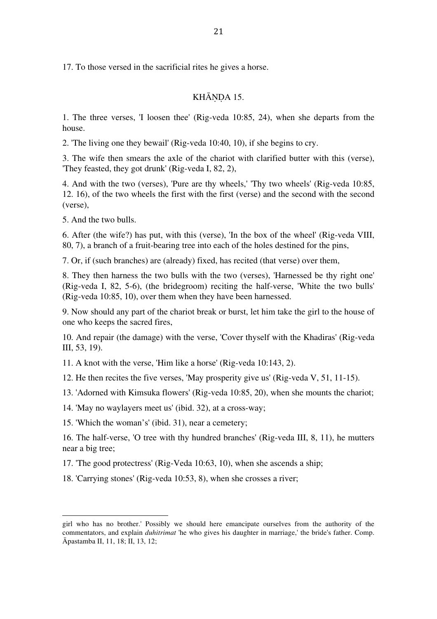17. To those versed in the sacrificial rites he gives a horse.

# KHĀNDA 15.

1. The three verses, 'I loosen thee' (Rig-veda 10:85, 24), when she departs from the house.

2. 'The living one they bewail' (Rig-veda 10:40, 10), if she begins to cry.

3. The wife then smears the axle of the chariot with clarified butter with this (verse), 'They feasted, they got drunk' (Rig-veda I, 82, 2),

4. And with the two (verses), 'Pure are thy wheels,' 'Thy two wheels' (Rig-veda 10:85, 12. 16), of the two wheels the first with the first (verse) and the second with the second (verse),

5. And the two bulls.

6. After (the wife?) has put, with this (verse), 'In the box of the wheel' (Rig-veda VIII, 80, 7), a branch of a fruit-bearing tree into each of the holes destined for the pins,

7. Or, if (such branches) are (already) fixed, has recited (that verse) over them,

8. They then harness the two bulls with the two (verses), 'Harnessed be thy right one' (Rig-veda I, 82, 5-6), (the bridegroom) reciting the half-verse, 'White the two bulls' (Rig-veda 10:85, 10), over them when they have been harnessed.

9. Now should any part of the chariot break or burst, let him take the girl to the house of one who keeps the sacred fires,

10. And repair (the damage) with the verse, 'Cover thyself with the Khadiras' (Rig-veda III, 53, 19).

11. A knot with the verse, 'Him like a horse' (Rig-veda 10:143, 2).

12. He then recites the five verses, 'May prosperity give us' (Rig-veda V, 51, 11-15).

13. 'Adorned with Kimsuka flowers' (Rig-veda 10:85, 20), when she mounts the chariot;

14. 'May no waylayers meet us' (ibid. 32), at a cross-way;

15. 'Which the woman's' (ibid. 31), near a cemetery;

 

16. The half-verse, 'O tree with thy hundred branches' (Rig-veda III, 8, 11), he mutters near a big tree;

17. 'The good protectress' (Rig-Veda 10:63, 10), when she ascends a ship;

18. 'Carrying stones' (Rig-veda 10:53, 8), when she crosses a river;

girl who has no brother.' Possibly we should here emancipate ourselves from the authority of the commentators, and explain *duhitrimat* 'he who gives his daughter in marriage,' the bride's father. Comp. Āpastamba II, 11, 18; II, 13, 12;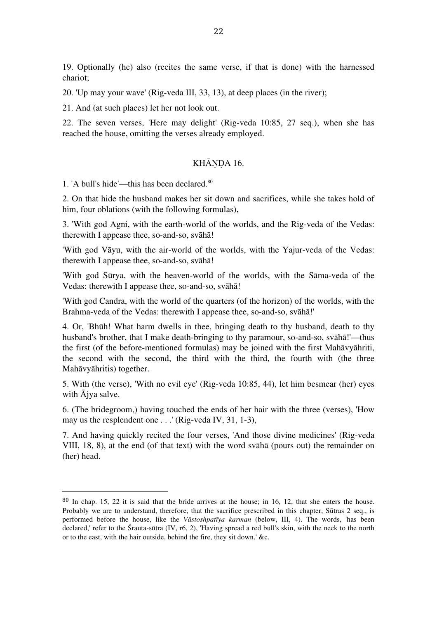19. Optionally (he) also (recites the same verse, if that is done) with the harnessed chariot;

20. 'Up may your wave' (Rig-veda III, 33, 13), at deep places (in the river);

21. And (at such places) let her not look out.

22. The seven verses, 'Here may delight' (Rig-veda 10:85, 27 seq.), when she has reached the house, omitting the verses already employed.

#### KHĀNDA 16.

1. 'A bull's hide'—this has been declared. 80

 

2. On that hide the husband makes her sit down and sacrifices, while she takes hold of him, four oblations (with the following formulas),

3. 'With god Agni, with the earth-world of the worlds, and the Rig-veda of the Vedas: therewith I appease thee, so-and-so, svāhā!

'With god Vāyu, with the air-world of the worlds, with the Yajur-veda of the Vedas: therewith I appease thee, so-and-so, svāhā!

'With god Sūrya, with the heaven-world of the worlds, with the Sāma-veda of the Vedas: therewith I appease thee, so-and-so, svāhā!

'With god Candra, with the world of the quarters (of the horizon) of the worlds, with the Brahma-veda of the Vedas: therewith I appease thee, so-and-so, svāhā!'

4. Or, 'Bhūh! What harm dwells in thee, bringing death to thy husband, death to thy husband's brother, that I make death-bringing to thy paramour, so-and-so, svāhā!'—thus the first (of the before-mentioned formulas) may be joined with the first Mahāvyāhriti, the second with the second, the third with the third, the fourth with (the three Mahāvyāhritis) together.

5. With (the verse), 'With no evil eye' (Rig-veda 10:85, 44), let him besmear (her) eyes with Ājya salve.

6. (The bridegroom,) having touched the ends of her hair with the three (verses), 'How may us the resplendent one . . .' (Rig-veda IV, 31, 1-3),

7. And having quickly recited the four verses, 'And those divine medicines' (Rig-veda VIII, 18, 8), at the end (of that text) with the word svāhā (pours out) the remainder on (her) head.

<sup>80</sup> In chap. 15, 22 it is said that the bride arrives at the house; in 16, 12, that she enters the house. Probably we are to understand, therefore, that the sacrifice prescribed in this chapter, Sūtras 2 seq., is performed before the house, like the *Vāstoshpatīya karman* (below, III, 4). The words, 'has been declared,' refer to the Śrauta-sūtra (IV, r6, 2), 'Having spread a red bull's skin, with the neck to the north or to the east, with the hair outside, behind the fire, they sit down,' &c.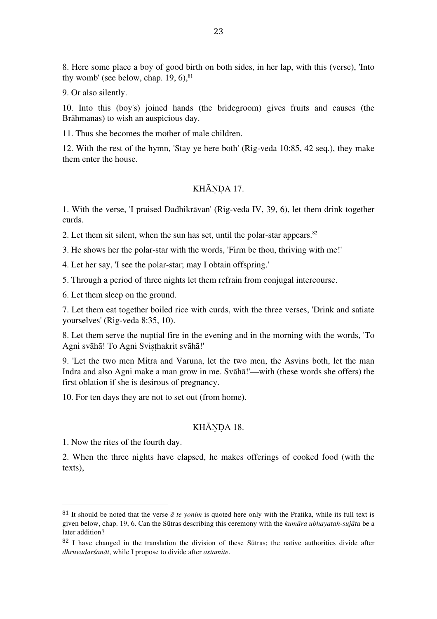8. Here some place a boy of good birth on both sides, in her lap, with this (verse), 'Into thy womb' (see below, chap. 19, 6), 81

9. Or also silently.

10. Into this (boy's) joined hands (the bridegroom) gives fruits and causes (the Brāhmanas) to wish an auspicious day.

11. Thus she becomes the mother of male children.

12. With the rest of the hymn, 'Stay ye here both' (Rig-veda 10:85, 42 seq.), they make them enter the house.

# KHĀNDA 17.

1. With the verse, 'I praised Dadhikrāvan' (Rig-veda IV, 39, 6), let them drink together curds.

2. Let them sit silent, when the sun has set, until the polar-star appears. 82

3. He shows her the polar-star with the words, 'Firm be thou, thriving with me!'

4. Let her say, 'I see the polar-star; may I obtain offspring.'

5. Through a period of three nights let them refrain from conjugal intercourse.

6. Let them sleep on the ground.

7. Let them eat together boiled rice with curds, with the three verses, 'Drink and satiate yourselves' (Rig-veda 8:35, 10).

8. Let them serve the nuptial fire in the evening and in the morning with the words, 'To Agni svāhā! To Agni Svisthakrit svāhā!'

9. 'Let the two men Mitra and Varuna, let the two men, the Asvins both, let the man Indra and also Agni make a man grow in me. Svāhā!'—with (these words she offers) the first oblation if she is desirous of pregnancy.

10. For ten days they are not to set out (from home).

#### KHĀNDA 18.

1. Now the rites of the fourth day.

 

2. When the three nights have elapsed, he makes offerings of cooked food (with the texts),

 $81$  It should be noted that the verse  $\bar{a}$  te yonim is quoted here only with the Pratika, while its full text is given below, chap. 19, 6. Can the Sūtras describing this ceremony with the *kumāra ubhayatah-sujāta* be a later addition?

 $82$  I have changed in the translation the division of these Sūtras; the native authorities divide after *dhruvadarśanāt*, while I propose to divide after *astamite*.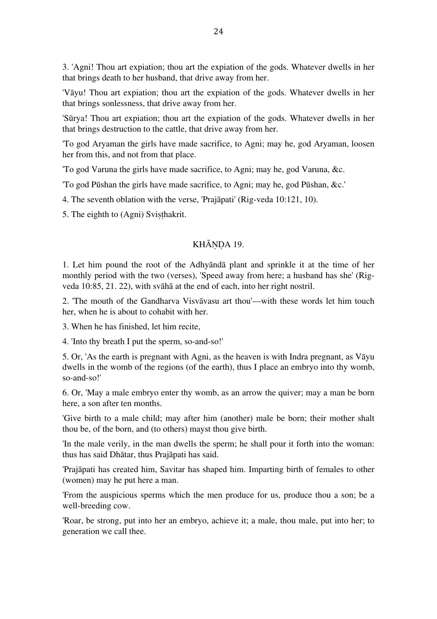3. 'Agni! Thou art expiation; thou art the expiation of the gods. Whatever dwells in her that brings death to her husband, that drive away from her.

'Vāyu! Thou art expiation; thou art the expiation of the gods. Whatever dwells in her that brings sonlessness, that drive away from her.

'Sūrya! Thou art expiation; thou art the expiation of the gods. Whatever dwells in her that brings destruction to the cattle, that drive away from her.

'To god Aryaman the girls have made sacrifice, to Agni; may he, god Aryaman, loosen her from this, and not from that place.

'To god Varuna the girls have made sacrifice, to Agni; may he, god Varuna, &c.

'To god Pūshan the girls have made sacrifice, to Agni; may he, god Pūshan, &c.'

4. The seventh oblation with the verse, 'Prajāpati' (Rig-veda 10:121, 10).

5. The eighth to (Agni) Svisthakrit.

#### KHĀNDA 19.

1. Let him pound the root of the Adhyāndā plant and sprinkle it at the time of her monthly period with the two (verses), 'Speed away from here; a husband has she' (Rigveda 10:85, 21. 22), with svāhā at the end of each, into her right nostril.

2. 'The mouth of the Gandharva Visvāvasu art thou'—with these words let him touch her, when he is about to cohabit with her.

3. When he has finished, let him recite,

4. 'Into thy breath I put the sperm, so-and-so!'

5. Or, 'As the earth is pregnant with Agni, as the heaven is with Indra pregnant, as Vāyu dwells in the womb of the regions (of the earth), thus I place an embryo into thy womb, so-and-so!'

6. Or, 'May a male embryo enter thy womb, as an arrow the quiver; may a man be born here, a son after ten months.

'Give birth to a male child; may after him (another) male be born; their mother shalt thou be, of the born, and (to others) mayst thou give birth.

'In the male verily, in the man dwells the sperm; he shall pour it forth into the woman: thus has said Dhātar, thus Prajāpati has said.

'Prajāpati has created him, Savitar has shaped him. Imparting birth of females to other (women) may he put here a man.

'From the auspicious sperms which the men produce for us, produce thou a son; be a well-breeding cow.

'Roar, be strong, put into her an embryo, achieve it; a male, thou male, put into her; to generation we call thee.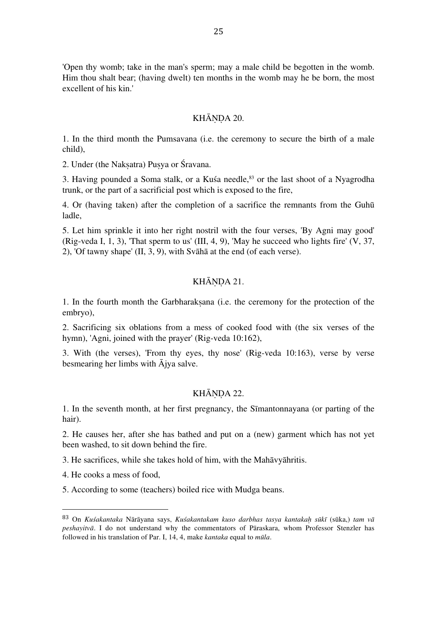'Open thy womb; take in the man's sperm; may a male child be begotten in the womb. Him thou shalt bear; (having dwelt) ten months in the womb may he be born, the most excellent of his kin.'

#### KHĀNDA 20.

1. In the third month the Pumsavana (i.e. the ceremony to secure the birth of a male child),

2. Under (the Nakṣatra) Puṣya or Śravana.

3. Having pounded a Soma stalk, or a Kuśa needle, 83 or the last shoot of a Nyagrodha trunk, or the part of a sacrificial post which is exposed to the fire,

4. Or (having taken) after the completion of a sacrifice the remnants from the Guhū ladle,

5. Let him sprinkle it into her right nostril with the four verses, 'By Agni may good' (Rig-veda I, 1, 3), 'That sperm to us' (III, 4, 9), 'May he succeed who lights fire'  $(V, 37, 40)$ 2), 'Of tawny shape' (II, 3, 9), with Svāhā at the end (of each verse).

# KHĀNDA 21.

1. In the fourth month the Garbharakṣana (i.e. the ceremony for the protection of the embryo),

2. Sacrificing six oblations from a mess of cooked food with (the six verses of the hymn), 'Agni, joined with the prayer' (Rig-veda 10:162),

3. With (the verses), 'From thy eyes, thy nose' (Rig-veda 10:163), verse by verse besmearing her limbs with Ājya salve.

#### KHĀNDA 22.

1. In the seventh month, at her first pregnancy, the Sīmantonnayana (or parting of the hair).

2. He causes her, after she has bathed and put on a (new) garment which has not yet been washed, to sit down behind the fire.

3. He sacrifices, while she takes hold of him, with the Mahāvyāhritis.

4. He cooks a mess of food,

 

5. According to some (teachers) boiled rice with Mudga beans.

<sup>83</sup> On *Kuśakantaka* Nārāyana says, *Kuśakantakam kuso darbhas tasya kantakaḥ sūkī* (sūka,) *tam vā peshayitvā*. I do not understand why the commentators of Pāraskara, whom Professor Stenzler has followed in his translation of Par. I, 14, 4, make *kantaka* equal to *mūla*.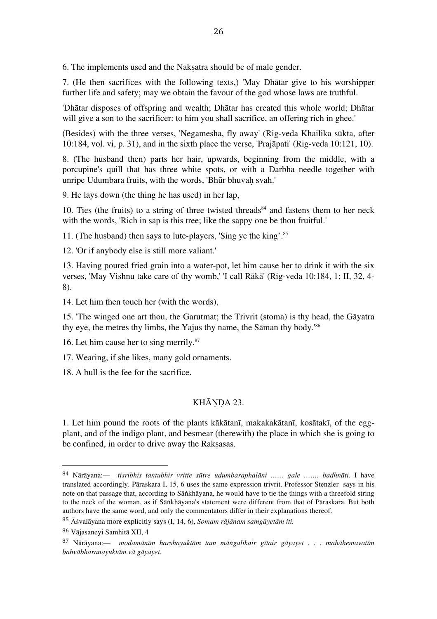6. The implements used and the Nakṣatra should be of male gender.

7. (He then sacrifices with the following texts,) 'May Dhātar give to his worshipper further life and safety; may we obtain the favour of the god whose laws are truthful.

'Dhātar disposes of offspring and wealth; Dhātar has created this whole world; Dhātar will give a son to the sacrificer: to him you shall sacrifice, an offering rich in ghee.'

(Besides) with the three verses, 'Negamesha, fly away' (Rig-veda Khailika sūkta, after 10:184, vol. vi, p. 31), and in the sixth place the verse, 'Prajāpati' (Rig-veda 10:121, 10).

8. (The husband then) parts her hair, upwards, beginning from the middle, with a porcupine's quill that has three white spots, or with a Darbha needle together with unripe Udumbara fruits, with the words, 'Bhūr bhuvah svah.'

9. He lays down (the thing he has used) in her lap,

10. Ties (the fruits) to a string of three twisted threads<sup>84</sup> and fastens them to her neck with the words, 'Rich in sap is this tree; like the sappy one be thou fruitful.'

11. (The husband) then says to lute-players, 'Sing ye the king'. 85

12. 'Or if anybody else is still more valiant.'

13. Having poured fried grain into a water-pot, let him cause her to drink it with the six verses, 'May Vishnu take care of thy womb,' 'I call Rākā' (Rig-veda 10:184, 1; II, 32, 4- 8).

14. Let him then touch her (with the words),

15. 'The winged one art thou, the Garutmat; the Trivrit (stoma) is thy head, the Gāyatra thy eye, the metres thy limbs, the Yajus thy name, the Sāman thy body.' 86

16. Let him cause her to sing merrily. 87

17. Wearing, if she likes, many gold ornaments.

18. A bull is the fee for the sacrifice.

# KHĀNDA 23.

1. Let him pound the roots of the plants kākātanī, makakakātanī, kosātakī, of the eggplant, and of the indigo plant, and besmear (therewith) the place in which she is going to be confined, in order to drive away the Rakṣasas.

<sup>84</sup> Nārāyana:— *tisribhis tantubhir vritte sūtre udumbaraphalāni …… gale ……. badhnāti*. I have translated accordingly. Pāraskara I, 15, 6 uses the same expression trivrit. Professor Stenzler says in his note on that passage that, according to Sāṅkhāyana, he would have to tie the things with a threefold string to the neck of the woman, as if Sāṅkhāyana's statement were different from that of Pāraskara. But both authors have the same word, and only the commentators differ in their explanations thereof.

<sup>85</sup> Āśvalāyana more explicitly says (I, 14, 6), *Somam rājānam samgāyetām iti.*

<sup>86</sup> Vājasaneyi Samhitā XII, 4

<sup>87</sup> Nārāyana:— *modamānīm harshayuktām tam māṅgalikair gītair gāyayet . . . mahāhemavatīm bahvābharanayuktām vā gāyayet.*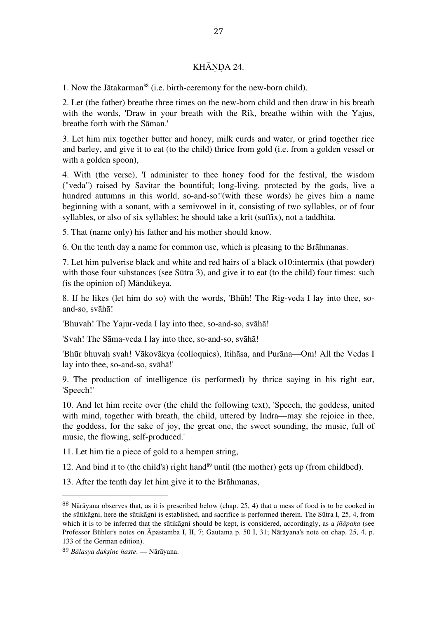# KHĀNDA 24.

1. Now the Jātakarman<sup>88</sup> (i.e. birth-ceremony for the new-born child).

2. Let (the father) breathe three times on the new-born child and then draw in his breath with the words, 'Draw in your breath with the Rik, breathe within with the Yajus, breathe forth with the Sāman.'

3. Let him mix together butter and honey, milk curds and water, or grind together rice and barley, and give it to eat (to the child) thrice from gold (i.e. from a golden vessel or with a golden spoon),

4. With (the verse), 'I administer to thee honey food for the festival, the wisdom ("veda") raised by Savitar the bountiful; long-living, protected by the gods, live a hundred autumns in this world, so-and-so!'(with these words) he gives him a name beginning with a sonant, with a semivowel in it, consisting of two syllables, or of four syllables, or also of six syllables; he should take a krit (suffix), not a taddhita.

5. That (name only) his father and his mother should know.

6. On the tenth day a name for common use, which is pleasing to the Brāhmanas.

7. Let him pulverise black and white and red hairs of a black o10:intermix (that powder) with those four substances (see Sūtra 3), and give it to eat (to the child) four times: such (is the opinion of) Māndūkeya.

8. If he likes (let him do so) with the words, 'Bhūh! The Rig-veda I lay into thee, soand-so, svāhā!

'Bhuvah! The Yajur-veda I lay into thee, so-and-so, svāhā!

'Svah! The Sāma-veda I lay into thee, so-and-so, svāhā!

'Bhūr bhuvah svah! Vākovākya (colloquies), Itihāsa, and Purāna—Om! All the Vedas I lay into thee, so-and-so, svāhā!'

9. The production of intelligence (is performed) by thrice saying in his right ear, 'Speech!'

10. And let him recite over (the child the following text), 'Speech, the goddess, united with mind, together with breath, the child, uttered by Indra—may she rejoice in thee, the goddess, for the sake of joy, the great one, the sweet sounding, the music, full of music, the flowing, self-produced.'

11. Let him tie a piece of gold to a hempen string,

- 12. And bind it to (the child's) right hand<sup>89</sup> until (the mother) gets up (from childbed).
- 13. After the tenth day let him give it to the Brāhmanas,

<sup>88</sup> Nārāyana observes that, as it is prescribed below (chap. 25, 4) that a mess of food is to be cooked in the sūtikāgni, here the sūtikāgni is established, and sacrifice is performed therein. The Sūtra I, 25, 4, from which it is to be inferred that the sūtikāgni should be kept, is considered, accordingly, as a *jñāpaka* (see Professor Bühler's notes on Āpastamba I, II, 7; Gautama p. 50 I, 31; Nārāyana's note on chap. 25, 4, p. 133 of the German edition).

<sup>89</sup> *Bālasya dakṣine haste*. — Nārāyana.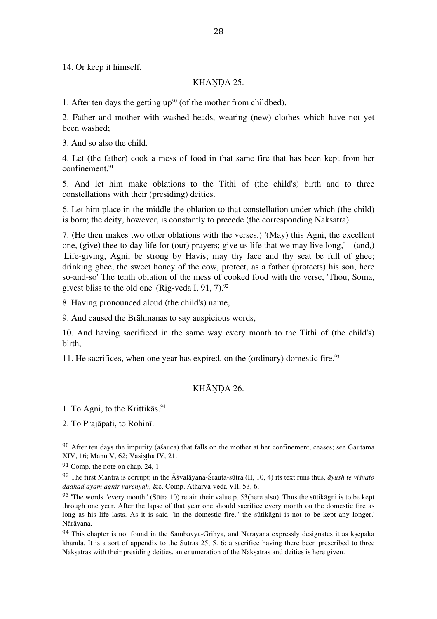14. Or keep it himself.

## KHĀNDA 25.

1. After ten days the getting  $up<sup>90</sup>$  (of the mother from childbed).

2. Father and mother with washed heads, wearing (new) clothes which have not yet been washed;

3. And so also the child.

4. Let (the father) cook a mess of food in that same fire that has been kept from her confinement. 91

5. And let him make oblations to the Tithi of (the child's) birth and to three constellations with their (presiding) deities.

6. Let him place in the middle the oblation to that constellation under which (the child) is born; the deity, however, is constantly to precede (the corresponding Naksatra).

7. (He then makes two other oblations with the verses,) '(May) this Agni, the excellent one, (give) thee to-day life for (our) prayers; give us life that we may live long,'—(and,) 'Life-giving, Agni, be strong by Havis; may thy face and thy seat be full of ghee; drinking ghee, the sweet honey of the cow, protect, as a father (protects) his son, here so-and-so' The tenth oblation of the mess of cooked food with the verse, 'Thou, Soma, givest bliss to the old one' (Rig-veda I, 91, 7). $\frac{92}{3}$ 

8. Having pronounced aloud (the child's) name,

9. And caused the Brāhmanas to say auspicious words,

10. And having sacrificed in the same way every month to the Tithi of (the child's) birth,

11. He sacrifices, when one year has expired, on the (ordinary) domestic fire. 93

# KHĀNDA 26.

1. To Agni, to the Krittikās. 94

 

2. To Prajāpati, to Rohinī.

 $90$  After ten days the impurity (assuca) that falls on the mother at her confinement, ceases; see Gautama XIV, 16; Manu V, 62; Vasistha IV, 21.

<sup>91</sup> Comp. the note on chap. 24, 1.

<sup>92</sup> The first Mantra is corrupt; in the Āśvalāyana-Śrauta-sūtra (II, 10, 4) its text runs thus, *āyush te viśvato dadhad ayam agnir varenyah*, &c. Comp. Atharva-veda VII, 53, 6.

<sup>93</sup> 'The words "every month" (Sūtra 10) retain their value p. 53(here also). Thus the sūtikāgni is to be kept through one year. After the lapse of that year one should sacrifice every month on the domestic fire as long as his life lasts. As it is said "in the domestic fire," the sūtikāgni is not to be kept any longer.' Nārāyana.

 $94$  This chapter is not found in the Sāmbavya-Grihya, and Nārāyana expressly designates it as ksepaka khanda. It is a sort of appendix to the Sūtras 25, 5. 6; a sacrifice having there been prescribed to three Naksatras with their presiding deities, an enumeration of the Naksatras and deities is here given.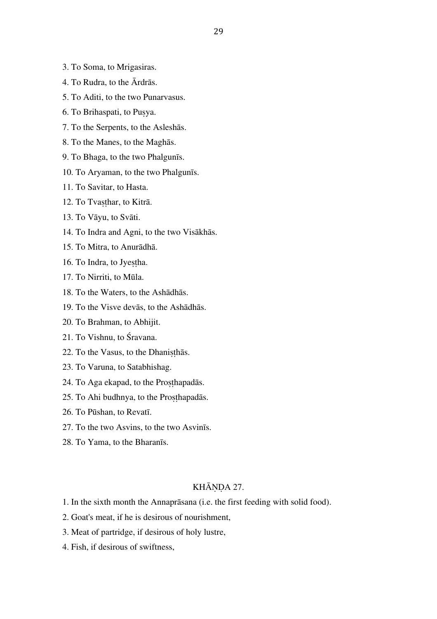- 3. To Soma, to Mrigasiras.
- 4. To Rudra, to the Ārdrās.
- 5. To Aditi, to the two Punarvasus.
- 6. To Brihaspati, to Puṣya.
- 7. To the Serpents, to the Asleshās.
- 8. To the Manes, to the Maghās.
- 9. To Bhaga, to the two Phalgunīs.
- 10. To Aryaman, to the two Phalgunīs.
- 11. To Savitar, to Hasta.
- 12. To Tvasthar, to Kitrā.
- 13. To Vāyu, to Svāti.
- 14. To Indra and Agni, to the two Visākhās.
- 15. To Mitra, to Anurādhā.
- 16. To Indra, to Jyestha.
- 17. To Nirriti, to Mūla.
- 18. To the Waters, to the Ashādhās.
- 19. To the Visve devās, to the Ashādhās.
- 20. To Brahman, to Abhijit.
- 21. To Vishnu, to Śravana.
- 22. To the Vasus, to the Dhanisthas.
- 23. To Varuna, to Satabhishag.
- 24. To Aga ekapad, to the Proṣṭhapadās.
- 25. To Ahi budhnya, to the Prosthapadās.
- 26. To Pūshan, to Revatī.
- 27. To the two Asvins, to the two Asvinīs.
- 28. To Yama, to the Bharanīs.

# KHĀNDA 27.

- 1. In the sixth month the Annaprāsana (i.e. the first feeding with solid food).
- 2. Goat's meat, if he is desirous of nourishment,
- 3. Meat of partridge, if desirous of holy lustre,
- 4. Fish, if desirous of swiftness,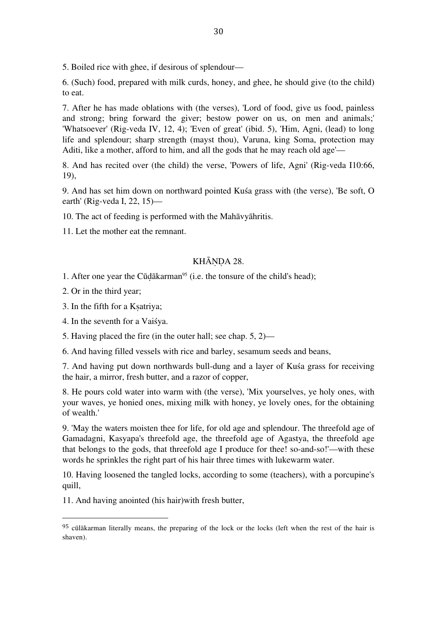5. Boiled rice with ghee, if desirous of splendour—

6. (Such) food, prepared with milk curds, honey, and ghee, he should give (to the child) to eat.

7. After he has made oblations with (the verses), 'Lord of food, give us food, painless and strong; bring forward the giver; bestow power on us, on men and animals;' 'Whatsoever' (Rig-veda IV, 12, 4); 'Even of great' (ibid. 5), 'Him, Agni, (lead) to long life and splendour; sharp strength (mayst thou), Varuna, king Soma, protection may Aditi, like a mother, afford to him, and all the gods that he may reach old age'—

8. And has recited over (the child) the verse, 'Powers of life, Agni' (Rig-veda I10:66, 19),

9. And has set him down on northward pointed Kuśa grass with (the verse), 'Be soft, O earth' (Rig-veda I, 22, 15)—

10. The act of feeding is performed with the Mahāvyāhritis.

11. Let the mother eat the remnant.

# KHĀNDA 28.

1. After one year the Cūdākarman<sup>95</sup> (i.e. the tonsure of the child's head);

2. Or in the third year;

3. In the fifth for a Kṣatriya;

4. In the seventh for a Vaiśya.

 

5. Having placed the fire (in the outer hall; see chap. 5, 2)—

6. And having filled vessels with rice and barley, sesamum seeds and beans,

7. And having put down northwards bull-dung and a layer of Kuśa grass for receiving the hair, a mirror, fresh butter, and a razor of copper,

8. He pours cold water into warm with (the verse), 'Mix yourselves, ye holy ones, with your waves, ye honied ones, mixing milk with honey, ye lovely ones, for the obtaining of wealth.'

9. 'May the waters moisten thee for life, for old age and splendour. The threefold age of Gamadagni, Kasyapa's threefold age, the threefold age of Agastya, the threefold age that belongs to the gods, that threefold age I produce for thee! so-and-so!'—with these words he sprinkles the right part of his hair three times with lukewarm water.

10. Having loosened the tangled locks, according to some (teachers), with a porcupine's quill,

11. And having anointed (his hair)with fresh butter,

<sup>95</sup> cūlākarman literally means, the preparing of the lock or the locks (left when the rest of the hair is shaven).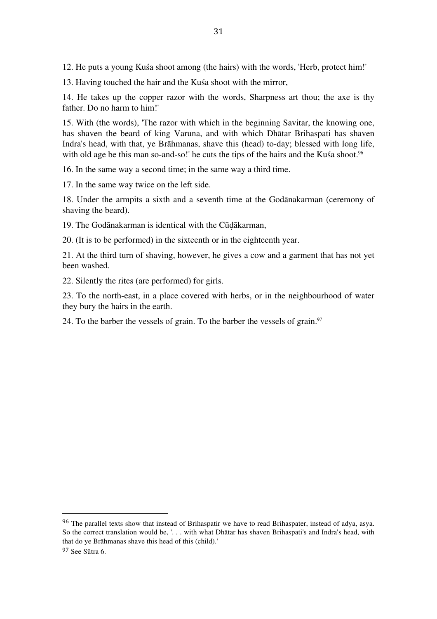12. He puts a young Kuśa shoot among (the hairs) with the words, 'Herb, protect him!'

13. Having touched the hair and the Kuśa shoot with the mirror,

14. He takes up the copper razor with the words, Sharpness art thou; the axe is thy father. Do no harm to him!'

15. With (the words), 'The razor with which in the beginning Savitar, the knowing one, has shaven the beard of king Varuna, and with which Dhātar Brihaspati has shaven Indra's head, with that, ye Brāhmanas, shave this (head) to-day; blessed with long life, with old age be this man so-and-so!' he cuts the tips of the hairs and the Kuśa shoot.<sup>96</sup>

16. In the same way a second time; in the same way a third time.

17. In the same way twice on the left side.

18. Under the armpits a sixth and a seventh time at the Godānakarman (ceremony of shaving the beard).

19. The Godānakarman is identical with the Cūḍākarman,

20. (It is to be performed) in the sixteenth or in the eighteenth year.

21. At the third turn of shaving, however, he gives a cow and a garment that has not yet been washed.

22. Silently the rites (are performed) for girls.

 

23. To the north-east, in a place covered with herbs, or in the neighbourhood of water they bury the hairs in the earth.

24. To the barber the vessels of grain. To the barber the vessels of grain.<sup>97</sup>

<sup>&</sup>lt;sup>96</sup> The parallel texts show that instead of Brihaspatir we have to read Brihaspater, instead of adya, asya. So the correct translation would be, '. . . with what Dhātar has shaven Brihaspati's and Indra's head, with that do ye Brāhmanas shave this head of this (child).' <sup>97</sup> See Sūtra 6.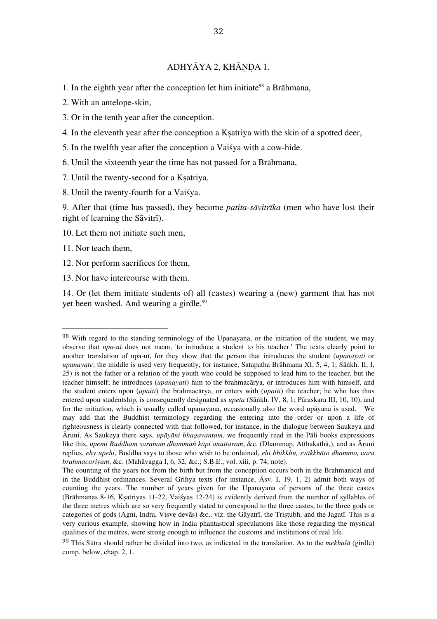# ADHYĀYA 2, KHĀNDA 1.

- 1. In the eighth year after the conception let him initiate<sup>98</sup> a Brāhmana,
- 2. With an antelope-skin,
- 3. Or in the tenth year after the conception.
- 4. In the eleventh year after the conception a Kṣatriya with the skin of a spotted deer,
- 5. In the twelfth year after the conception a Vaiśya with a cow-hide.
- 6. Until the sixteenth year the time has not passed for a Brāhmana,
- 7. Until the twenty-second for a Ksatriya,
- 8. Until the twenty-fourth for a Vaiśya.
- 9. After that (time has passed), they become *patita-sāvitrīka* (men who have lost their right of learning the Sāvitrī).
- 10. Let them not initiate such men,
- 11. Nor teach them,
- 12. Nor perform sacrifices for them,
- 13. Nor have intercourse with them.

 

14. Or (let them initiate students of) all (castes) wearing a (new) garment that has not yet been washed. And wearing a girdle. 99

<sup>&</sup>lt;sup>98</sup> With regard to the standing terminology of the Upanayana, or the initiation of the student, we may observe that *upa-nī* does not mean, 'to introduce a student to his teacher.' The texts clearly point to another translation of upa-nī, for they show that the person that introduces the student (*upanayati* or *upanayate*; the middle is used very frequently, for instance, Satapatha Brāhmana XI, 5, 4, 1; Sāṅkh. II, I, 25) is not the father or a relation of the youth who could be supposed to lead him to the teacher, but the teacher himself; he introduces (*upanayati*) him to the brahmacārya, or introduces him with himself, and the student enters upon (*upaiti*) the brahmacārya, or enters with (*upaiti*) the teacher; he who has thus entered upon studentship, is consequently designated as *upeta* (Sāṅkh. IV, 8, 1; Pāraskara III, 10, 10), and for the initiation, which is usually called upanayana, occasionally also the word upāyana is used. We may add that the Buddhist terminology regarding the entering into the order or upon a life of righteousness is clearly connected with that followed, for instance, in the dialogue between Saukeya and Āruni. As Saukeya there says, *upāyāni bhagavantam,* we frequently read in the Pāli books expressions like this, *upemi Buddham saranam dhammañ kāpi anuttaram*, &c. (Dhammap. Atthakathā,), and as Āruni replies, *ehy upehi*, Buddha says to those who wish to be ordained, *ehi bhikkhu, svākkhāto dhammo,* c*ara brahmacariyam*, &c. (Mahāvagga I, 6, 32, &c.; S.B.E., vol. xiii, p. 74, note).

The counting of the years not from the birth but from the conception occurs both in the Brahmanical and in the Buddhist ordinances. Several Grihya texts (for instance, Āsv. I, 19, 1. 2) admit both ways of counting the years. The number of years given for the Upanayana of persons of the three castes (Brāhmanas 8-16, Kṣatriyas 11-22, Vaiśyas 12-24) is evidently derived from the number of syllables of the three metres which are so very frequently stated to correspond to the three castes, to the three gods or categories of gods (Agni, Indra, Visve devās) &c., viz. the Gāyatrī, the Tristubh, and the Jagatī. This is a very curious example, showing how in India phantastical speculations like those regarding the mystical qualities of the metres, were strong enough to influence the customs and institutions of real life.

<sup>99</sup> This Sūtra should rather be divided into two, as indicated in the translation. As to the *mekhalā* (girdle) comp. below, chap. 2, 1.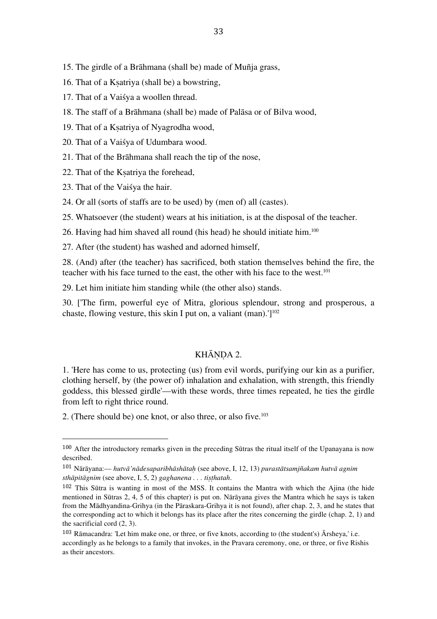- 16. That of a Kṣatriya (shall be) a bowstring,
- 17. That of a Vaiśya a woollen thread.
- 18. The staff of a Brāhmana (shall be) made of Palāsa or of Bilva wood,
- 19. That of a Kṣatriya of Nyagrodha wood,
- 20. That of a Vaiśya of Udumbara wood.
- 21. That of the Brāhmana shall reach the tip of the nose,
- 22. That of the Kṣatriya the forehead,
- 23. That of the Vaiśya the hair.

 

24. Or all (sorts of staffs are to be used) by (men of) all (castes).

25. Whatsoever (the student) wears at his initiation, is at the disposal of the teacher.

26. Having had him shaved all round (his head) he should initiate him.<sup>100</sup>

27. After (the student) has washed and adorned himself,

28. (And) after (the teacher) has sacrificed, both station themselves behind the fire, the teacher with his face turned to the east, the other with his face to the west. 101

29. Let him initiate him standing while (the other also) stands.

30. ['The firm, powerful eye of Mitra, glorious splendour, strong and prosperous, a chaste, flowing vesture, this skin I put on, a valiant (man).'] 102

# KHĀNDA 2.

1. 'Here has come to us, protecting (us) from evil words, purifying our kin as a purifier, clothing herself, by (the power of) inhalation and exhalation, with strength, this friendly goddess, this blessed girdle'—with these words, three times repeated, he ties the girdle from left to right thrice round.

2. (There should be) one knot, or also three, or also five. 103

<sup>100</sup> After the introductory remarks given in the preceding Sūtras the ritual itself of the Upanayana is now described.

<sup>101</sup> Nārāyana:— *hutvā'nādesaparibhāshātaḥ* (see above, I, 12, 13) *purastātsamjñakam hutvā agnim sthāpitāgnim* (see above, I, 5, 2) *gaghanena . . . tiṣṭhatah*.

<sup>102</sup> This Sūtra is wanting in most of the MSS. It contains the Mantra with which the Ajina (the hide mentioned in Sūtras 2, 4, 5 of this chapter) is put on. Nārāyana gives the Mantra which he says is taken from the Mādhyandina-Grihya (in the Pāraskara-Grihya it is not found), after chap. 2, 3, and he states that the corresponding act to which it belongs has its place after the rites concerning the girdle (chap. 2, 1) and the sacrificial cord (2, 3).

<sup>103</sup> Rāmacandra: 'Let him make one, or three, or five knots, according to (the student's) Ārsheya,' i.e. accordingly as he belongs to a family that invokes, in the Pravara ceremony, one, or three, or five Rishis as their ancestors.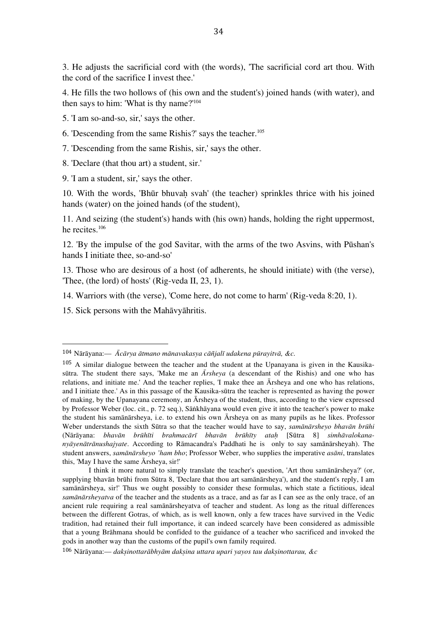3. He adjusts the sacrificial cord with (the words), 'The sacrificial cord art thou. With the cord of the sacrifice I invest thee.'

4. He fills the two hollows of (his own and the student's) joined hands (with water), and then says to him: 'What is thy name?' 104

5. 'I am so-and-so, sir,' says the other.

- 6. 'Descending from the same Rishis?' says the teacher. 105
- 7. 'Descending from the same Rishis, sir,' says the other.

8. 'Declare (that thou art) a student, sir.'

9. 'I am a student, sir,' says the other.

10. With the words, 'Bhūr bhuvah svah' (the teacher) sprinkles thrice with his joined hands (water) on the joined hands (of the student),

11. And seizing (the student's) hands with (his own) hands, holding the right uppermost, he recites. 106

12. 'By the impulse of the god Savitar, with the arms of the two Asvins, with Pūshan's hands I initiate thee, so-and-so'

13. Those who are desirous of a host (of adherents, he should initiate) with (the verse), 'Thee, (the lord) of hosts' (Rig-veda II, 23, 1).

14. Warriors with (the verse), 'Come here, do not come to harm' (Rig-veda 8:20, 1).

15. Sick persons with the Mahāvyāhritis.

<sup>104</sup> Nārāyana:— *Ācārya ātmano mānavakasya cāñjalī udakena pūrayitvā, &c.*

 $105$  A similar dialogue between the teacher and the student at the Upanayana is given in the Kausikasūtra. The student there says, 'Make me an *Ārsheya* (a descendant of the Rishis) and one who has relations, and initiate me.' And the teacher replies, 'I make thee an Ārsheya and one who has relations, and I initiate thee.' As in this passage of the Kausika-sūtra the teacher is represented as having the power of making, by the Upanayana ceremony, an Ārsheya of the student, thus, according to the view expressed by Professor Weber (loc. cit., p. 72 seq.), Sāṅkhāyana would even give it into the teacher's power to make the student his samānārsheya, i.e. to extend his own Ārsheya on as many pupils as he likes. Professor Weber understands the sixth Sūtra so that the teacher would have to say, *samānārsheyo bhavān brūhi* (Nārāyana: bhayān brūhīti brahmacārī bhayān brūhīty atah [Sūtra 8] simhāyalokana*nyāyenātrānushajyate*. According to Rāmacandra's Paddhati he is only to say samānārsheyah). The student answers, *samānārsheyo 'ham bho*; Professor Weber, who supplies the imperative *asāni*, translates this, 'May I have the same Ārsheya, sir!'

I think it more natural to simply translate the teacher's question, 'Art thou samānārsheya?' (or, supplying bhavān brūhi from Sūtra 8, 'Declare that thou art samānārsheya'), and the student's reply, I am samānārsheya, sir!' Thus we ought possibly to consider these formulas, which state a fictitious, ideal *samānārsheyatva* of the teacher and the students as a trace, and as far as I can see as the only trace, of an ancient rule requiring a real samānārsheyatva of teacher and student. As long as the ritual differences between the different Gotras, of which, as is well known, only a few traces have survived in the Vedic tradition, had retained their full importance, it can indeed scarcely have been considered as admissible that a young Brāhmana should be confided to the guidance of a teacher who sacrificed and invoked the gods in another way than the customs of the pupil's own family required.

<sup>106</sup> Nārāyana:— *dakṣinottarābhyām dakṣina uttara upari yayos tau dakṣinottarau, &c*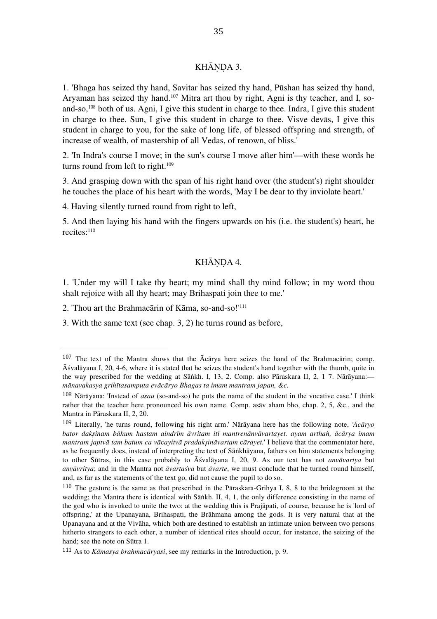# KHĀNDA 3.

1. 'Bhaga has seized thy hand, Savitar has seized thy hand, Pūshan has seized thy hand, Aryaman has seized thy hand. 107 Mitra art thou by right, Agni is thy teacher, and I, soand-so,<sup>108</sup> both of us. Agni, I give this student in charge to thee. Indra, I give this student in charge to thee. Sun, I give this student in charge to thee. Visve devās, I give this student in charge to you, for the sake of long life, of blessed offspring and strength, of increase of wealth, of mastership of all Vedas, of renown, of bliss.'

2. 'In Indra's course I move; in the sun's course I move after him'—with these words he turns round from left to right.<sup>109</sup>

3. And grasping down with the span of his right hand over (the student's) right shoulder he touches the place of his heart with the words, 'May I be dear to thy inviolate heart.'

4. Having silently turned round from right to left,

5. And then laying his hand with the fingers upwards on his (i.e. the student's) heart, he recites: 110

# KHĀNDA 4.

1. 'Under my will I take thy heart; my mind shall thy mind follow; in my word thou shalt rejoice with all thy heart; may Brihaspati join thee to me.'

2. 'Thou art the Brahmacārin of Kāma, so-and-so!' 111

 

3. With the same text (see chap. 3, 2) he turns round as before,

<sup>107</sup> The text of the Mantra shows that the Ācārya here seizes the hand of the Brahmacārin; comp. Āśvalāyana I, 20, 4-6, where it is stated that he seizes the student's hand together with the thumb, quite in the way prescribed for the wedding at Sāṅkh. I, 13, 2. Comp. also Pāraskara II, 2, 1 7. Nārāyana: *mānavakasya grihītasamputa evācāryo Bhagas ta imam mantram japan, &c.*

<sup>108</sup> Nārāyana: 'Instead of *asau* (so-and-so) he puts the name of the student in the vocative case.' I think rather that the teacher here pronounced his own name. Comp. asāv aham bho, chap. 2, 5, &c., and the Mantra in Pāraskara II, 2, 20.

<sup>109</sup> Literally, 'he turns round, following his right arm.' Nārāyana here has the following note, *'Ācāryo bator dakṣinam bāhum hastam aindrīm āvritam iti mantrenānvāvartayet. ayam arthah, ācārya imam mantram japtvā tam batum ca vā*c*ayitvā pradakṣināvartam* c*ārayet.*' I believe that the commentator here, as he frequently does, instead of interpreting the text of Sāṅkhāyana, fathers on him statements belonging to other Sūtras, in this case probably to Āśvalāyana I, 20, 9. As our text has not *anvāvartya* but *anvāvritya*; and in the Mantra not *āvartaśva* but *āvarte*, we must conclude that he turned round himself, and, as far as the statements of the text go, did not cause the pupil to do so.

<sup>110</sup> The gesture is the same as that prescribed in the Pāraskara-Grihya I, 8, 8 to the bridegroom at the wedding; the Mantra there is identical with Sāṅkh. II, 4, 1, the only difference consisting in the name of the god who is invoked to unite the two: at the wedding this is Prajāpati, of course, because he is 'lord of offspring,' at the Upanayana, Brihaspati, the Brāhmana among the gods. It is very natural that at the Upanayana and at the Vivāha, which both are destined to establish an intimate union between two persons hitherto strangers to each other, a number of identical rites should occur, for instance, the seizing of the hand; see the note on Sūtra 1.

<sup>111</sup> As to *Kāmasya brahmacāryasi*, see my remarks in the Introduction, p. 9.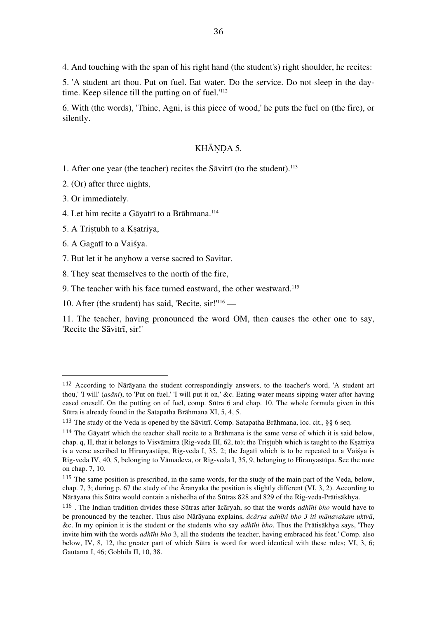4. And touching with the span of his right hand (the student's) right shoulder, he recites:

5. 'A student art thou. Put on fuel. Eat water. Do the service. Do not sleep in the daytime. Keep silence till the putting on of fuel.' 112

6. With (the words), 'Thine, Agni, is this piece of wood,' he puts the fuel on (the fire), or silently.

#### KHĀNDA 5.

1. After one year (the teacher) recites the Sāvitrī (to the student). 113

2. (Or) after three nights,

3. Or immediately.

4. Let him recite a Gāyatrī to a Brāhmana. 114

5. A Triṣṭubh to a Kṣatriya,

 

6. A Gagatī to a Vaiśya.

7. But let it be anyhow a verse sacred to Savitar.

8. They seat themselves to the north of the fire,

9. The teacher with his face turned eastward, the other westward. 115

10. After (the student) has said, 'Recite,  $\text{sir}$ !'<sup>116</sup> —

11. The teacher, having pronounced the word OM, then causes the other one to say, 'Recite the Sāvitrī, sir!'

<sup>112</sup> According to Nārāyana the student correspondingly answers, to the teacher's word, 'A student art thou,' 'I will' (*asāni*), to 'Put on fuel,' 'I will put it on,' &c. Eating water means sipping water after having eased oneself. On the putting on of fuel, comp. Sūtra 6 and chap. 10. The whole formula given in this Sūtra is already found in the Satapatha Brāhmana XI, 5, 4, 5.

<sup>113</sup> The study of the Veda is opened by the Sāvitrī. Comp. Satapatha Brāhmana, loc. cit., §§ 6 seq.

 $114$  The Gāyatrī which the teacher shall recite to a Brāhmana is the same verse of which it is said below, chap. q, II, that it belongs to Visvāmitra (Rig-veda III, 62, to); the Triṣṭubh which is taught to the Kṣatriya is a verse ascribed to Hiranyastūpa, Rig-veda I, 35, 2; the Jagatī which is to be repeated to a Vaiśya is Rig-veda IV, 40, 5, belonging to Vāmadeva, or Rig-veda I, 35, 9, belonging to Hiranyastūpa. See the note on chap. 7, 10.

<sup>115</sup> The same position is prescribed, in the same words, for the study of the main part of the Veda, below, chap. 7, 3; during p. 67 the study of the Āranyaka the position is slightly different (VI, 3, 2). According to Nārāyana this Sūtra would contain a nishedha of the Sūtras 828 and 829 of the Rig-veda-Prātisākhya.

<sup>116</sup> . The Indian tradition divides these Sūtras after ācāryah, so that the words *adhīhi bho* would have to be pronounced by the teacher. Thus also Nārāyana explains, *ācārya adhīhi bho 3 iti mānavakam uktvā*, &c. In my opinion it is the student or the students who say *adhīhi bho*. Thus the Prātisākhya says, 'They invite him with the words *adhīhi bho* 3, all the students the teacher, having embraced his feet.' Comp. also below, IV, 8, 12, the greater part of which Sūtra is word for word identical with these rules; VI, 3, 6; Gautama I, 46; Gobhila II, 10, 38.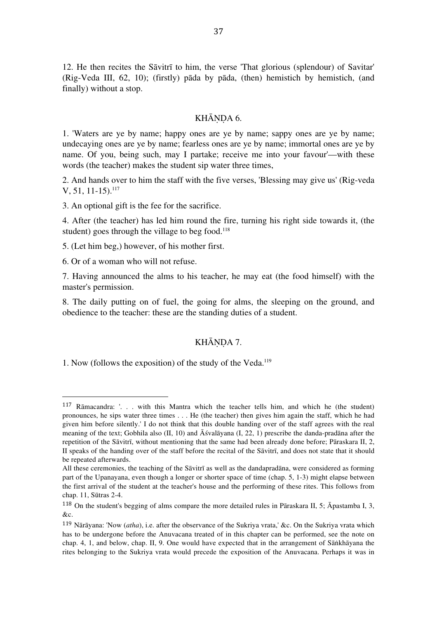12. He then recites the Sāvitrī to him, the verse 'That glorious (splendour) of Savitar' (Rig-Veda III, 62, 10); (firstly) pāda by pāda, (then) hemistich by hemistich, (and finally) without a stop.

#### KHĀNDA 6.

1. 'Waters are ye by name; happy ones are ye by name; sappy ones are ye by name; undecaying ones are ye by name; fearless ones are ye by name; immortal ones are ye by name. Of you, being such, may I partake; receive me into your favour'—with these words (the teacher) makes the student sip water three times,

2. And hands over to him the staff with the five verses, 'Blessing may give us' (Rig-veda  $V, 51, 11-15$ ).<sup>117</sup>

3. An optional gift is the fee for the sacrifice.

4. After (the teacher) has led him round the fire, turning his right side towards it, (the student) goes through the village to beg food. 118

5. (Let him beg,) however, of his mother first.

6. Or of a woman who will not refuse.

 

7. Having announced the alms to his teacher, he may eat (the food himself) with the master's permission.

8. The daily putting on of fuel, the going for alms, the sleeping on the ground, and obedience to the teacher: these are the standing duties of a student.

#### KHĀNDA 7.

1. Now (follows the exposition) of the study of the Veda. 119

<sup>117</sup> Rāmacandra: '. . . with this Mantra which the teacher tells him, and which he (the student) pronounces, he sips water three times . . . He (the teacher) then gives him again the staff, which he had given him before silently.' I do not think that this double handing over of the staff agrees with the real meaning of the text; Gobhila also (II, 10) and Āśvalāyana (I, 22, 1) prescribe the danda-pradāna after the repetition of the Sāvitrī, without mentioning that the same had been already done before; Pāraskara II, 2, II speaks of the handing over of the staff before the recital of the Sāvitrī, and does not state that it should be repeated afterwards.

All these ceremonies, the teaching of the Sāvitrī as well as the dandapradāna, were considered as forming part of the Upanayana, even though a longer or shorter space of time (chap. 5, 1-3) might elapse between the first arrival of the student at the teacher's house and the performing of these rites. This follows from chap. 11, Sūtras 2-4.

<sup>118</sup> On the student's begging of alms compare the more detailed rules in Pāraskara II, 5; Āpastamba I, 3, &c.

<sup>119</sup> Nārāyana: 'Now (*atha*), i.e. after the observance of the Sukriya vrata,' &c. On the Sukriya vrata which has to be undergone before the Anuvacana treated of in this chapter can be performed, see the note on chap. 4, 1, and below, chap. II, 9. One would have expected that in the arrangement of Sāṅkhāyana the rites belonging to the Sukriya vrata would precede the exposition of the Anuvacana. Perhaps it was in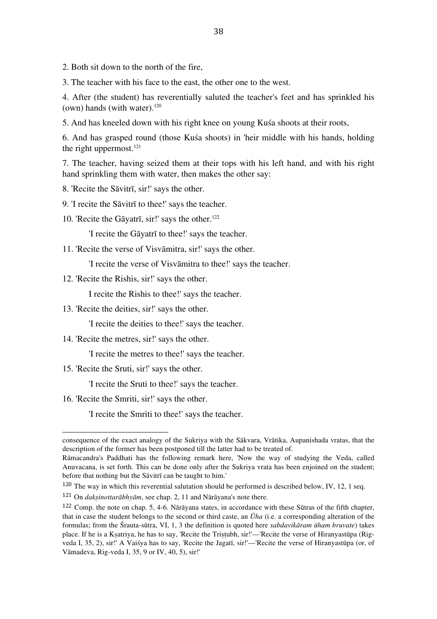2. Both sit down to the north of the fire,

3. The teacher with his face to the east, the other one to the west.

4. After (the student) has reverentially saluted the teacher's feet and has sprinkled his (own) hands (with water). $120$ 

5. And has kneeled down with his right knee on young Kuśa shoots at their roots,

6. And has grasped round (those Kuśa shoots) in 'heir middle with his hands, holding the right uppermost. 121

7. The teacher, having seized them at their tops with his left hand, and with his right hand sprinkling them with water, then makes the other say:

8. 'Recite the Sāvitrī, sir!' says the other.

9. 'I recite the Sāvitrī to thee!' says the teacher.

10. 'Recite the Gāyatrī, sir!' says the other. 122

'I recite the Gāyatrī to thee!' says the teacher.

11. 'Recite the verse of Visvāmitra, sir!' says the other.

'I recite the verse of Visvāmitra to thee!' says the teacher.

12. 'Recite the Rishis, sir!' says the other.

I recite the Rishis to thee!' says the teacher.

13. 'Recite the deities, sir!' says the other.

'I recite the deities to thee!' says the teacher.

14. 'Recite the metres, sir!' says the other.

'I recite the metres to thee!' says the teacher.

15. 'Recite the Sruti, sir!' says the other.

'I recite the Sruti to thee!' says the teacher.

16. 'Recite the Smriti, sir!' says the other.

 

'I recite the Smriti to thee!' says the teacher.

<sup>120</sup> The way in which this reverential salutation should be performed is described below, IV, 12, 1 seq.

consequence of the exact analogy of the Sukriya with the Sākvara, Vrātika, Aupanishada vratas, that the description of the former has been postponed till the latter had to be treated of.

Rāmacandra's Paddhati has the following remark here, 'Now the way of studying the Veda, called Anuvacana, is set forth. This can be done only after the Sukriya vrata has been enjoined on the student; before that nothing but the Sāvitrī can be taught to him.'

<sup>121</sup> On *dakṣinottarābhyām*, see chap. 2, 11 and Nārāyana's note there.

<sup>122</sup> Comp. the note on chap. 5, 4-6. Nārāyana states, in accordance with these Sūtras of the fifth chapter, that in case the student belongs to the second or third caste, an *Ūha* (i.e. a corresponding alteration of the formulas; from the Śrauta-sūtra, VI, 1, 3 the definition is quoted here *sabdavikāram ūham bruvate*) takes place. If he is a Kṣatriya, he has to say, 'Recite the Triṣṭubh, sir!'—'Recite the verse of Hiranyastūpa (Rigveda I, 35, 2), sir!' A Vaiśya has to say, 'Recite the Jagatī, sir!'—'Recite the verse of Hiranyastūpa (or, of Vāmadeva, Rig-veda I, 35, 9 or IV, 40, 5), sir!'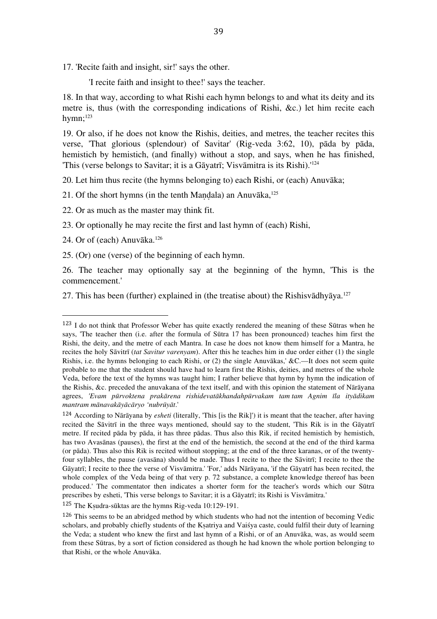17. 'Recite faith and insight, sir!' says the other.

'I recite faith and insight to thee!' says the teacher.

18. In that way, according to what Rishi each hymn belongs to and what its deity and its metre is, thus (with the corresponding indications of Rishi, &c.) let him recite each hymn; 123

19. Or also, if he does not know the Rishis, deities, and metres, the teacher recites this verse, 'That glorious (splendour) of Savitar' (Rig-veda 3:62, 10), pāda by pāda, hemistich by hemistich, (and finally) without a stop, and says, when he has finished, 'This (verse belongs to Savitar; it is a Gāyatrī; Visvāmitra is its Rishi).' 124

20. Let him thus recite (the hymns belonging to) each Rishi, or (each) Anuvāka;

21. Of the short hymns (in the tenth Maṇḍala) an Anuvāka, 125

22. Or as much as the master may think fit.

23. Or optionally he may recite the first and last hymn of (each) Rishi,

24. Or of (each) Anuvāka. 126

 

25. (Or) one (verse) of the beginning of each hymn.

26. The teacher may optionally say at the beginning of the hymn, 'This is the commencement.'

27. This has been (further) explained in (the treatise about) the Rishisvādhyāya. 127

<sup>125</sup> The Kṣudra-sūktas are the hymns Rig-veda 10:129-191.

<sup>123</sup> I do not think that Professor Weber has quite exactly rendered the meaning of these Sūtras when he says, 'The teacher then (i.e. after the formula of Sūtra 17 has been pronounced) teaches him first the Rishi, the deity, and the metre of each Mantra. In case he does not know them himself for a Mantra, he recites the holy Sāvitrī (*tat Savitur varenyam*). After this he teaches him in due order either (1) the single Rishis, i.e. the hymns belonging to each Rishi, or (2) the single Anuvākas,' &C.—It does not seem quite probable to me that the student should have had to learn first the Rishis, deities, and metres of the whole Veda, before the text of the hymns was taught him; I rather believe that hymn by hymn the indication of the Rishis, &c. preceded the anuvakana of the text itself, and with this opinion the statement of Nārāyana agrees, *'Evam pūrvoktena prakārena rishidevatākhandahpūrvakam tam tam Agnim īla ityādikam mantram mānavakāyācāryo 'nubrūyāt*.'

<sup>124</sup> According to Nārāyana by *esheti* (literally, 'This [is the Rik]') it is meant that the teacher, after having recited the Sāvitrī in the three ways mentioned, should say to the student, 'This Rik is in the Gāyatrī metre. If recited pāda by pāda, it has three pādas. Thus also this Rik, if recited hemistich by hemistich, has two Avasānas (pauses), the first at the end of the hemistich, the second at the end of the third karma (or pāda). Thus also this Rik is recited without stopping; at the end of the three karanas, or of the twentyfour syllables, the pause (avasāna) should be made. Thus I recite to thee the Sāvitrī; I recite to thee the Gāyatrī; I recite to thee the verse of Visvāmitra.' 'For,' adds Nārāyana, 'if the Gāyatrī has been recited, the whole complex of the Veda being of that very p. 72 substance, a complete knowledge thereof has been produced.' The commentator then indicates a shorter form for the teacher's words which our Sūtra prescribes by esheti, 'This verse belongs to Savitar; it is a Gāyatrī; its Rishi is Visvāmitra.'

<sup>&</sup>lt;sup>126</sup> This seems to be an abridged method by which students who had not the intention of becoming Vedic scholars, and probably chiefly students of the Kṣatriya and Vaiśya caste, could fulfil their duty of learning the Veda; a student who knew the first and last hymn of a Rishi, or of an Anuvāka, was, as would seem from these Sūtras, by a sort of fiction considered as though he had known the whole portion belonging to that Rishi, or the whole Anuvāka.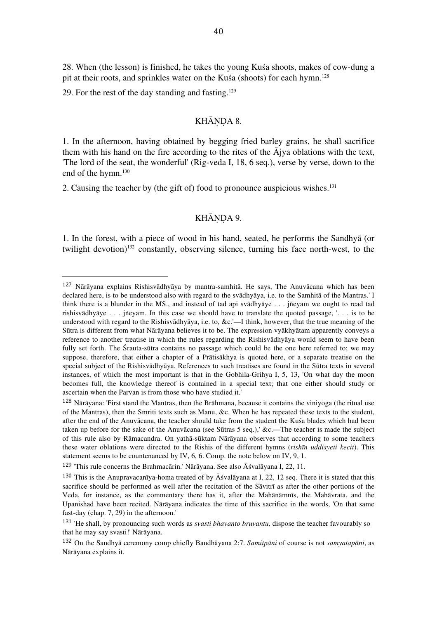28. When (the lesson) is finished, he takes the young Kuśa shoots, makes of cow-dung a pit at their roots, and sprinkles water on the Kuśa (shoots) for each hymn. 128

29. For the rest of the day standing and fasting. 129

 

## KHĀNDA 8.

1. In the afternoon, having obtained by begging fried barley grains, he shall sacrifice them with his hand on the fire according to the rites of the  $\bar{A}$ jya oblations with the text, 'The lord of the seat, the wonderful' (Rig-veda I, 18, 6 seq.), verse by verse, down to the end of the hymn. 130

2. Causing the teacher by (the gift of) food to pronounce auspicious wishes. 131

## KHĀNDA 9.

1. In the forest, with a piece of wood in his hand, seated, he performs the Sandhyā (or twilight devotion) 132 constantly, observing silence, turning his face north-west, to the

<sup>127</sup> Nārāyana explains Rishisvādhyāya by mantra-samhitā. He says, The Anuvācana which has been declared here, is to be understood also with regard to the svādhyāya, i.e. to the Samhitā of the Mantras.' I think there is a blunder in the MS., and instead of tad api svādhyāye . . . jñeyam we ought to read tad rishisvādhyāye . . . jñeyam. In this case we should have to translate the quoted passage, '. . . is to be understood with regard to the Rishisvādhyāya, i.e. to, &c.'—I think, however, that the true meaning of the Sūtra is different from what Nārāyana believes it to be. The expression vyākhyātam apparently conveys a reference to another treatise in which the rules regarding the Rishisvādhyāya would seem to have been fully set forth. The Śrauta-sūtra contains no passage which could be the one here referred to; we may suppose, therefore, that either a chapter of a Prātisākhya is quoted here, or a separate treatise on the special subject of the Rishisvādhyāya. References to such treatises are found in the Sūtra texts in several instances, of which the most important is that in the Gobhila-Grihya I, 5, 13, 'On what day the moon becomes full, the knowledge thereof is contained in a special text; that one either should study or ascertain when the Parvan is from those who have studied it.'

<sup>128</sup> Nārāyana: 'First stand the Mantras, then the Brāhmana, because it contains the viniyoga (the ritual use of the Mantras), then the Smriti texts such as Manu, &c. When he has repeated these texts to the student, after the end of the Anuvācana, the teacher should take from the student the Kuśa blades which had been taken up before for the sake of the Anuvācana (see Sūtras 5 seq.),' &c.—The teacher is made the subject of this rule also by Rāmacandra. On yathā-sūktam Nārāyana observes that according to some teachers these water oblations were directed to the Rishis of the different hymns (*rishīn uddisyeti kecit*). This statement seems to be countenanced by IV, 6, 6. Comp. the note below on IV, 9, 1.

<sup>129</sup> 'This rule concerns the Brahmacārin.' Nārāyana. See also Āśvalāyana I, 22, 11.

<sup>&</sup>lt;sup>130</sup> This is the Anupravacaniya-homa treated of by  $\bar{A}$  svalayana at I, 22, 12 seq. There it is stated that this sacrifice should be performed as well after the recitation of the Sāvitrī as after the other portions of the Veda, for instance, as the commentary there has it, after the Mahānāmnīs, the Mahāvrata, and the Upanishad have been recited. Nārāyana indicates the time of this sacrifice in the words, 'On that same fast-day (chap. 7, 29) in the afternoon.'

<sup>131</sup> 'He shall, by pronouncing such words as *svasti bhavanto bruvantu,* dispose the teacher favourably so that he may say svasti!' Nārāyana.

<sup>132</sup> On the Sandhyā ceremony comp chiefly Baudhāyana 2:7. *Samitpāni* of course is not *samyatapāni*, as Nārāyana explains it.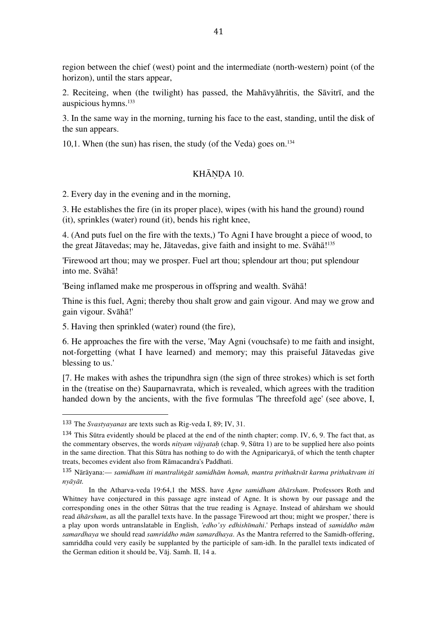region between the chief (west) point and the intermediate (north-western) point (of the horizon), until the stars appear,

2. Reciteing, when (the twilight) has passed, the Mahāvyāhritis, the Sāvitrī, and the auspicious hymns. 133

3. In the same way in the morning, turning his face to the east, standing, until the disk of the sun appears.

10,1. When (the sun) has risen, the study (of the Veda) goes on. 134

## KHĀNDA 10.

2. Every day in the evening and in the morning,

3. He establishes the fire (in its proper place), wipes (with his hand the ground) round (it), sprinkles (water) round (it), bends his right knee,

4. (And puts fuel on the fire with the texts,) 'To Agni I have brought a piece of wood, to the great Jātavedas; may he, Jātavedas, give faith and insight to me. Svāhā! 135

'Firewood art thou; may we prosper. Fuel art thou; splendour art thou; put splendour into me. Svāhā!

'Being inflamed make me prosperous in offspring and wealth. Svāhā!

Thine is this fuel, Agni; thereby thou shalt grow and gain vigour. And may we grow and gain vigour. Svāhā!'

5. Having then sprinkled (water) round (the fire),

6. He approaches the fire with the verse, 'May Agni (vouchsafe) to me faith and insight, not-forgetting (what I have learned) and memory; may this praiseful Jātavedas give blessing to us.'

[7. He makes with ashes the tripundhra sign (the sign of three strokes) which is set forth in the (treatise on the) Sauparnavrata, which is revealed, which agrees with the tradition handed down by the ancients, with the five formulas 'The threefold age' (see above, I,

<sup>133</sup> The *Svastyayanas* are texts such as Rig-veda I, 89; IV, 31.

<sup>134</sup> This Sūtra evidently should be placed at the end of the ninth chapter; comp. IV, 6, 9. The fact that, as the commentary observes, the words *nityam vājyataḥ* (chap. 9, Sūtra 1) are to be supplied here also points in the same direction. That this Sūtra has nothing to do with the Agniparicaryā, of which the tenth chapter treats, becomes evident also from Rāmacandra's Paddhati.

<sup>135</sup> Nārāyana:— *samidham iti mantraliṅgāt samidhām homah, mantra prithaktvāt karma prithaktvam iti nyāyāt.*

In the Atharva-veda 19:64,1 the MSS. have *Agne samidham āhārsham*. Professors Roth and Whitney have conjectured in this passage agre instead of Agne. It is shown by our passage and the corresponding ones in the other Sūtras that the true reading is Agnaye. Instead of ahārsham we should read *āhārsham*, as all the parallel texts have. In the passage 'Firewood art thou; might we prosper,' there is a play upon words untranslatable in English, *'edho'sy edhishīmahi*.' Perhaps instead of *samiddho mām samardhaya* we should read *samriddho mām samardhaya*. As the Mantra referred to the Samidh-offering, samriddha could very easily be supplanted by the participle of sam-idh. In the parallel texts indicated of the German edition it should be, Vāj. Samh. II, 14 a.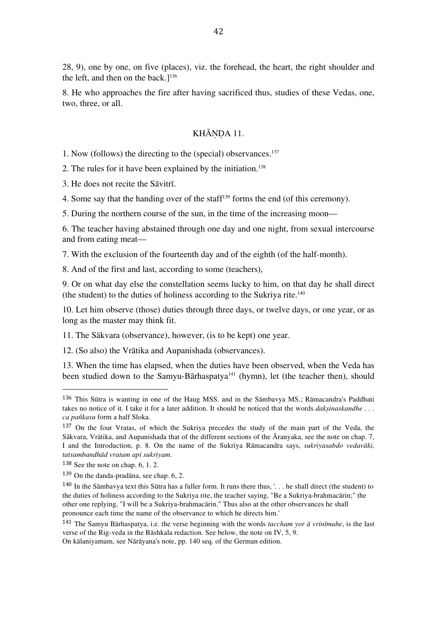28, 9), one by one, on five (places), viz. the forehead, the heart, the right shoulder and the left, and then on the back.] 136

8. He who approaches the fire after having sacrificed thus, studies of these Vedas, one, two, three, or all.

#### KHĀNDA 11.

1. Now (follows) the directing to the (special) observances. 137

2. The rules for it have been explained by the initiation. 138

3. He does not recite the Sāvitrī.

4. Some say that the handing over of the staff 139 forms the end (of this ceremony).

5. During the northern course of the sun, in the time of the increasing moon—

6. The teacher having abstained through one day and one night, from sexual intercourse and from eating meat—

7. With the exclusion of the fourteenth day and of the eighth (of the half-month).

8. And of the first and last, according to some (teachers),

9. Or on what day else the constellation seems lucky to him, on that day he shall direct (the student) to the duties of holiness according to the Sukriya rite. 140

10. Let him observe (those) duties through three days, or twelve days, or one year, or as long as the master may think fit.

11. The Sākvara (observance), however, (is to be kept) one year.

12. (So also) the Vrātika and Aupanishada (observances).

13. When the time has elapsed, when the duties have been observed, when the Veda has been studied down to the Samyu-Bārhaspatya<sup>141</sup> (hymn), let (the teacher then), should

 

On kālaniyamam, see Nārāyana's note, pp. 140 seq. of the German edition.

<sup>136</sup> This Sūtra is wanting in one of the Haug MSS. and in the Sāmbavya MS.; Rāmacandra's Paddhati takes no notice of it. I take it for a later addition. It should be noticed that the words *dakṣinaskandhe . . . ca pañkasu* form a half Sloka.

<sup>137</sup> On the four Vratas, of which the Sukriya precedes the study of the main part of the Veda, the Sākvara, Vrātika, and Aupanishada that of the different sections of the Āranyaka, see the note on chap. 7, I and the Introduction, p. 8. On the name of the Sukriya Rāmacandra says, *sukriyasabdo vedavāki, tatsambandhād vratam api sukriyam.*

<sup>138</sup> See the note on chap. 6, 1. 2.

<sup>139</sup> On the danda-pradāna, see chap. 6, 2.

<sup>&</sup>lt;sup>140</sup> In the Sāmbavya text this Sūtra has a fuller form. It runs there thus, '... he shall direct (the student) to the duties of holiness according to the Sukriya rite, the teacher saying, "Be a Sukriya-brahmacārin;" the other one replying, "I will be a Sukriya-brahmacārin." Thus also at the other observances he shall pronounce each time the name of the observance to which he directs him.'

<sup>141</sup> The Samyu Bārhaspatya, i.e. the verse beginning with the words *taccham yor ā vrinīmahe*, is the last verse of the Rig-veda in the Bāshkala redaction. See below, the note on IV, 5, 9.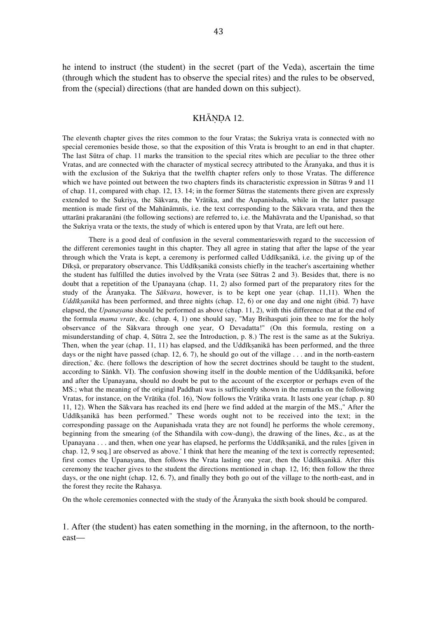he intend to instruct (the student) in the secret (part of the Veda), ascertain the time (through which the student has to observe the special rites) and the rules to be observed, from the (special) directions (that are handed down on this subject).

#### KHĀNDA 12.

The eleventh chapter gives the rites common to the four Vratas; the Sukriya vrata is connected with no special ceremonies beside those, so that the exposition of this Vrata is brought to an end in that chapter. The last Sūtra of chap. 11 marks the transition to the special rites which are peculiar to the three other Vratas, and are connected with the character of mystical secrecy attributed to the Āranyaka, and thus it is with the exclusion of the Sukriya that the twelfth chapter refers only to those Vratas. The difference which we have pointed out between the two chapters finds its characteristic expression in Sūtras 9 and 11 of chap. 11, compared with chap. 12, 13. 14; in the former Sūtras the statements there given are expressly extended to the Sukriya, the Sākvara, the Vrātika, and the Aupanishada, while in the latter passage mention is made first of the Mahānāmnīs, i.e. the text corresponding to the Sākvara vrata, and then the uttarāni prakaranāni (the following sections) are referred to, i.e. the Mahāvrata and the Upanishad, so that the Sukriya vrata or the texts, the study of which is entered upon by that Vrata, are left out here.

There is a good deal of confusion in the several commentarieswith regard to the succession of the different ceremonies taught in this chapter. They all agree in stating that after the lapse of the year through which the Vrata is kept, a ceremony is performed called Uddīkṣanikā, i.e. the giving up of the Dīksā, or preparatory observance. This Uddīksanikā consists chiefly in the teacher's ascertaining whether the student has fulfilled the duties involved by the Vrata (see Sūtras 2 and 3). Besides that, there is no doubt that a repetition of the Upanayana (chap. 11, 2) also formed part of the preparatory rites for the study of the Āranyaka. The *Sākvara*, however, is to be kept one year (chap. 11,11). When the *Uddīkṣanikā* has been performed, and three nights (chap. 12, 6) or one day and one night (ibid. 7) have elapsed, the *Upanayana* should be performed as above (chap. 11, 2), with this difference that at the end of the formula *mama vrate*, &c. (chap. 4, 1) one should say, "May Brihaspati join thee to me for the holy observance of the Sākvara through one year, O Devadatta!" (On this formula, resting on a misunderstanding of chap. 4, Sūtra 2, see the Introduction, p. 8.) The rest is the same as at the Sukriya. Then, when the year (chap. 11, 11) has elapsed, and the Uddīksanikā has been performed, and the three days or the night have passed (chap. 12, 6. 7), he should go out of the village . . . and in the north-eastern direction,' &c. (here follows the description of how the secret doctrines should be taught to the student, according to Sāṅkh. VI). The confusion showing itself in the double mention of the Uddīksanikā, before and after the Upanayana, should no doubt be put to the account of the excerptor or perhaps even of the MS.; what the meaning of the original Paddhati was is sufficiently shown in the remarks on the following Vratas, for instance, on the Vrātika (fol. 16), 'Now follows the Vrātika vrata. It lasts one year (chap. p. 80 11, 12). When the Sākvara has reached its end [here we find added at the margin of the MS.," After the Uddīkṣanikā has been performed." These words ought not to be received into the text; in the corresponding passage on the Aupanishada vrata they are not found] he performs the whole ceremony, beginning from the smearing (of the Sthandila with cow-dung), the drawing of the lines, &c., as at the Upanayana . . . and then, when one year has elapsed, he performs the Uddīkṣanikā, and the rules [given in chap. 12, 9 seq.] are observed as above.' I think that here the meaning of the text is correctly represented; first comes the Upanayana, then follows the Vrata lasting one year, then the Uddīksanikā. After this ceremony the teacher gives to the student the directions mentioned in chap. 12, 16; then follow the three days, or the one night (chap. 12, 6. 7), and finally they both go out of the village to the north-east, and in the forest they recite the Rahasya.

On the whole ceremonies connected with the study of the Āranyaka the sixth book should be compared.

1. After (the student) has eaten something in the morning, in the afternoon, to the northeast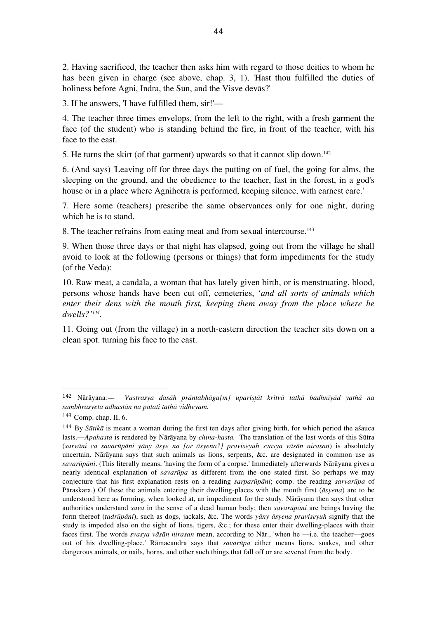2. Having sacrificed, the teacher then asks him with regard to those deities to whom he has been given in charge (see above, chap. 3, 1), 'Hast thou fulfilled the duties of holiness before Agni, Indra, the Sun, and the Visve devās?'

3. If he answers, 'I have fulfilled them, sir!'—

4. The teacher three times envelops, from the left to the right, with a fresh garment the face (of the student) who is standing behind the fire, in front of the teacher, with his face to the east.

5. He turns the skirt (of that garment) upwards so that it cannot slip down. 142

6. (And says) 'Leaving off for three days the putting on of fuel, the going for alms, the sleeping on the ground, and the obedience to the teacher, fast in the forest, in a god's house or in a place where Agnihotra is performed, keeping silence, with earnest care.'

7. Here some (teachers) prescribe the same observances only for one night, during which he is to stand.

8. The teacher refrains from eating meat and from sexual intercourse. 143

9. When those three days or that night has elapsed, going out from the village he shall avoid to look at the following (persons or things) that form impediments for the study (of the Veda):

10. Raw meat, a candāla, a woman that has lately given birth, or is menstruating, blood, persons whose hands have been cut off, cemeteries, '*and all sorts of animals which enter their dens with the mouth first, keeping them away from the place where he dwells?' 144.*

11. Going out (from the village) in a north-eastern direction the teacher sits down on a clean spot. turning his face to the east.

<sup>142</sup> Nārāyana: - Vastrasya dasāh prāntabhāga[m] uparistāt kritvā tathā badhnīyād yathā na *sambhrasyeta adhastān na patati tathā vidheyam.*

<sup>143</sup> Comp. chap. II, 6.

<sup>144</sup> By *Sūtikā* is meant a woman during the first ten days after giving birth, for which period the aśauca lasts.—*Apahasta* is rendered by Nārāyana by *china-hasta.* The translation of the last words of this Sūtra (*sarvāni ca savarūpāni yāny āsye na [or āsyena?] praviseyuh svasya vāsān nirasan*) is absolutely uncertain. Nārāyana says that such animals as lions, serpents, &c. are designated in common use as *savarūpāni*. (This literally means, 'having the form of a corpse.' Immediately afterwards Nārāyana gives a nearly identical explanation of *savarūpa* as different from the one stated first. So perhaps we may conjecture that his first explanation rests on a reading *sarparūpāni*; comp. the reading *sarvarūpa* of Pāraskara.) Of these the animals entering their dwelling-places with the mouth first (*āsyena*) are to be understood here as forming, when looked at, an impediment for the study. Nārāyana then says that other authorities understand *sava* in the sense of a dead human body; then *savarūpāni* are beings having the form thereof (*tadrūpāni*), such as dogs, jackals, &c. The words *yāny āsyena praviseyuh* signify that the study is impeded also on the sight of lions, tigers, &c.; for these enter their dwelling-places with their faces first. The words *svasya vāsān nirasan* mean, according to Nār., 'when he —i.e. the teacher—goes out of his dwelling-place.' Rāmacandra says that *savarūpa* either means lions, snakes, and other dangerous animals, or nails, horns, and other such things that fall off or are severed from the body.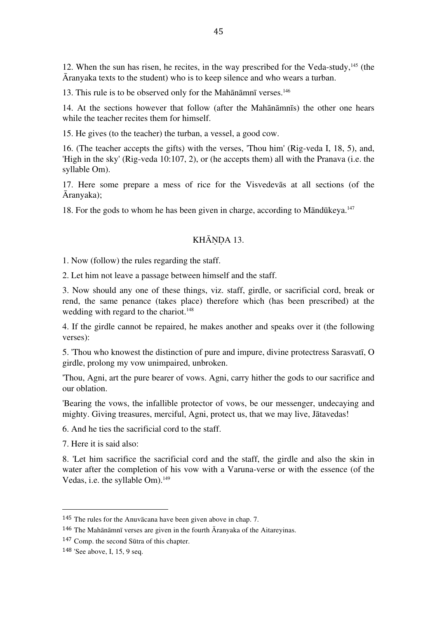12. When the sun has risen, he recites, in the way prescribed for the Veda-study, $^{145}$  (the Āranyaka texts to the student) who is to keep silence and who wears a turban.

13. This rule is to be observed only for the Mahānāmnī verses. 146

14. At the sections however that follow (after the Mahānāmnīs) the other one hears while the teacher recites them for himself.

15. He gives (to the teacher) the turban, a vessel, a good cow.

16. (The teacher accepts the gifts) with the verses, 'Thou him' (Rig-veda I, 18, 5), and, 'High in the sky' (Rig-veda 10:107, 2), or (he accepts them) all with the Pranava (i.e. the syllable Om).

17. Here some prepare a mess of rice for the Visvedevās at all sections (of the Āranyaka);

18. For the gods to whom he has been given in charge, according to Māndūkeya. 147

## KHĀNDA 13.

1. Now (follow) the rules regarding the staff.

2. Let him not leave a passage between himself and the staff.

3. Now should any one of these things, viz. staff, girdle, or sacrificial cord, break or rend, the same penance (takes place) therefore which (has been prescribed) at the wedding with regard to the chariot.<sup>148</sup>

4. If the girdle cannot be repaired, he makes another and speaks over it (the following verses):

5. 'Thou who knowest the distinction of pure and impure, divine protectress Sarasvatī, O girdle, prolong my vow unimpaired, unbroken.

'Thou, Agni, art the pure bearer of vows. Agni, carry hither the gods to our sacrifice and our oblation.

'Bearing the vows, the infallible protector of vows, be our messenger, undecaying and mighty. Giving treasures, merciful, Agni, protect us, that we may live, Jātavedas!

6. And he ties the sacrificial cord to the staff.

7. Here it is said also:

8. 'Let him sacrifice the sacrificial cord and the staff, the girdle and also the skin in water after the completion of his vow with a Varuna-verse or with the essence (of the Vedas, i.e. the syllable Om). 149

<sup>145</sup> The rules for the Anuvācana have been given above in chap. 7.

 $146$  The Mahānāmnī verses are given in the fourth  $\overline{A}$ ranyaka of the Aitarevinas.

<sup>147</sup> Comp. the second Sūtra of this chapter.

<sup>148</sup> 'See above, I, 15, 9 seq.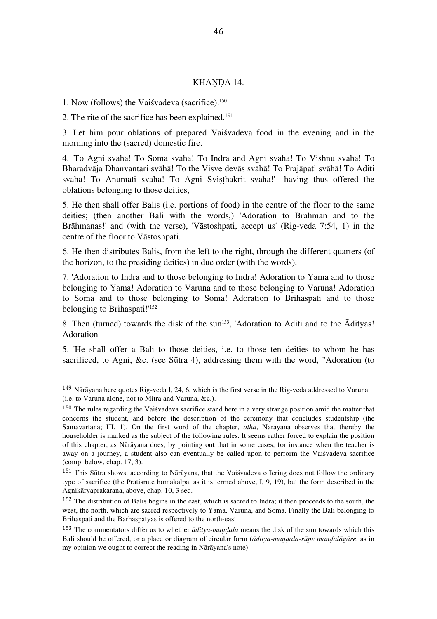#### KHĀNDA 14.

1. Now (follows) the Vaiśvadeva (sacrifice). 150

 

2. The rite of the sacrifice has been explained. 151

3. Let him pour oblations of prepared Vaiśvadeva food in the evening and in the morning into the (sacred) domestic fire.

4. 'To Agni svāhā! To Soma svāhā! To Indra and Agni svāhā! To Vishnu svāhā! To Bharadvāja Dhanvantari svāhā! To the Visve devās svāhā! To Prajāpati svāhā! To Aditi svāhā! To Anumati svāhā! To Agni Sviṣṭhakrit svāhā!'—having thus offered the oblations belonging to those deities,

5. He then shall offer Balis (i.e. portions of food) in the centre of the floor to the same deities; (then another Bali with the words,) 'Adoration to Brahman and to the Brāhmanas!' and (with the verse), 'Vāstoshpati, accept us' (Rig-veda 7:54, 1) in the centre of the floor to Vāstoshpati.

6. He then distributes Balis, from the left to the right, through the different quarters (of the horizon, to the presiding deities) in due order (with the words),

7. 'Adoration to Indra and to those belonging to Indra! Adoration to Yama and to those belonging to Yama! Adoration to Varuna and to those belonging to Varuna! Adoration to Soma and to those belonging to Soma! Adoration to Brihaspati and to those belonging to Brihaspati!' 152

8. Then (turned) towards the disk of the sun<sup>153</sup>, 'Adoration to Aditi and to the  $\bar{A}$ dityas! Adoration

5. 'He shall offer a Bali to those deities, i.e. to those ten deities to whom he has sacrificed, to Agni, &c. (see Sūtra 4), addressing them with the word, "Adoration (to

<sup>149</sup> Nārāyana here quotes Rig-veda I, 24, 6, which is the first verse in the Rig-veda addressed to Varuna (i.e. to Varuna alone, not to Mitra and Varuna, &c.).

<sup>&</sup>lt;sup>150</sup> The rules regarding the Vaiśvadeva sacrifice stand here in a very strange position amid the matter that concerns the student, and before the description of the ceremony that concludes studentship (the Samāvartana; III, 1). On the first word of the chapter, *atha*, Nārāyana observes that thereby the householder is marked as the subject of the following rules. It seems rather forced to explain the position of this chapter, as Nārāyana does, by pointing out that in some cases, for instance when the teacher is away on a journey, a student also can eventually be called upon to perform the Vaiśvadeva sacrifice (comp. below, chap. 17, 3).

<sup>151</sup> This Sūtra shows, according to Nārāyana, that the Vaiśvadeva offering does not follow the ordinary type of sacrifice (the Pratisrute homakalpa, as it is termed above, I, 9, 19), but the form described in the Agnikāryaprakarana, above, chap. 10, 3 seq.

<sup>152</sup> The distribution of Balis begins in the east, which is sacred to Indra; it then proceeds to the south, the west, the north, which are sacred respectively to Yama, Varuna, and Soma. Finally the Bali belonging to Brihaspati and the Bārhaspatyas is offered to the north-east.

<sup>&</sup>lt;sup>153</sup> The commentators differ as to whether  $\bar{a}di\bar{v}a$ -mandala means the disk of the sun towards which this Bali should be offered, or a place or diagram of circular form (*āditya-maṇḍala-rūpe maṇḍalāgāre*, as in my opinion we ought to correct the reading in Nārāyana's note).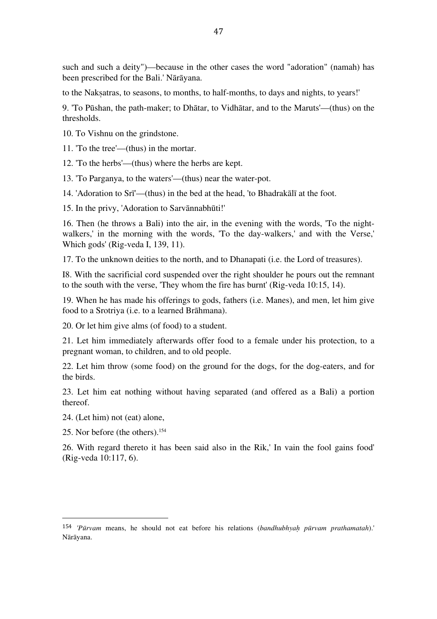such and such a deity")—because in the other cases the word "adoration" (namah) has been prescribed for the Bali.' Nārāyana.

to the Nakṣatras, to seasons, to months, to half-months, to days and nights, to years!'

9. 'To Pūshan, the path-maker; to Dhātar, to Vidhātar, and to the Maruts'—(thus) on the thresholds.

10. To Vishnu on the grindstone.

11. 'To the tree'—(thus) in the mortar.

12. 'To the herbs'—(thus) where the herbs are kept.

13. 'To Parganya, to the waters'—(thus) near the water-pot.

14. 'Adoration to Srī'—(thus) in the bed at the head, 'to Bhadrakālī at the foot.

15. In the privy, 'Adoration to Sarvānnabhūti!'

16. Then (he throws a Bali) into the air, in the evening with the words, 'To the nightwalkers,' in the morning with the words, 'To the day-walkers,' and with the Verse,' Which gods' (Rig-veda I, 139, 11).

17. To the unknown deities to the north, and to Dhanapati (i.e. the Lord of treasures).

I8. With the sacrificial cord suspended over the right shoulder he pours out the remnant to the south with the verse, 'They whom the fire has burnt' (Rig-veda 10:15, 14).

19. When he has made his offerings to gods, fathers (i.e. Manes), and men, let him give food to a Srotriya (i.e. to a learned Brāhmana).

20. Or let him give alms (of food) to a student.

21. Let him immediately afterwards offer food to a female under his protection, to a pregnant woman, to children, and to old people.

22. Let him throw (some food) on the ground for the dogs, for the dog-eaters, and for the birds.

23. Let him eat nothing without having separated (and offered as a Bali) a portion thereof.

24. (Let him) not (eat) alone,

25. Nor before (the others). 154

 

26. With regard thereto it has been said also in the Rik,' In vain the fool gains food' (Rig-veda 10:117, 6).

<sup>154</sup> *'Pūrvam* means, he should not eat before his relations (*bandhubhyaḥ pūrvam prathamatah*).' Nārāyana.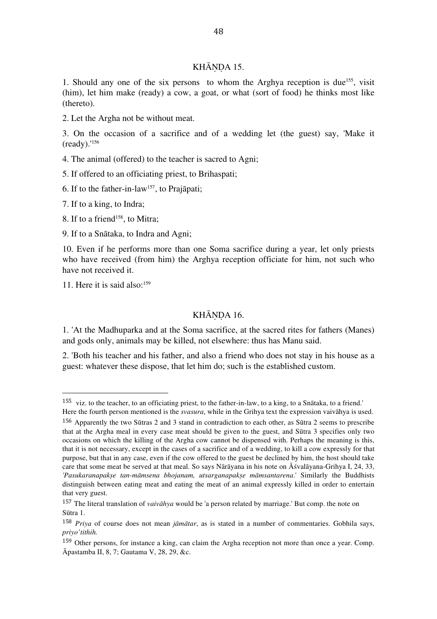## KHĀNDA 15.

1. Should any one of the six persons to whom the Arghya reception is due<sup>155</sup>, visit (him), let him make (ready) a cow, a goat, or what (sort of food) he thinks most like (thereto).

2. Let the Argha not be without meat.

3. On the occasion of a sacrifice and of a wedding let (the guest) say, 'Make it (ready).' 156

4. The animal (offered) to the teacher is sacred to Agni;

5. If offered to an officiating priest, to Brihaspati;

6. If to the father-in-law<sup>157</sup>, to Prajāpati;

7. If to a king, to Indra;

8. If to a friend<sup>158</sup>, to Mitra;

9. If to a Snātaka, to Indra and Agni;

10. Even if he performs more than one Soma sacrifice during a year, let only priests who have received (from him) the Arghya reception officiate for him, not such who have not received it.

11. Here it is said also: 159

 

#### KHĀNDA 16.

1. 'At the Madhuparka and at the Soma sacrifice, at the sacred rites for fathers (Manes) and gods only, animals may be killed, not elsewhere: thus has Manu said.

2. 'Both his teacher and his father, and also a friend who does not stay in his house as a guest: whatever these dispose, that let him do; such is the established custom.

<sup>155</sup> viz. to the teacher, to an officiating priest, to the father-in-law, to a king, to a Snātaka, to a friend.'

Here the fourth person mentioned is the *svasura*, while in the Grihya text the expression vaivāhya is used.

<sup>156</sup> Apparently the two Sūtras 2 and 3 stand in contradiction to each other, as Sūtra 2 seems to prescribe that at the Argha meal in every case meat should be given to the guest, and Sūtra 3 specifies only two occasions on which the killing of the Argha cow cannot be dispensed with. Perhaps the meaning is this, that it is not necessary, except in the cases of a sacrifice and of a wedding, to kill a cow expressly for that purpose, but that in any case, even if the cow offered to the guest be declined by him, the host should take care that some meat be served at that meal. So says Nārāyana in his note on Āśvalāyana-Grihya I, 24, 33, *'Pasukaranapakṣe tan-māmsena bhojanam, utsarganapakṣe māmsantarena*.' Similarly the Buddhists distinguish between eating meat and eating the meat of an animal expressly killed in order to entertain that very guest.

<sup>157</sup> The literal translation of *vaivāhya* would be 'a person related by marriage.' But comp. the note on Sūtra 1.

<sup>158</sup> *Priya* of course does not mean *jāmātar*, as is stated in a number of commentaries. Gobhila says, *priyo'tithih.*

<sup>159</sup> Other persons, for instance a king, can claim the Argha reception not more than once a year. Comp. Āpastamba II, 8, 7; Gautama V, 28, 29, &c.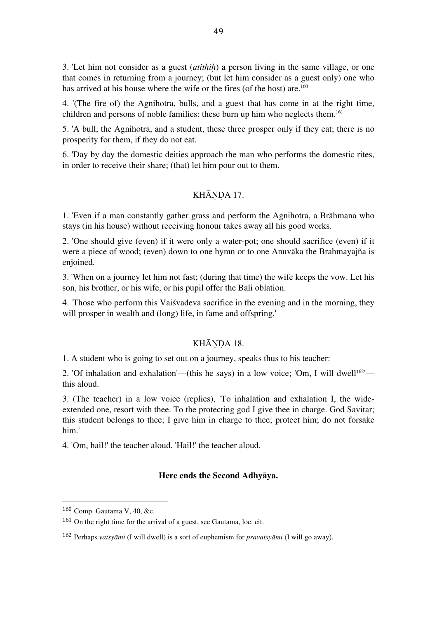3. 'Let him not consider as a guest (*atithiḥ*) a person living in the same village, or one that comes in returning from a journey; (but let him consider as a guest only) one who has arrived at his house where the wife or the fires (of the host) are.<sup>160</sup>

4. '(The fire of) the Agnihotra, bulls, and a guest that has come in at the right time, children and persons of noble families: these burn up him who neglects them. 161

5. 'A bull, the Agnihotra, and a student, these three prosper only if they eat; there is no prosperity for them, if they do not eat.

6. 'Day by day the domestic deities approach the man who performs the domestic rites, in order to receive their share; (that) let him pour out to them.

## KHĀNDA 17.

1. 'Even if a man constantly gather grass and perform the Agnihotra, a Brāhmana who stays (in his house) without receiving honour takes away all his good works.

2. 'One should give (even) if it were only a water-pot; one should sacrifice (even) if it were a piece of wood; (even) down to one hymn or to one Anuvāka the Brahmayajña is enjoined.

3. 'When on a journey let him not fast; (during that time) the wife keeps the vow. Let his son, his brother, or his wife, or his pupil offer the Bali oblation.

4. 'Those who perform this Vaiśvadeva sacrifice in the evening and in the morning, they will prosper in wealth and (long) life, in fame and offspring.'

#### KHĀNDA 18.

1. A student who is going to set out on a journey, speaks thus to his teacher:

2. 'Of inhalation and exhalation'—(this he says) in a low voice; 'Om, I will dwell<sup>162'</sup> this aloud.

3. (The teacher) in a low voice (replies), 'To inhalation and exhalation I, the wideextended one, resort with thee. To the protecting god I give thee in charge. God Savitar; this student belongs to thee; I give him in charge to thee; protect him; do not forsake him.'

4. 'Om, hail!' the teacher aloud. 'Hail!' the teacher aloud.

## **Here ends the Second Adhyāya.**

<sup>160</sup> Comp. Gautama V, 40, &c.

<sup>161</sup> On the right time for the arrival of a guest, see Gautama, loc. cit.

<sup>162</sup> Perhaps *vatsyāmi* (I will dwell) is a sort of euphemism for *pravatsyāmi* (I will go away).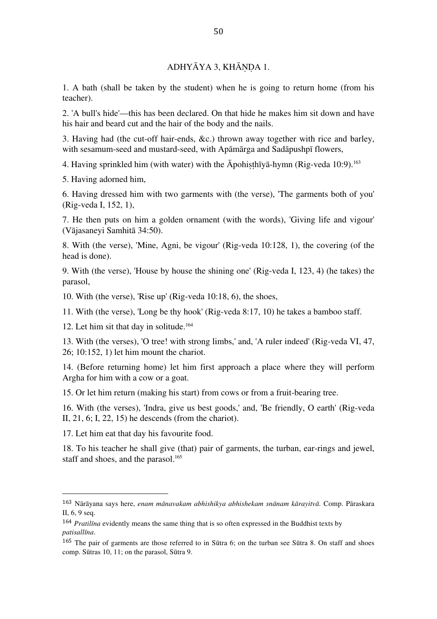# ADHYĀYA 3, KHĀNDA 1.

1. A bath (shall be taken by the student) when he is going to return home (from his teacher).

2. 'A bull's hide'—this has been declared. On that hide he makes him sit down and have his hair and beard cut and the hair of the body and the nails.

3. Having had (the cut-off hair-ends, &c.) thrown away together with rice and barley, with sesamum-seed and mustard-seed, with Apāmārga and Sadāpushpī flowers,

4. Having sprinkled him (with water) with the Āpohiṣṭhīyā-hymn (Rig-veda 10:9). 163

5. Having adorned him,

6. Having dressed him with two garments with (the verse), 'The garments both of you' (Rig-veda I, 152, 1),

7. He then puts on him a golden ornament (with the words), 'Giving life and vigour' (Vājasaneyi Samhitā 34:50).

8. With (the verse), 'Mine, Agni, be vigour' (Rig-veda 10:128, 1), the covering (of the head is done).

9. With (the verse), 'House by house the shining one' (Rig-veda I, 123, 4) (he takes) the parasol,

10. With (the verse), 'Rise up' (Rig-veda 10:18, 6), the shoes,

11. With (the verse), 'Long be thy hook' (Rig-veda 8:17, 10) he takes a bamboo staff.

12. Let him sit that day in solitude. 164

13. With (the verses), 'O tree! with strong limbs,' and, 'A ruler indeed' (Rig-veda VI, 47, 26; 10:152, 1) let him mount the chariot.

14. (Before returning home) let him first approach a place where they will perform Argha for him with a cow or a goat.

15. Or let him return (making his start) from cows or from a fruit-bearing tree.

16. With (the verses), 'Indra, give us best goods,' and, 'Be friendly, O earth' (Rig-veda II, 21, 6; I, 22, 15) he descends (from the chariot).

17. Let him eat that day his favourite food.

 

18. To his teacher he shall give (that) pair of garments, the turban, ear-rings and jewel, staff and shoes, and the parasol. 165

<sup>163</sup> Nārāyana says here, *enam mānavakam abhishikya abhishekam snānam kārayitvā.* Comp. Pāraskara II, 6, 9 seq.

<sup>164</sup> *Pratilīna* evidently means the same thing that is so often expressed in the Buddhist texts by *patisallīna*.

<sup>165</sup> The pair of garments are those referred to in Sūtra 6; on the turban see Sūtra 8. On staff and shoes comp. Sūtras 10, 11; on the parasol, Sūtra 9.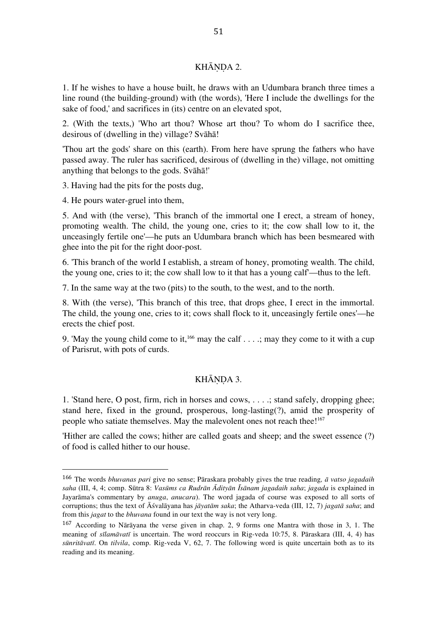## KHĀNDA 2.

1. If he wishes to have a house built, he draws with an Udumbara branch three times a line round (the building-ground) with (the words), 'Here I include the dwellings for the sake of food,' and sacrifices in (its) centre on an elevated spot,

2. (With the texts,) 'Who art thou? Whose art thou? To whom do I sacrifice thee, desirous of (dwelling in the) village? Svāhā!

'Thou art the gods' share on this (earth). From here have sprung the fathers who have passed away. The ruler has sacrificed, desirous of (dwelling in the) village, not omitting anything that belongs to the gods. Svāhā!'

3. Having had the pits for the posts dug,

4. He pours water-gruel into them,

 

5. And with (the verse), 'This branch of the immortal one I erect, a stream of honey, promoting wealth. The child, the young one, cries to it; the cow shall low to it, the unceasingly fertile one'—he puts an Udumbara branch which has been besmeared with ghee into the pit for the right door-post.

6. 'This branch of the world I establish, a stream of honey, promoting wealth. The child, the young one, cries to it; the cow shall low to it that has a young calf'—thus to the left.

7. In the same way at the two (pits) to the south, to the west, and to the north.

8. With (the verse), 'This branch of this tree, that drops ghee, I erect in the immortal. The child, the young one, cries to it; cows shall flock to it, unceasingly fertile ones'—he erects the chief post.

9. 'May the young child come to it, <sup>166</sup> may the calf  $\dots$ ; may they come to it with a cup of Parisrut, with pots of curds.

## KHĀNDA 3.

1. 'Stand here, O post, firm, rich in horses and cows, . . . .; stand safely, dropping ghee; stand here, fixed in the ground, prosperous, long-lasting(?), amid the prosperity of people who satiate themselves. May the malevolent ones not reach thee!<sup>167</sup>

'Hither are called the cows; hither are called goats and sheep; and the sweet essence (?) of food is called hither to our house.

<sup>166</sup> The words *bhuvanas pari* give no sense; Pāraskara probably gives the true reading*, ā vatso jagadaih saha* (III, 4, 4; comp. Sūtra 8: *Vasūms ca Rudrān Ādityān Īsānam jagadaih saha*; *jagada* is explained in Jayarāma's commentary by *anuga*, *anucara*). The word jagada of course was exposed to all sorts of corruptions; thus the text of Āśvalāyana has *jāyatām saka*; the Atharva-veda (III, 12, 7) *jagatā saha*; and from this *jagat* to the *bhuvana* found in our text the way is not very long.

<sup>167</sup> According to Nārāyana the verse given in chap. 2, 9 forms one Mantra with those in 3, 1. The meaning of *sīlamāvatī* is uncertain. The word reoccurs in Rig-veda 10:75, 8. Pāraskara (III, 4, 4) has *sūnritāvatī*. On *tilvila*, comp. Rig-veda V, 62, 7. The following word is quite uncertain both as to its reading and its meaning.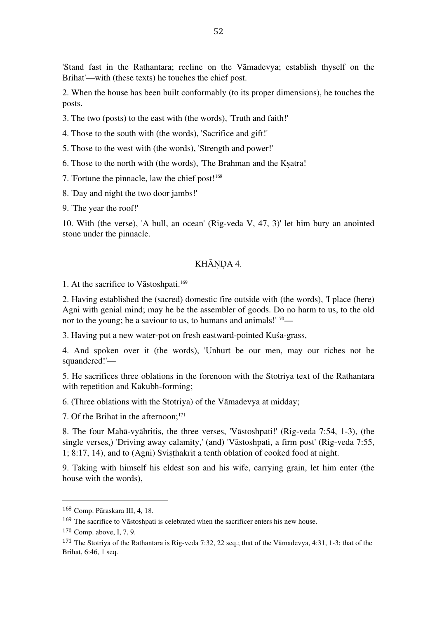'Stand fast in the Rathantara; recline on the Vāmadevya; establish thyself on the Brihat'—with (these texts) he touches the chief post.

2. When the house has been built conformably (to its proper dimensions), he touches the posts.

3. The two (posts) to the east with (the words), 'Truth and faith!'

4. Those to the south with (the words), 'Sacrifice and gift!'

5. Those to the west with (the words), 'Strength and power!'

6. Those to the north with (the words), 'The Brahman and the Kṣatra!

7. 'Fortune the pinnacle, law the chief post! 168

8. 'Day and night the two door jambs!'

9. 'The year the roof!'

10. With (the verse), 'A bull, an ocean' (Rig-veda V, 47, 3)' let him bury an anointed stone under the pinnacle.

## KHĀNDA 4.

1. At the sacrifice to Vāstoshpati. 169

2. Having established the (sacred) domestic fire outside with (the words), 'I place (here) Agni with genial mind; may he be the assembler of goods. Do no harm to us, to the old nor to the young; be a saviour to us, to humans and animals!"<sup>170</sup>—

3. Having put a new water-pot on fresh eastward-pointed Kuśa-grass,

4. And spoken over it (the words), 'Unhurt be our men, may our riches not be squandered!'—

5. He sacrifices three oblations in the forenoon with the Stotriya text of the Rathantara with repetition and Kakubh-forming;

6. (Three oblations with the Stotriya) of the Vāmadevya at midday;

7. Of the Brihat in the afternoon; 171

8. The four Mahā-vyāhritis, the three verses, 'Vāstoshpati!' (Rig-veda 7:54, 1-3), (the single verses,) 'Driving away calamity,' (and) 'Vāstoshpati, a firm post' (Rig-veda 7:55, 1; 8:17, 14), and to (Agni) Sviṣṭhakrit a tenth oblation of cooked food at night.

9. Taking with himself his eldest son and his wife, carrying grain, let him enter (the house with the words),

<sup>168</sup> Comp. Pāraskara III, 4, 18.

<sup>169</sup> The sacrifice to Vāstoshpati is celebrated when the sacrificer enters his new house.

<sup>170</sup> Comp. above, I, 7, 9.

<sup>171</sup> The Stotriya of the Rathantara is Rig-veda 7:32, 22 seq.; that of the Vāmadevya, 4:31, 1-3; that of the Brihat, 6:46, 1 seq.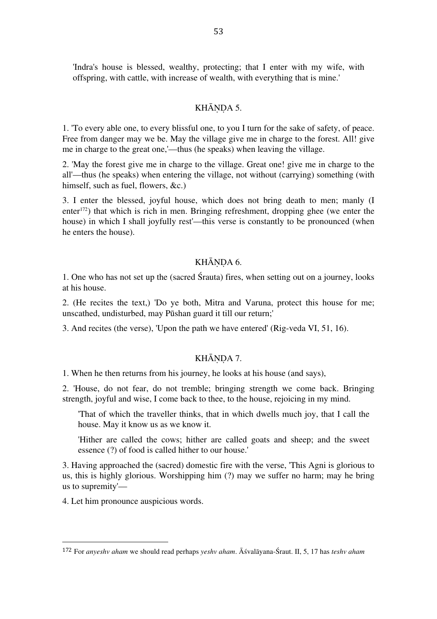'Indra's house is blessed, wealthy, protecting; that I enter with my wife, with offspring, with cattle, with increase of wealth, with everything that is mine.'

#### KHĀNDA 5.

1. 'To every able one, to every blissful one, to you I turn for the sake of safety, of peace. Free from danger may we be. May the village give me in charge to the forest. All! give me in charge to the great one,'—thus (he speaks) when leaving the village.

2. 'May the forest give me in charge to the village. Great one! give me in charge to the all'—thus (he speaks) when entering the village, not without (carrying) something (with himself, such as fuel, flowers, &c.)

3. I enter the blessed, joyful house, which does not bring death to men; manly (I enter 172) that which is rich in men. Bringing refreshment, dropping ghee (we enter the house) in which I shall joyfully rest'—this verse is constantly to be pronounced (when he enters the house).

## KHĀNDA 6.

1. One who has not set up the (sacred Śrauta) fires, when setting out on a journey, looks at his house.

2. (He recites the text,) 'Do ye both, Mitra and Varuna, protect this house for me; unscathed, undisturbed, may Pūshan guard it till our return;'

3. And recites (the verse), 'Upon the path we have entered' (Rig-veda VI, 51, 16).

#### KHĀNDA 7.

1. When he then returns from his journey, he looks at his house (and says),

2. 'House, do not fear, do not tremble; bringing strength we come back. Bringing strength, joyful and wise, I come back to thee, to the house, rejoicing in my mind.

'That of which the traveller thinks, that in which dwells much joy, that I call the house. May it know us as we know it.

'Hither are called the cows; hither are called goats and sheep; and the sweet essence (?) of food is called hither to our house.'

3. Having approached the (sacred) domestic fire with the verse, 'This Agni is glorious to us, this is highly glorious. Worshipping him (?) may we suffer no harm; may he bring us to supremity'—

4. Let him pronounce auspicious words.

<sup>172</sup> For *anyeshv aham* we should read perhaps *yeshv aham*. Āśvalāyana-Śraut. II, 5, 17 has *teshv aham*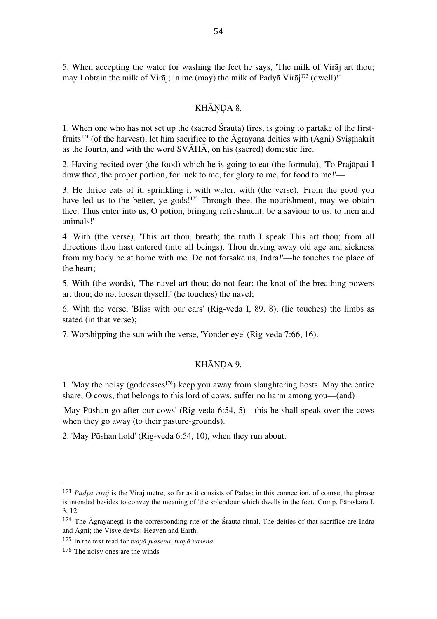5. When accepting the water for washing the feet he says, 'The milk of Virāj art thou; may I obtain the milk of Virāj; in me (may) the milk of Padyā Virāj 173 (dwell)!'

#### KHĀNDA 8.

1. When one who has not set up the (sacred Śrauta) fires, is going to partake of the firstfruits<sup>174</sup> (of the harvest), let him sacrifice to the  $\bar{A}$ grayana deities with (Agni) Svisthakrit as the fourth, and with the word  $SV\bar{A}H\bar{A}$ , on his (sacred) domestic fire.

2. Having recited over (the food) which he is going to eat (the formula), 'To Prajāpati I draw thee, the proper portion, for luck to me, for glory to me, for food to me!'—

3. He thrice eats of it, sprinkling it with water, with (the verse), 'From the good you have led us to the better, ye gods!<sup>175</sup> Through thee, the nourishment, may we obtain thee. Thus enter into us, O potion, bringing refreshment; be a saviour to us, to men and animals!'

4. With (the verse), 'This art thou, breath; the truth I speak This art thou; from all directions thou hast entered (into all beings). Thou driving away old age and sickness from my body be at home with me. Do not forsake us, Indra!'—he touches the place of the heart;

5. With (the words), 'The navel art thou; do not fear; the knot of the breathing powers art thou; do not loosen thyself,' (he touches) the navel;

6. With the verse, 'Bliss with our ears' (Rig-veda I, 89, 8), (lie touches) the limbs as stated (in that verse);

7. Worshipping the sun with the verse, 'Yonder eye' (Rig-veda 7:66, 16).

## KHĀNDA 9.

1. 'May the noisy (goddesses<sup>176</sup>) keep you away from slaughtering hosts. May the entire share, O cows, that belongs to this lord of cows, suffer no harm among you—(and)

'May Pūshan go after our cows' (Rig-veda 6:54, 5)—this he shall speak over the cows when they go away (to their pasture-grounds).

2. 'May Pūshan hold' (Rig-veda 6:54, 10), when they run about.

<sup>173</sup> *Padyā virāj* is the Virāj metre, so far as it consists of Pādas; in this connection, of course, the phrase is intended besides to convey the meaning of 'the splendour which dwells in the feet.' Comp. Pāraskara I, 3, 12

<sup>&</sup>lt;sup>174</sup> The Āgrayanesti is the corresponding rite of the Śrauta ritual. The deities of that sacrifice are Indra and Agni; the Visve devās; Heaven and Earth.

<sup>175</sup> In the text read for *tvayā jvasena*, *tvayā'vasena.*

<sup>176</sup> The noisy ones are the winds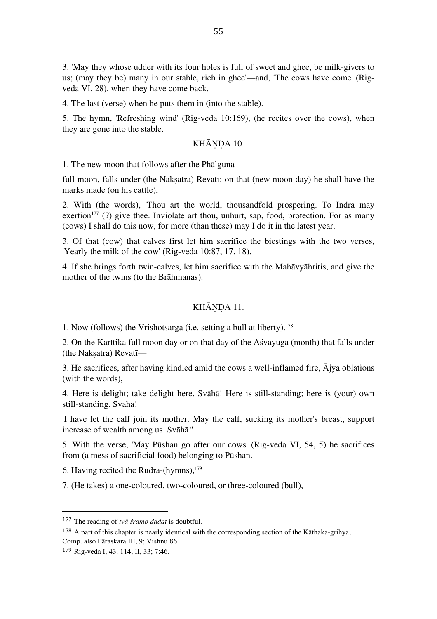3. 'May they whose udder with its four holes is full of sweet and ghee, be milk-givers to us; (may they be) many in our stable, rich in ghee'—and, 'The cows have come' (Rigveda VI, 28), when they have come back.

4. The last (verse) when he puts them in (into the stable).

5. The hymn, 'Refreshing wind' (Rig-veda 10:169), (he recites over the cows), when they are gone into the stable.

#### KHĀNDA 10.

1. The new moon that follows after the Phālguna

full moon, falls under (the Naksatra) Revatī: on that (new moon day) he shall have the marks made (on his cattle),

2. With (the words), 'Thou art the world, thousandfold prospering. To Indra may exertion<sup>177</sup> (?) give thee. Inviolate art thou, unhurt, sap, food, protection. For as many (cows) I shall do this now, for more (than these) may I do it in the latest year.'

3. Of that (cow) that calves first let him sacrifice the biestings with the two verses, 'Yearly the milk of the cow' (Rig-veda 10:87, 17. 18).

4. If she brings forth twin-calves, let him sacrifice with the Mahāvyāhritis, and give the mother of the twins (to the Brāhmanas).

## KHĀNDA 11.

1. Now (follows) the Vrishotsarga (i.e. setting a bull at liberty). 178

2. On the Kārttika full moon day or on that day of the  $\bar{A}$ śvayuga (month) that falls under (the Nakṣatra) Revatī—

3. He sacrifices, after having kindled amid the cows a well-inflamed fire, Ājya oblations (with the words),

4. Here is delight; take delight here. Svāhā! Here is still-standing; here is (your) own still-standing. Svāhā!

'I have let the calf join its mother. May the calf, sucking its mother's breast, support increase of wealth among us. Svāhā!'

5. With the verse, 'May Pūshan go after our cows' (Rig-veda VI, 54, 5) he sacrifices from (a mess of sacrificial food) belonging to Pūshan.

6. Having recited the Rudra-(hymns), 179

7. (He takes) a one-coloured, two-coloured, or three-coloured (bull),

<sup>177</sup> The reading of *tvā śramo dadat* is doubtful.

<sup>&</sup>lt;sup>178</sup> A part of this chapter is nearly identical with the corresponding section of the Kāthaka-grihya; Comp. also Pāraskara III, 9; Vishnu 86.

<sup>179</sup> Rig-veda I, 43. 114; II, 33; 7:46.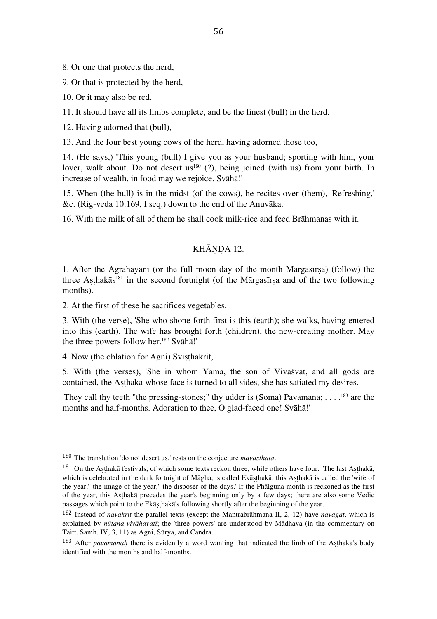8. Or one that protects the herd,

9. Or that is protected by the herd,

10. Or it may also be red.

11. It should have all its limbs complete, and be the finest (bull) in the herd.

12. Having adorned that (bull),

13. And the four best young cows of the herd, having adorned those too,

14. (He says,) 'This young (bull) I give you as your husband; sporting with him, your lover, walk about. Do not desert us<sup>180</sup> (?), being joined (with us) from your birth. In increase of wealth, in food may we rejoice. Svāhā!'

15. When (the bull) is in the midst (of the cows), he recites over (them), 'Refreshing,' &c. (Rig-veda 10:169, I seq.) down to the end of the Anuvāka.

16. With the milk of all of them he shall cook milk-rice and feed Brāhmanas with it.

## KHĀNDA 12.

1. After the Āgrahāyanī (or the full moon day of the month Mārgasīrṣa) (follow) the three Asthakās<sup>181</sup> in the second fortnight (of the Mārgasīrsa and of the two following months).

2. At the first of these he sacrifices vegetables,

3. With (the verse), 'She who shone forth first is this (earth); she walks, having entered into this (earth). The wife has brought forth (children), the new-creating mother. May the three powers follow her. 182 Svāhā!'

4. Now (the oblation for Agni) Svisthakrit,

 

5. With (the verses), 'She in whom Yama, the son of Vivaśvat, and all gods are contained, the Aṣṭhakā whose face is turned to all sides, she has satiated my desires.

'They call thy teeth "the pressing-stones;" thy udder is (Soma) Pavamāna; . . . . 183 are the months and half-months. Adoration to thee, O glad-faced one! Svāhā!'

<sup>180</sup> The translation 'do not desert us,' rests on the conjecture *māvasthāta*.

<sup>181</sup> On the Asthakā festivals, of which some texts reckon three, while others have four. The last Asthakā, which is celebrated in the dark fortnight of Māgha, is called Ekāsthakā; this Asthakā is called the 'wife of the year,' 'the image of the year,' 'the disposer of the days.' If the Phālguna month is reckoned as the first of the year, this Aṣṭhakā precedes the year's beginning only by a few days; there are also some Vedic passages which point to the Ekāsthakā's following shortly after the beginning of the year.

<sup>182</sup> Instead of *navakrit* the parallel texts (except the Mantrabrāhmana II, 2, 12) have *navagat*, which is explained by *nūtana-vivāhavatī*; the 'three powers' are understood by Mādhava (in the commentary on Taitt. Samh. IV, 3, 11) as Agni, Sūrya, and Candra.

<sup>183</sup> After *pavamānaḥ* there is evidently a word wanting that indicated the limb of the Aṣṭhakā's body identified with the months and half-months.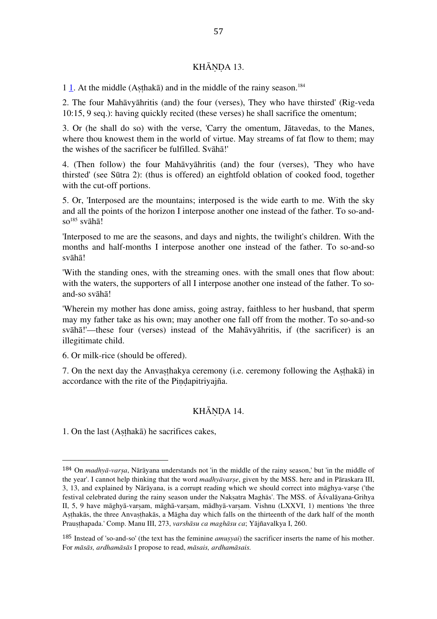## KHĀNDA 13.

1  $\underline{1}$ . At the middle (Aṣṭhakā) and in the middle of the rainy season.<sup>184</sup>

2. The four Mahāvyāhritis (and) the four (verses), They who have thirsted' (Rig-veda 10:15, 9 seq.): having quickly recited (these verses) he shall sacrifice the omentum;

3. Or (he shall do so) with the verse, 'Carry the omentum, Jātavedas, to the Manes, where thou knowest them in the world of virtue. May streams of fat flow to them; may the wishes of the sacrificer be fulfilled. Svāhā!'

4. (Then follow) the four Mahāvyāhritis (and) the four (verses), 'They who have thirsted' (see Sūtra 2): (thus is offered) an eightfold oblation of cooked food, together with the cut-off portions.

5. Or, 'Interposed are the mountains; interposed is the wide earth to me. With the sky and all the points of the horizon I interpose another one instead of the father. To so-and $so^{185}$  svāhā!

'Interposed to me are the seasons, and days and nights, the twilight's children. With the months and half-months I interpose another one instead of the father. To so-and-so svāhā!

'With the standing ones, with the streaming ones. with the small ones that flow about: with the waters, the supporters of all I interpose another one instead of the father. To soand-so svāhā!

'Wherein my mother has done amiss, going astray, faithless to her husband, that sperm may my father take as his own; may another one fall off from the mother. To so-and-so svāhā!'—these four (verses) instead of the Mahāvyāhritis, if (the sacrificer) is an illegitimate child.

6. Or milk-rice (should be offered).

7. On the next day the Anvaṣṭhakya ceremony (i.e. ceremony following the Aṣṭhakā) in accordance with the rite of the Pindapitriyajña.

## KHĀNDA 14.

1. On the last (Aṣṭhakā) he sacrifices cakes,

<sup>184</sup> On *madhyā-varṣa*, Nārāyana understands not 'in the middle of the rainy season,' but 'in the middle of the year'. I cannot help thinking that the word *madhyāvarṣe*, given by the MSS. here and in Pāraskara III, 3, 13, and explained by Nārāyana, is a corrupt reading which we should correct into māghya-varse ('the festival celebrated during the rainy season under the Nakṣatra Maghās'. The MSS. of Āśvalāyana-Grihya II, 5, 9 have māghyā-varṣam, māghā-varṣam, mādhyā-varṣam. Vishnu (LXXVI, 1) mentions 'the three Asthakās, the three Anvasthakās, a Māgha day which falls on the thirteenth of the dark half of the month Prauṣṭhapada.' Comp. Manu III, 273, *varshāsu ca maghāsu ca*; Yājñavalkya I, 260.

<sup>185</sup> Instead of 'so-and-so' (the text has the feminine *amuṣyai*) the sacrificer inserts the name of his mother. For *māsās, ardhamāsās* I propose to read, *māsais, ardhamāsais.*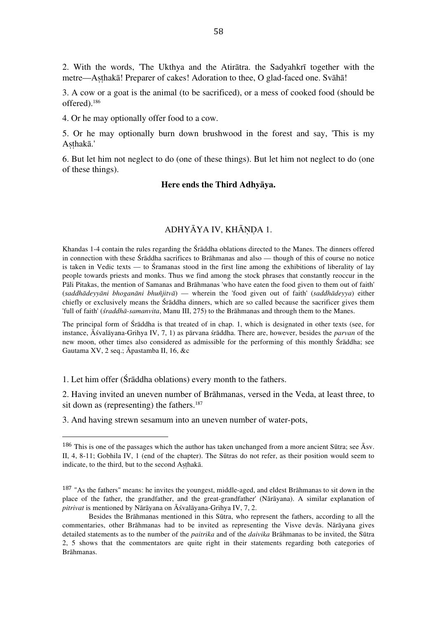2. With the words, 'The Ukthya and the Atirātra. the Sadyahkrī together with the metre—Aṣṭhakā! Preparer of cakes! Adoration to thee, O glad-faced one. Svāhā!

3. A cow or a goat is the animal (to be sacrificed), or a mess of cooked food (should be offered). 186

4. Or he may optionally offer food to a cow.

5. Or he may optionally burn down brushwood in the forest and say, 'This is my Asthakā.'

6. But let him not neglect to do (one of these things). But let him not neglect to do (one of these things).

#### **Here ends the Third Adhyāya.**

## ADHYĀYA IV, KHĀNDA 1.

Khandas 1-4 contain the rules regarding the Śrāddha oblations directed to the Manes. The dinners offered in connection with these Śrāddha sacrifices to Brāhmanas and also — though of this of course no notice is taken in Vedic texts — to Śramanas stood in the first line among the exhibitions of liberality of lay people towards priests and monks. Thus we find among the stock phrases that constantly reoccur in the Pāli Pitakas, the mention of Samanas and Brāhmanas 'who have eaten the food given to them out of faith' (*saddhādeyyāni bhoganāni bhuñjitvā*) — wherein the 'food given out of faith' (*saddhādeyya*) either chiefly or exclusively means the Śrāddha dinners, which are so called because the sacrificer gives them 'full of faith' (*śraddhā-samanvita*, Manu III, 275) to the Brāhmanas and through them to the Manes.

The principal form of Śrāddha is that treated of in chap. 1, which is designated in other texts (see, for instance, Āśvalāyana-Grihya IV, 7, 1) as pārvana śrāddha. There are, however, besides the *parvan* of the new moon, other times also considered as admissible for the performing of this monthly Śrāddha; see Gautama XV, 2 seq.; Āpastamba II, 16, &c

1. Let him offer (Śrāddha oblations) every month to the fathers.

 

2. Having invited an uneven number of Brāhmanas, versed in the Veda, at least three, to sit down as (representing) the fathers. 187

3. And having strewn sesamum into an uneven number of water-pots,

<sup>&</sup>lt;sup>186</sup> This is one of the passages which the author has taken unchanged from a more ancient Sūtra; see  $\bar{A}$ sv. II, 4, 8-11; Gobhila IV, 1 (end of the chapter). The Sūtras do not refer, as their position would seem to indicate, to the third, but to the second Asthakā.

<sup>&</sup>lt;sup>187</sup> "As the fathers" means: he invites the youngest, middle-aged, and eldest Brāhmanas to sit down in the place of the father, the grandfather, and the great-grandfather' (Nārāyana). A similar explanation of *pitrivat* is mentioned by Nārāyana on Āśvalāyana-Grihya IV, 7, 2.

Besides the Brāhmanas mentioned in this Sūtra, who represent the fathers, according to all the commentaries, other Brāhmanas had to be invited as representing the Visve devās. Nārāyana gives detailed statements as to the number of the *paitrika* and of the *daivika* Brāhmanas to be invited, the Sūtra 2, 5 shows that the commentators are quite right in their statements regarding both categories of Brāhmanas.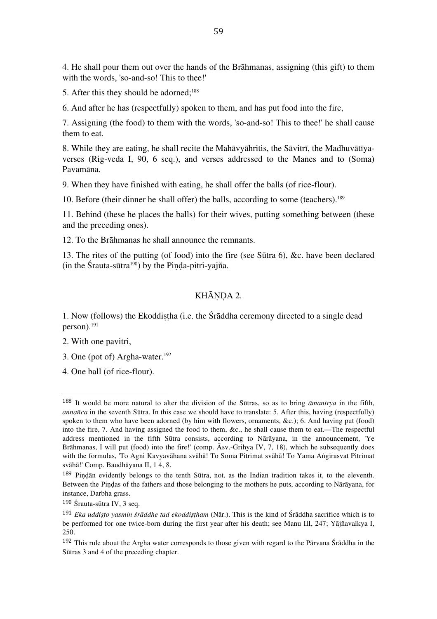4. He shall pour them out over the hands of the Brāhmanas, assigning (this gift) to them with the words, 'so-and-so! This to thee!'

5. After this they should be adorned; 188

6. And after he has (respectfully) spoken to them, and has put food into the fire,

7. Assigning (the food) to them with the words, 'so-and-so! This to thee!' he shall cause them to eat.

8. While they are eating, he shall recite the Mahāvyāhritis, the Sāvitrī, the Madhuvātīyaverses (Rig-veda I, 90, 6 seq.), and verses addressed to the Manes and to (Soma) Pavamāna.

9. When they have finished with eating, he shall offer the balls (of rice-flour).

10. Before (their dinner he shall offer) the balls, according to some (teachers). 189

11. Behind (these he places the balls) for their wives, putting something between (these and the preceding ones).

12. To the Brāhmanas he shall announce the remnants.

13. The rites of the putting (of food) into the fire (see Sūtra 6), &c. have been declared  $(in the Šrauta-sūtra<sup>190</sup>)$  by the Pinda-pitri-yajña.

# KHĀNDA 2.

1. Now (follows) the Ekoddiṣṭha (i.e. the Śrāddha ceremony directed to a single dead person). 191

2. With one pavitri,

3. One (pot of) Argha-water. 192

 

4. One ball (of rice-flour).

<sup>188</sup> It would be more natural to alter the division of the Sūtras, so as to bring *āmantrya* in the fifth, *annañca* in the seventh Sūtra. In this case we should have to translate: 5. After this, having (respectfully) spoken to them who have been adorned (by him with flowers, ornaments, &c.); 6. And having put (food) into the fire, 7. And having assigned the food to them, &c., he shall cause them to eat.—The respectful address mentioned in the fifth Sūtra consists, according to Nārāyana, in the announcement, 'Ye Brāhmanas, I will put (food) into the fire!' (comp. Asv.-Grihya IV, 7, 18), which he subsequently does with the formulas, 'To Agni Kavyavāhana svāhā! To Soma Pitrimat svāhā! To Yama Aṅgirasvat Pitrimat svāhā!' Comp. Baudhāyana II, 1 4, 8.

<sup>189</sup> Pindān evidently belongs to the tenth Sūtra, not, as the Indian tradition takes it, to the eleventh. Between the Piṇḍas of the fathers and those belonging to the mothers he puts, according to Nārāyana, for instance, Darbha grass.

<sup>190</sup> Śrauta-sūtra IV, 3 seq.

<sup>191</sup> *Eka uddiṣṭo yasmin śrāddhe tad ekoddiṣṭham* (Nār.). This is the kind of Śrāddha sacrifice which is to be performed for one twice-born during the first year after his death; see Manu III, 247; Yājñavalkya I, 250.

 $192$  This rule about the Argha water corresponds to those given with regard to the Pārvana Śrāddha in the Sūtras 3 and 4 of the preceding chapter.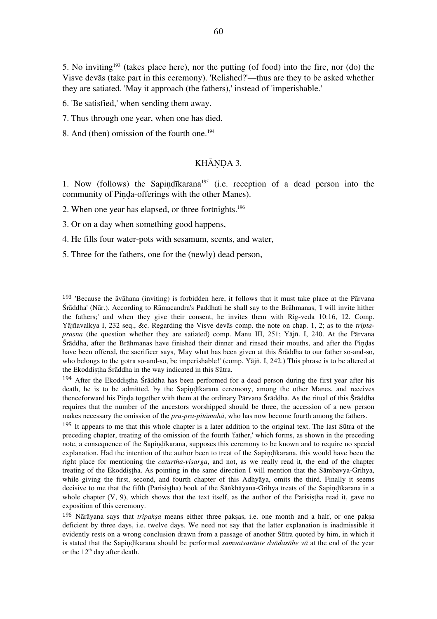5. No inviting<sup>193</sup> (takes place here), nor the putting (of food) into the fire, nor (do) the Visve devās (take part in this ceremony). 'Relished?'—thus are they to be asked whether they are satiated. 'May it approach (the fathers),' instead of 'imperishable.'

6. 'Be satisfied,' when sending them away.

7. Thus through one year, when one has died.

8. And (then) omission of the fourth one. 194

# KHĀNDA 3.

1. Now (follows) the Sapiṇḍīkarana195 (i.e. reception of a dead person into the community of Piṇḍa-offerings with the other Manes).

2. When one year has elapsed, or three fortnights. 196

3. Or on a day when something good happens,

 

4. He fills four water-pots with sesamum, scents, and water,

5. Three for the fathers, one for the (newly) dead person,

<sup>193</sup> 'Because the āvāhana (inviting) is forbidden here, it follows that it must take place at the Pārvana Śrāddha' (Nār.). According to Rāmacandra's Paddhati he shall say to the Brāhmanas, 'I will invite hither the fathers;' and when they give their consent, he invites them with Rig-veda 10:16, 12. Comp. Yājñavalkya I, 232 seq., &c. Regarding the Visve devās comp. the note on chap. 1, 2; as to the *triptaprasna* (the question whether they are satiated) comp. Manu III, 251; Yājñ. I, 240. At the Pārvana Śrāddha, after the Brāhmanas have finished their dinner and rinsed their mouths, and after the Piṇḍas have been offered, the sacrificer says, 'May what has been given at this Śrāddha to our father so-and-so, who belongs to the gotra so-and-so, be imperishable!' (comp. Yājñ. I, 242.) This phrase is to be altered at the Ekoddiṣṭha Śrāddha in the way indicated in this Sūtra.

<sup>194</sup> After the Ekoddistha Śrāddha has been performed for a dead person during the first year after his death, he is to be admitted, by the Sapindīkarana ceremony, among the other Manes, and receives thenceforward his Pinda together with them at the ordinary Pārvana Śrāddha. As the ritual of this Śrāddha requires that the number of the ancestors worshipped should be three, the accession of a new person makes necessary the omission of the *pra-pra-pitāmahā*, who has now become fourth among the fathers.

<sup>&</sup>lt;sup>195</sup> It appears to me that this whole chapter is a later addition to the original text. The last Sūtra of the preceding chapter, treating of the omission of the fourth 'father,' which forms, as shown in the preceding note, a consequence of the Sapiṇḍīkarana, supposes this ceremony to be known and to require no special explanation. Had the intention of the author been to treat of the Sapindīkarana, this would have been the right place for mentioning the *caturtha-visarga*, and not, as we really read it, the end of the chapter treating of the Ekoddistha. As pointing in the same direction I will mention that the Sāmbavya-Grihya, while giving the first, second, and fourth chapter of this Adhyaya, omits the third. Finally it seems decisive to me that the fifth (Parisistha) book of the Sāṅkhāyana-Grihya treats of the Sapindīkarana in a whole chapter  $(V, 9)$ , which shows that the text itself, as the author of the Parisistha read it, gave no exposition of this ceremony.

<sup>196</sup> Nārāyana says that *tripakṣa* means either three pakṣas, i.e. one month and a half, or one pakṣa deficient by three days, i.e. twelve days. We need not say that the latter explanation is inadmissible it evidently rests on a wrong conclusion drawn from a passage of another Sūtra quoted by him, in which it is stated that the Sapiṇḍīkarana should be performed *samvatsarānte dvādasāhe vā* at the end of the year or the  $12<sup>th</sup>$  day after death.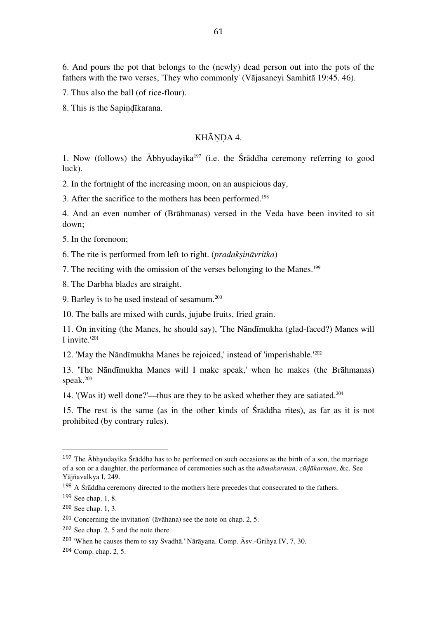6. And pours the pot that belongs to the (newly) dead person out into the pots of the fathers with the two verses, 'They who commonly' (Vājasaneyi Samhitā 19:45. 46).

7. Thus also the ball (of rice-flour).

8. This is the Sapiṇḍīkarana.

## KHĀNDA 4.

1. Now (follows) the  $\bar{A}$ bhyudayika<sup>197</sup> (i.e. the Śrāddha ceremony referring to good luck).

2. In the fortnight of the increasing moon, on an auspicious day,

3. After the sacrifice to the mothers has been performed. 198

4. And an even number of (Brāhmanas) versed in the Veda have been invited to sit down;

5. In the forenoon;

6. The rite is performed from left to right. (*pradakṣināvritka*)

7. The reciting with the omission of the verses belonging to the Manes. 199

8. The Darbha blades are straight.

9. Barley is to be used instead of sesamum. 200

10. The balls are mixed with curds, jujube fruits, fried grain.

11. On inviting (the Manes, he should say), 'The Nāndīmukha (glad-faced?) Manes will I invite.' 201

12. 'May the Nāndīmukha Manes be rejoiced,' instead of 'imperishable.' 202

13. 'The Nāndīmukha Manes will I make speak,' when he makes (the Brāhmanas) speak. 203

14. '(Was it) well done?'—thus are they to be asked whether they are satiated. 204

15. The rest is the same (as in the other kinds of Śrāddha rites), as far as it is not prohibited (by contrary rules).

<sup>&</sup>lt;sup>197</sup> The  $\bar{A}$ bhyudayika Śrāddha has to be performed on such occasions as the birth of a son, the marriage of a son or a daughter, the performance of ceremonies such as the *nāmakarman, cūḍākarman*, &c. See Yājñavalkya I, 249.

 $198$  A Śrāddha ceremony directed to the mothers here precedes that consecrated to the fathers.

<sup>199</sup> See chap. 1, 8.

<sup>200</sup> See chap. 1, 3.

<sup>201</sup> Concerning the invitation' (āvāhana) see the note on chap. 2, 5.

<sup>202</sup> See chap. 2, 5 and the note there.

<sup>203</sup> 'When he causes them to say Svadhā.' Nārāyana. Comp. Āsv.-Grihya IV, 7, 30.

<sup>204</sup> Comp. chap. 2, 5.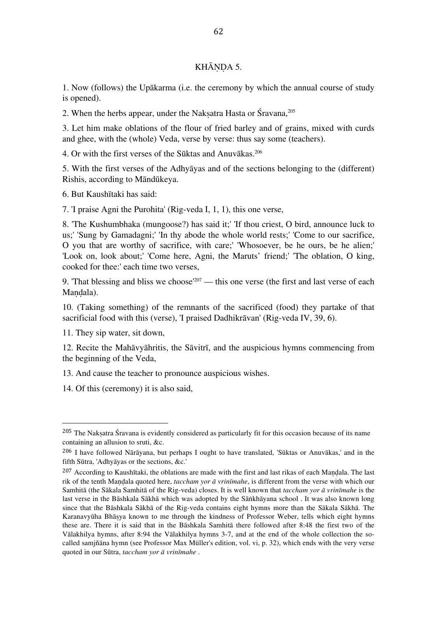## KHĀNDA 5.

1. Now (follows) the Upākarma (i.e. the ceremony by which the annual course of study is opened).

2. When the herbs appear, under the Nakṣatra Hasta or Śravana, 205

3. Let him make oblations of the flour of fried barley and of grains, mixed with curds and ghee, with the (whole) Veda, verse by verse: thus say some (teachers).

4. Or with the first verses of the Sūktas and Anuvākas. 206

5. With the first verses of the Adhyāyas and of the sections belonging to the (different) Rishis, according to Māndūkeya.

6. But Kaushītaki has said:

7. 'I praise Agni the Purohita' (Rig-veda I, 1, 1), this one verse,

8. 'The Kushumbhaka (mungoose?) has said it;' 'If thou criest, O bird, announce luck to us;' 'Sung by Gamadagni;' 'In thy abode the whole world rests;' 'Come to our sacrifice, O you that are worthy of sacrifice, with care;' 'Whosoever, be he ours, be he alien;' 'Look on, look about;' 'Come here, Agni, the Maruts' friend;' 'The oblation, O king, cooked for thee:' each time two verses,

9. That blessing and bliss we choose<sup> $207$ </sup> — this one verse (the first and last verse of each Mandala).

10. (Taking something) of the remnants of the sacrificed (food) they partake of that sacrificial food with this (verse), 'I praised Dadhikrāvan' (Rig-veda IV, 39, 6).

11. They sip water, sit down,

 

12. Recite the Mahāvyāhritis, the Sāvitrī, and the auspicious hymns commencing from the beginning of the Veda,

13. And cause the teacher to pronounce auspicious wishes.

14. Of this (ceremony) it is also said,

<sup>&</sup>lt;sup>205</sup> The Naksatra Śravana is evidently considered as particularly fit for this occasion because of its name containing an allusion to sruti, &c.

<sup>206</sup> I have followed Nārāyana, but perhaps I ought to have translated, 'Sūktas or Anuvākas,' and in the fifth Sūtra, 'Adhyāyas or the sections, &c.'

<sup>&</sup>lt;sup>207</sup> According to Kaushītaki, the oblations are made with the first and last rikas of each Mandala. The last rik of the tenth Maṇḍala quoted here, *taccham yor ā vrinīmahe*, is different from the verse with which our Samhitā (the Sākala Samhitā of the Rig-veda) closes. It is well known that *taccham yor ā vrinīmahe* is the last verse in the Bāshkala Sākhā which was adopted by the Sāṅkhāyana school . It was also known long since that the Bāshkala Sākhā of the Rig-veda contains eight hymns more than the Sākala Sākhā. The Karanavyūha Bhāṣya known to me through the kindness of Professor Weber, tells which eight hymns these are. There it is said that in the Bāshkala Samhitā there followed after 8:48 the first two of the Vālakhilya hymns, after 8:94 the Vālakhilya hymns 3-7, and at the end of the whole collection the socalled samjñāna hymn (see Professor Max Müller's edition, vol. vi, p. 32), which ends with the very verse quoted in our Sūtra, *taccham yor ā vrinīmahe* .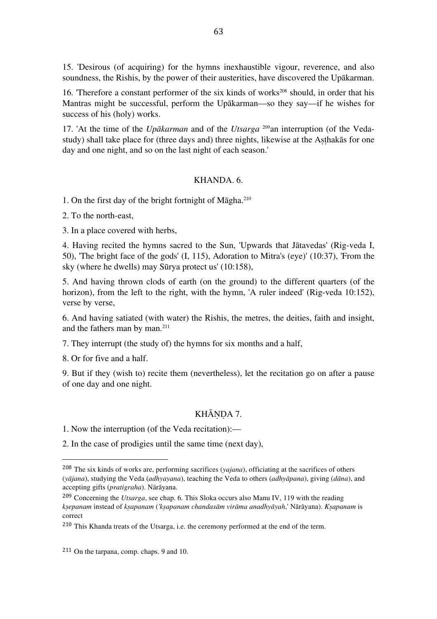15. 'Desirous (of acquiring) for the hymns inexhaustible vigour, reverence, and also soundness, the Rishis, by the power of their austerities, have discovered the Upākarman.

16. 'Therefore a constant performer of the six kinds of works<sup>208</sup> should, in order that his Mantras might be successful, perform the Upākarman—so they say—if he wishes for success of his (holy) works.

17. 'At the time of the *Upākarman* and of the *Utsarga* 209an interruption (of the Vedastudy) shall take place for (three days and) three nights, likewise at the Asthakas for one day and one night, and so on the last night of each season.'

#### KHANDA. 6.

1. On the first day of the bright fortnight of Māgha. 210

2. To the north-east,

3. In a place covered with herbs,

4. Having recited the hymns sacred to the Sun, 'Upwards that Jātavedas' (Rig-veda I, 50), 'The bright face of the gods' (I, 115), Adoration to Mitra's (eye)' (10:37), 'From the sky (where he dwells) may Sūrya protect us' (10:158),

5. And having thrown clods of earth (on the ground) to the different quarters (of the horizon), from the left to the right, with the hymn, 'A ruler indeed' (Rig-veda 10:152), verse by verse,

6. And having satiated (with water) the Rishis, the metres, the deities, faith and insight, and the fathers man by man. 211

7. They interrupt (the study of) the hymns for six months and a half,

8. Or for five and a half.

9. But if they (wish to) recite them (nevertheless), let the recitation go on after a pause of one day and one night.

#### KHĀNDA 7.

1. Now the interruption (of the Veda recitation):—

2. In the case of prodigies until the same time (next day),

<sup>208</sup> The six kinds of works are, performing sacrifices (*yajana*), officiating at the sacrifices of others (*yājana*), studying the Veda (*adhyayana*), teaching the Veda to others (*adhyāpana*), giving (*dāna*), and accepting gifts (*pratigraha*). Nārāyana.

<sup>209</sup> Concerning the *Utsarga*, see chap. 6. This Sloka occurs also Manu IV, 119 with the reading *kṣepanam* instead of *kṣapanam* (*'kṣapanam chandasām virāma anadhyāyah*,' Nārāyana). *Kṣapanam* is correct

<sup>210</sup> This Khanda treats of the Utsarga, i.e. the ceremony performed at the end of the term.

<sup>211</sup> On the tarpana, comp. chaps. 9 and 10.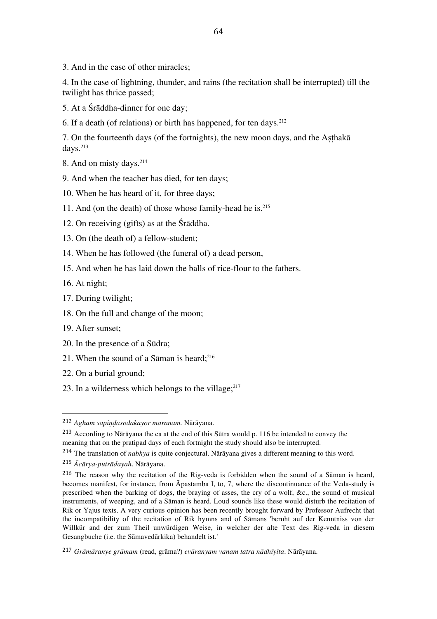3. And in the case of other miracles;

4. In the case of lightning, thunder, and rains (the recitation shall be interrupted) till the twilight has thrice passed;

- 5. At a Śrāddha-dinner for one day;
- 6. If a death (of relations) or birth has happened, for ten days. 212

7. On the fourteenth days (of the fortnights), the new moon days, and the Aṣṭhakā days. 213

8. And on misty days. 214

- 9. And when the teacher has died, for ten days;
- 10. When he has heard of it, for three days;
- 11. And (on the death) of those whose family-head he is. 215
- 12. On receiving (gifts) as at the Śrāddha.
- 13. On (the death of) a fellow-student;
- 14. When he has followed (the funeral of) a dead person,
- 15. And when he has laid down the balls of rice-flour to the fathers.
- 16. At night;
- 17. During twilight;
- 18. On the full and change of the moon;
- 19. After sunset;
- 20. In the presence of a Sūdra;

- 21. When the sound of a Sāman is heard; 216
- 22. On a burial ground;
- 23. In a wilderness which belongs to the village; $^{217}$

<sup>212</sup> *Agham sapiṇḍasodakayor maranam.* Nārāyana.

<sup>213</sup> According to Nārāyana the ca at the end of this Sūtra would p. 116 be intended to convey the meaning that on the pratipad days of each fortnight the study should also be interrupted.

<sup>214</sup> The translation of *nabhya* is quite conjectural. Nārāyana gives a different meaning to this word. <sup>215</sup> *Ācārya-putrādayah*. Nārāyana.

<sup>216</sup> The reason why the recitation of the Rig-veda is forbidden when the sound of a Sāman is heard, becomes manifest, for instance, from Āpastamba I, to, 7, where the discontinuance of the Veda-study is prescribed when the barking of dogs, the braying of asses, the cry of a wolf, &c., the sound of musical instruments, of weeping, and of a Sāman is heard. Loud sounds like these would disturb the recitation of Rik or Yajus texts. A very curious opinion has been recently brought forward by Professor Aufrecht that the incompatibility of the recitation of Rik hymns and of Sāmans 'beruht auf der Kenntniss von der Willkür and der zum Theil unwürdigen Weise, in welcher der alte Text des Rig-veda in diesem Gesangbuche (i.e. the Sāmavedārkika) behandelt ist.'

<sup>217</sup> *Grāmāranye grāmam* (read, grāma?) *evāranyam vanam tatra nādhīyīta*. Nārāyana.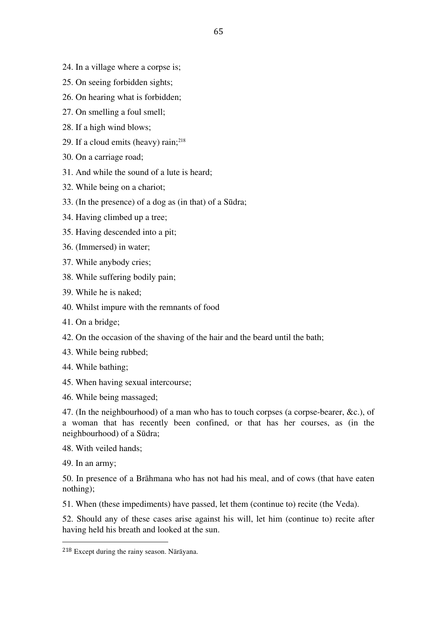- 24. In a village where a corpse is;
- 25. On seeing forbidden sights;
- 26. On hearing what is forbidden;
- 27. On smelling a foul smell;
- 28. If a high wind blows;
- 29. If a cloud emits (heavy) rain; 218
- 30. On a carriage road;
- 31. And while the sound of a lute is heard;
- 32. While being on a chariot;
- 33. (In the presence) of a dog as (in that) of a Sūdra;
- 34. Having climbed up a tree;
- 35. Having descended into a pit;
- 36. (Immersed) in water;
- 37. While anybody cries;
- 38. While suffering bodily pain;
- 39. While he is naked;
- 40. Whilst impure with the remnants of food
- 41. On a bridge;
- 42. On the occasion of the shaving of the hair and the beard until the bath;
- 43. While being rubbed;
- 44. While bathing;
- 45. When having sexual intercourse;
- 46. While being massaged;

47. (In the neighbourhood) of a man who has to touch corpses (a corpse-bearer, &c.), of a woman that has recently been confined, or that has her courses, as (in the neighbourhood) of a Sūdra;

- 48. With veiled hands;
- 49. In an army;

50. In presence of a Brāhmana who has not had his meal, and of cows (that have eaten nothing);

51. When (these impediments) have passed, let them (continue to) recite (the Veda).

52. Should any of these cases arise against his will, let him (continue to) recite after having held his breath and looked at the sun.

<sup>218</sup> Except during the rainy season. Nārāyana.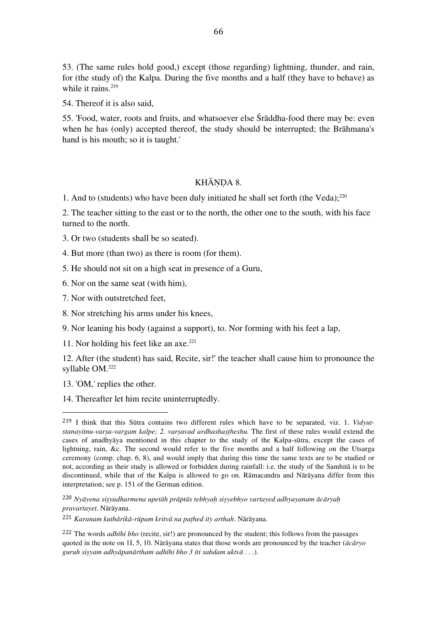53. (The same rules hold good,) except (those regarding) lightning, thunder, and rain, for (the study of) the Kalpa. During the five months and a half (they have to behave) as while it rains.<sup>219</sup>

54. Thereof it is also said,

55. 'Food, water, roots and fruits, and whatsoever else Śrāddha-food there may be: even when he has (only) accepted thereof, the study should be interrupted; the Brāhmana's hand is his mouth; so it is taught.'

## KHĀNDA 8.

1. And to (students) who have been duly initiated he shall set forth (the Veda); 220

2. The teacher sitting to the east or to the north, the other one to the south, with his face turned to the north.

3. Or two (students shall be so seated).

4. But more (than two) as there is room (for them).

5. He should not sit on a high seat in presence of a Guru,

6. Nor on the same seat (with him),

7. Nor with outstretched feet,

8. Nor stretching his arms under his knees,

9. Nor leaning his body (against a support), to. Nor forming with his feet a lap,

11. Nor holding his feet like an axe. 221

12. After (the student) has said, Recite, sir!' the teacher shall cause him to pronounce the syllable OM. 222

13. 'OM,' replies the other.

 

14. Thereafter let him recite uninterruptedly.

<sup>220</sup> Nyāyena sisyadharmena upetāh prāptās tebhyah sisyebhyo vartayed adhyayanam ācāryah *pravartayet*. Nārāyana.

<sup>221</sup> *Karanam kuthārikā-rūpam kritvā na paṭhed ity arthah*. Nārāyana.

<sup>222</sup> The words *adhīhi bho* (recite, sir!) are pronounced by the student; this follows from the passages quoted in the note on 1I, 5, 10. Nārāyana states that those words are pronounced by the teacher (*ācāryo guruh siṣyam adhyāpanārtham adhīhi bho 3 iti sabdam uktvā* . . .).

<sup>219</sup> I think that this Sūtra contains two different rules which have to be separated, viz. 1. *Vidyutstanayitnu-varṣa-vargam kalpe; 2. varṣavad ardhashaṣṭheshu.* The first of these rules would extend the cases of anadhyāya mentioned in this chapter to the study of the Kalpa-sūtra, except the cases of lightning, rain, &c. The second would refer to the five months and a half following on the Utsarga ceremony (comp. chap. 6, 8), and would imply that during this time the same texts are to be studied or not, according as their study is allowed or forbidden during rainfall: i.e. the study of the Samhitā is to be discontinued, while that of the Kalpa is allowed to go on. Rāmacandra and Nārāyana differ from this interpretation; see p. 151 of the German edition.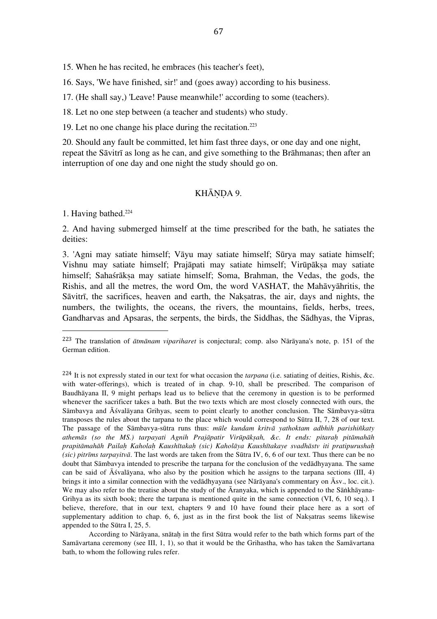15. When he has recited, he embraces (his teacher's feet),

16. Says, 'We have finished, sir!' and (goes away) according to his business.

17. (He shall say,) 'Leave! Pause meanwhile!' according to some (teachers).

18. Let no one step between (a teacher and students) who study.

19. Let no one change his place during the recitation. 223

20. Should any fault be committed, let him fast three days, or one day and one night, repeat the Sāvitrī as long as he can, and give something to the Brāhmanas; then after an interruption of one day and one night the study should go on.

# KHĀNDA 9.

1. Having bathed. 224

 

2. And having submerged himself at the time prescribed for the bath, he satiates the deities:

3. 'Agni may satiate himself; Vāyu may satiate himself; Sūrya may satiate himself; Vishnu may satiate himself; Prajāpati may satiate himself; Virūpāksa may satiate himself; Sahaśrāksa may satiate himself; Soma, Brahman, the Vedas, the gods, the Rishis, and all the metres, the word Om, the word VASHAT, the Mahāvyāhritis, the Sāvitrī, the sacrifices, heaven and earth, the Naksatras, the air, days and nights, the numbers, the twilights, the oceans, the rivers, the mountains, fields, herbs, trees, Gandharvas and Apsaras, the serpents, the birds, the Siddhas, the Sādhyas, the Vipras,

<sup>223</sup> The translation of *ātmānam vipariharet* is conjectural; comp. also Nārāyana's note, p. 151 of the German edition.

<sup>224</sup> It is not expressly stated in our text for what occasion the *tarpana* (i.e. satiating of deities, Rishis, &c. with water-offerings), which is treated of in chap. 9-10, shall be prescribed. The comparison of Baudhāyana II, 9 might perhaps lead us to believe that the ceremony in question is to be performed whenever the sacrificer takes a bath. But the two texts which are most closely connected with ours, the Sāmbavya and Āśvalāyana Grihyas, seem to point clearly to another conclusion. The Sāmbavya-sūtra transposes the rules about the tarpana to the place which would correspond to Sūtra II, 7, 28 of our text. The passage of the Sāmbavya-sūtra runs thus: *mūle kundam kritvā yathoktam adbhih parishiñkaty athemās (so the MS.) tarpayati Agnih Prajāpatir Virūpākṣah, &c. It ends: pitaraḥ pitāmahāh*  prapitāmahāh Pailah Kaholah Kaushītakah (sic) Kaholāya Kaushītakaye svadhāstv iti pratipurushah *(sic) pitrīms tarpayitvā*. The last words are taken from the Sūtra IV, 6, 6 of our text. Thus there can be no doubt that Sāmbavya intended to prescribe the tarpana for the conclusion of the vedādhyayana. The same can be said of  $\bar{A}$ śvalāvana, who also by the position which he assigns to the tarpana sections (III, 4) brings it into a similar connection with the vedādhyayana (see Nārāyana's commentary on Āsv., loc. cit.). We may also refer to the treatise about the study of the  $\bar{A}$ ranyaka, which is appended to the Sāṅkhāyana-Grihya as its sixth book; there the tarpana is mentioned quite in the same connection (VI, 6, 10 seq.). I believe, therefore, that in our text, chapters 9 and 10 have found their place here as a sort of supplementary addition to chap. 6, 6, just as in the first book the list of Nakṣatras seems likewise appended to the Sūtra I, 25, 5.

According to Nārāyana, snātah in the first Sūtra would refer to the bath which forms part of the Samāvartana ceremony (see III, 1, 1), so that it would be the Grihastha, who has taken the Samāvartana bath, to whom the following rules refer.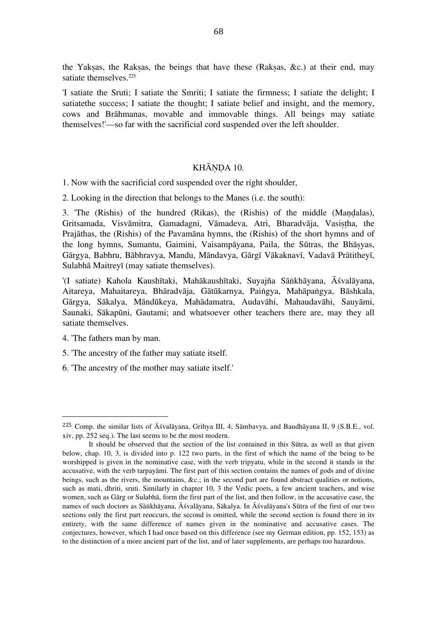the Yaksas, the Raksas, the beings that have these (Raksas, &c.) at their end, may satiate themselves.<sup>225</sup>

'I satiate the Sruti; I satiate the Smriti; I satiate the firmness; I satiate the delight; I satiatethe success; I satiate the thought; I satiate belief and insight, and the memory, cows and Brāhmanas, movable and immovable things. All beings may satiate themselves!'—so far with the sacrificial cord suspended over the left shoulder.

### KHĀŅDA 10.

1. Now with the sacrificial cord suspended over the right shoulder,

2. Looking in the direction that belongs to the Manes (i.e. the south):

3. 'The (Rishis) of the hundred (Rikas), the (Rishis) of the middle (Mandalas), Gritsamada, Visvāmitra, Gamadagni, Vāmadeva, Atri, Bharadvāja, Vasistha, the Prajāthas, the (Rishis) of the Pavamāna hymns, the (Rishis) of the short hymns and of the long hymns, Sumantu, Gaimini, Vaisampāyana, Paila, the Sūtras, the Bhāṣyas, Gārgya, Babhru, Bābhravya, Mandu, Māndavya, Gārgī Vākaknavī, Vadavā Prātitheyī, Sulabhā Maitreyī (may satiate themselves).

'(I satiate) Kahola Kaushītaki, Mahākaushītaki, Suyajña Sāṅkhāyana, Āśvalāyana, Aitareya, Mahaitareya, Bhāradvāja, Gātūkarnya, Paiṅgya, Mahāpaṅgya, Bāshkala, Gārgya, Sākalya, Māndūkeya, Mahādamatra, Audavāhi, Mahaudavāhi, Sauyāmi, Saunaki, Sākapūni, Gautami; and whatsoever other teachers there are, may they all satiate themselves.

4. 'The fathers man by man.

 

5. 'The ancestry of the father may satiate itself.

6. 'The ancestry of the mother may satiate itself.'

<sup>225</sup> Comp. the similar lists of Āśvalāyana, Grihya III, 4; Sāmbavya, and Baudhāyana II, 9 (S.B.E., vol. xiv, pp. 252 seq.). The last seems to be the most modern.

It should be observed that the section of the list contained in this Sūtra, as well as that given below, chap. 10, 3, is divided into p. 122 two parts, in the first of which the name of the being to be worshipped is given in the nominative case, with the verb tripyatu, while in the second it stands in the accusative, with the verb tarpayāmi. The first part of this section contains the names of gods and of divine beings, such as the rivers, the mountains, &c.; in the second part are found abstract qualities or notions, such as mati, dhriti, sruti. Similarly in chapter 10, 3 the Vedic poets, a few ancient teachers, and wise women, such as Gārg or Sulabhā, form the first part of the list, and then follow, in the accusative case, the names of such doctors as Sàükhāyana, Āśvalāyana, Sākalya. In Āśvalāyana's Sūtra of the first of our two sections only the first part reoccurs, the second is omitted, while the second section is found there in its entirety, with the same difference of names given in the nominative and accusative cases. The conjectures, however, which I had once based on this difference (see my German edition, pp. 152, 153) as to the distinction of a more ancient part of the list, and of later supplements, are perhaps too hazardous.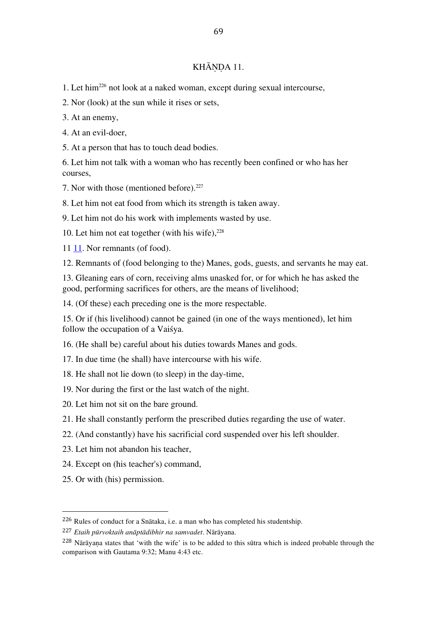## KHĀNDA 11.

1. Let him226 not look at a naked woman, except during sexual intercourse,

2. Nor (look) at the sun while it rises or sets,

3. At an enemy,

4. At an evil-doer,

5. At a person that has to touch dead bodies.

6. Let him not talk with a woman who has recently been confined or who has her courses,

7. Nor with those (mentioned before). 227

8. Let him not eat food from which its strength is taken away.

9. Let him not do his work with implements wasted by use.

10. Let him not eat together (with his wife), 228

11 11. Nor remnants (of food).

12. Remnants of (food belonging to the) Manes, gods, guests, and servants he may eat.

13. Gleaning ears of corn, receiving alms unasked for, or for which he has asked the good, performing sacrifices for others, are the means of livelihood;

14. (Of these) each preceding one is the more respectable.

15. Or if (his livelihood) cannot be gained (in one of the ways mentioned), let him follow the occupation of a Vaiśya.

16. (He shall be) careful about his duties towards Manes and gods.

17. In due time (he shall) have intercourse with his wife.

18. He shall not lie down (to sleep) in the day-time,

19. Nor during the first or the last watch of the night.

20. Let him not sit on the bare ground.

21. He shall constantly perform the prescribed duties regarding the use of water.

22. (And constantly) have his sacrificial cord suspended over his left shoulder.

23. Let him not abandon his teacher,

24. Except on (his teacher's) command,

25. Or with (his) permission.

<sup>226</sup> Rules of conduct for a Snātaka, i.e. a man who has completed his studentship.

<sup>227</sup> *Etaih pūrvoktaih anāptādibhir na samvadet*. Nārāyana.

<sup>&</sup>lt;sup>228</sup> Nārāyana states that 'with the wife' is to be added to this sūtra which is indeed probable through the comparison with Gautama 9:32; Manu 4:43 etc.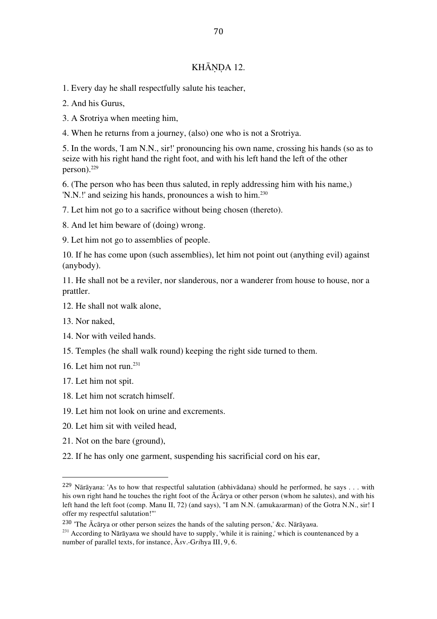# KHĀNDA 12.

1. Every day he shall respectfully salute his teacher,

2. And his Gurus,

3. A Srotriya when meeting him,

4. When he returns from a journey, (also) one who is not a Srotriya.

5. In the words, 'I am N.N., sir!' pronouncing his own name, crossing his hands (so as to seize with his right hand the right foot, and with his left hand the left of the other person). 229

6. (The person who has been thus saluted, in reply addressing him with his name,) 'N.N.!' and seizing his hands, pronounces a wish to him. 230

7. Let him not go to a sacrifice without being chosen (thereto).

8. And let him beware of (doing) wrong.

9. Let him not go to assemblies of people.

10. If he has come upon (such assemblies), let him not point out (anything evil) against (anybody).

11. He shall not be a reviler, nor slanderous, nor a wanderer from house to house, nor a prattler.

12. He shall not walk alone,

13. Nor naked,

14. Nor with veiled hands.

15. Temples (he shall walk round) keeping the right side turned to them.

16. Let him not run. 231

17. Let him not spit.

18. Let him not scratch himself.

19. Let him not look on urine and excrements.

20. Let him sit with veiled head,

21. Not on the bare (ground),

 

22. If he has only one garment, suspending his sacrificial cord on his ear,

<sup>230</sup> 'The Ācārya or other person seizes the hands of the saluting person,' &c. Nārāya*n*a.

231 According to Nārāya*n*a we should have to supply, 'while it is raining,' which is countenanced by a number of parallel texts, for instance, Ā*s*v.-G*ri*hya III, 9, 6.

<sup>229</sup> Nārāya*n*a: 'As to how that respectful salutation (abhivādana) should he performed, he says . . . with his own right hand he touches the right foot of the Ā*c*ārya or other person (whom he salutes), and with his left hand the left foot (comp. Manu II, 72) (and says), "I am N.N. (amuka*s*arman) of the Gotra N.N., sir! I offer my respectful salutation!"'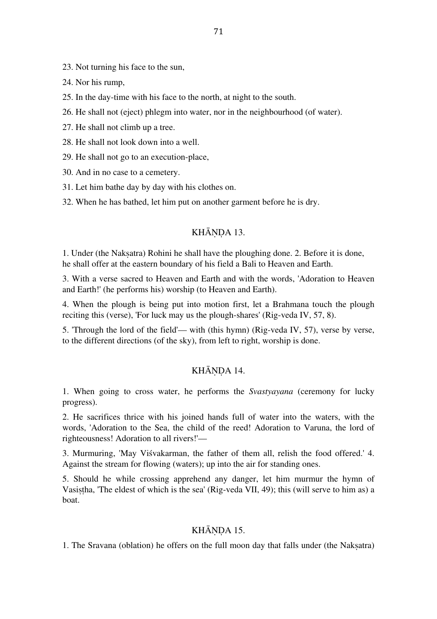23. Not turning his face to the sun,

24. Nor his rump,

25. In the day-time with his face to the north, at night to the south.

26. He shall not (eject) phlegm into water, nor in the neighbourhood (of water).

27. He shall not climb up a tree.

28. He shall not look down into a well.

29. He shall not go to an execution-place,

30. And in no case to a cemetery.

31. Let him bathe day by day with his clothes on.

32. When he has bathed, let him put on another garment before he is dry.

# KHĀNDA 13.

1. Under (the Nakṣatra) Rohini he shall have the ploughing done. 2. Before it is done, he shall offer at the eastern boundary of his field a Bali to Heaven and Earth.

3. With a verse sacred to Heaven and Earth and with the words, 'Adoration to Heaven and Earth!' (he performs his) worship (to Heaven and Earth).

4. When the plough is being put into motion first, let a Brahmana touch the plough reciting this (verse), 'For luck may us the plough-shares' (Rig-veda IV, 57, 8).

5. 'Through the lord of the field'— with (this hymn) (Rig-veda IV, 57), verse by verse, to the different directions (of the sky), from left to right, worship is done.

# KHĀNDA 14.

1. When going to cross water, he performs the *Svastyayana* (ceremony for lucky progress).

2. He sacrifices thrice with his joined hands full of water into the waters, with the words, 'Adoration to the Sea, the child of the reed! Adoration to Varuna, the lord of righteousness! Adoration to all rivers!'—

3. Murmuring, 'May Viśvakarman, the father of them all, relish the food offered.' 4. Against the stream for flowing (waters); up into the air for standing ones.

5. Should he while crossing apprehend any danger, let him murmur the hymn of Vasiṣṭha, 'The eldest of which is the sea' (Rig-veda VII, 49); this (will serve to him as) a boat.

# KHĀNDA 15.

1. The Sravana (oblation) he offers on the full moon day that falls under (the Nakṣatra)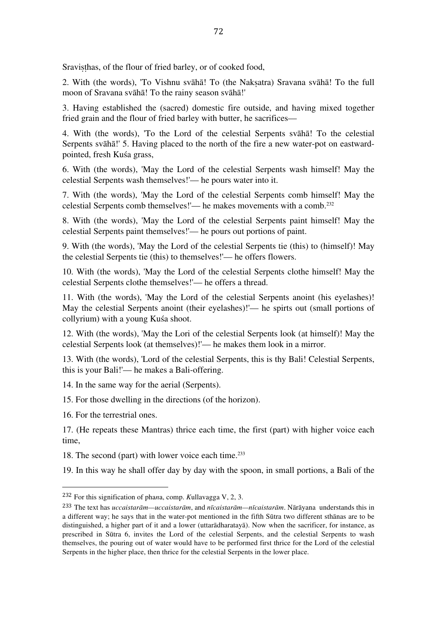Sravisthas, of the flour of fried barley, or of cooked food,

2. With (the words), 'To Vishnu svāhā! To (the Nakṣatra) Sravana svāhā! To the full moon of Sravana svāhā! To the rainy season svāhā!'

3. Having established the (sacred) domestic fire outside, and having mixed together fried grain and the flour of fried barley with butter, he sacrifices—

4. With (the words), 'To the Lord of the celestial Serpents svāhā! To the celestial Serpents svāhā!' 5. Having placed to the north of the fire a new water-pot on eastwardpointed, fresh Kuśa grass,

6. With (the words), 'May the Lord of the celestial Serpents wash himself! May the celestial Serpents wash themselves!'— he pours water into it.

7. With (the words), 'May the Lord of the celestial Serpents comb himself! May the celestial Serpents comb themselves!'— he makes movements with a comb. 232

8. With (the words), 'May the Lord of the celestial Serpents paint himself! May the celestial Serpents paint themselves!'— he pours out portions of paint.

9. With (the words), 'May the Lord of the celestial Serpents tie (this) to (himself)! May the celestial Serpents tie (this) to themselves!'— he offers flowers.

10. With (the words), 'May the Lord of the celestial Serpents clothe himself! May the celestial Serpents clothe themselves!'— he offers a thread.

11. With (the words), 'May the Lord of the celestial Serpents anoint (his eyelashes)! May the celestial Serpents anoint (their eyelashes)!'— he spirts out (small portions of collyrium) with a young Kuśa shoot.

12. With (the words), 'May the Lori of the celestial Serpents look (at himself)! May the celestial Serpents look (at themselves)!'— he makes them look in a mirror.

13. With (the words), 'Lord of the celestial Serpents, this is thy Bali! Celestial Serpents, this is your Bali!'— he makes a Bali-offering.

14. In the same way for the aerial (Serpents).

15. For those dwelling in the directions (of the horizon).

16. For the terrestrial ones.

 

17. (He repeats these Mantras) thrice each time, the first (part) with higher voice each time,

18. The second (part) with lower voice each time. 233

19. In this way he shall offer day by day with the spoon, in small portions, a Bali of the

<sup>232</sup> For this signification of pha*n*a, comp. *K*ullavagga V, 2, 3.

<sup>233</sup> The text has *uccaistarām—uccaistarām*, and *nīcaistarām—nīcaistarām*. Nārāyana understands this in a different way; he says that in the water-pot mentioned in the fifth Sūtra two different sthānas are to be distinguished, a higher part of it and a lower (uttarādharatayā). Now when the sacrificer, for instance, as prescribed in Sūtra 6, invites the Lord of the celestial Serpents, and the celestial Serpents to wash themselves, the pouring out of water would have to be performed first thrice for the Lord of the celestial Serpents in the higher place, then thrice for the celestial Serpents in the lower place.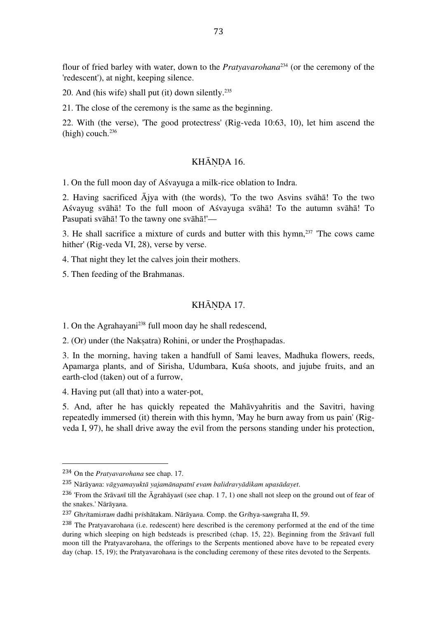flour of fried barley with water, down to the *Pratyavarohana*234 (or the ceremony of the 'redescent'), at night, keeping silence.

20. And (his wife) shall put (it) down silently. 235

21. The close of the ceremony is the same as the beginning.

22. With (the verse), 'The good protectress' (Rig-veda 10:63, 10), let him ascend the (high) couch. 236

### KHĀNDA 16.

1. On the full moon day of Aśvayuga a milk-rice oblation to Indra.

2. Having sacrificed Ājya with (the words), 'To the two Asvins svāhā! To the two Aśvayug svāhā! To the full moon of Aśvayuga svāhā! To the autumn svāhā! To Pasupati svāhā! To the tawny one svāhā!'—

3. He shall sacrifice a mixture of curds and butter with this hymn, 237 'The cows came hither' (Rig-veda VI, 28), verse by verse.

4. That night they let the calves join their mothers.

5. Then feeding of the Brahmanas.

### KHĀNDA 17.

1. On the Agrahayani 238 full moon day he shall redescend,

2. (Or) under (the Naksatra) Rohini, or under the Prosthapadas.

3. In the morning, having taken a handfull of Sami leaves, Madhuka flowers, reeds, Apamarga plants, and of Sirisha, Udumbara, Kuśa shoots, and jujube fruits, and an earth-clod (taken) out of a furrow,

4. Having put (all that) into a water-pot,

5. And, after he has quickly repeated the Mahāvyahritis and the Savitri, having repeatedly immersed (it) therein with this hymn, 'May he burn away from us pain' (Rigveda I, 97), he shall drive away the evil from the persons standing under his protection,

<sup>234</sup> On the *Pratyavarohana* see chap. 17.

<sup>235</sup> Nārāya*n*a: *vāgyamayuktā yajamānapatnī evam balidravyādikam upasādayet*.

<sup>236</sup> 'From the *S*rāva*n*ī till the Āgrahāya*n*ī (see chap. 1 7, 1) one shall not sleep on the ground out of fear of the snakes.' Nārāya*n*a.

<sup>237</sup> Gh*ri*tami*s*ra*m* dadhi p*ri*shātakam. Nārāya*n*a. Comp. the G*ri*hya-sa*m*graha II, 59.

<sup>238</sup> The Pratyavaroha*n*a (i.e. redescent) here described is the ceremony performed at the end of the time during which sleeping on high bedsteads is prescribed (chap. 15, 22). Beginning from the *S*rāva*n*ī full moon till the Pratyavaroha*n*a, the offerings to the Serpents mentioned above have to be repeated every day (chap. 15, 19); the Pratyavaroha*n*a is the concluding ceremony of these rites devoted to the Serpents.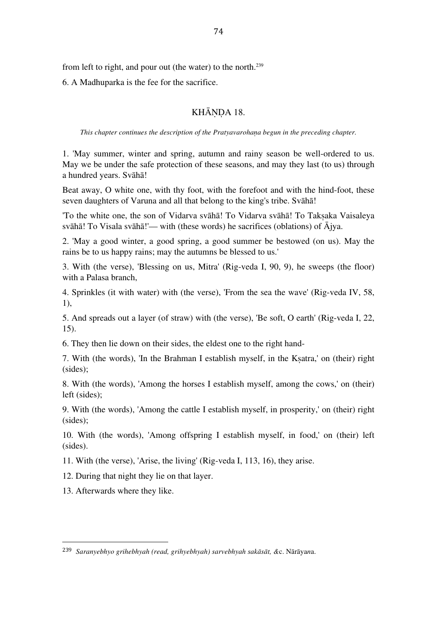from left to right, and pour out (the water) to the north. 239

6. A Madhuparka is the fee for the sacrifice.

## KHĀNDA 18.

*This chapter continues the description of the Pratyavarohaṇa begun in the preceding chapter.*

1. 'May summer, winter and spring, autumn and rainy season be well-ordered to us. May we be under the safe protection of these seasons, and may they last (to us) through a hundred years. Svāhā!

Beat away, O white one, with thy foot, with the forefoot and with the hind-foot, these seven daughters of Varuna and all that belong to the king's tribe. Svāhā!

'To the white one, the son of Vidarva svāhā! To Vidarva svāhā! To Takṣaka Vaisaleya svāhā! To Visala svāhā!'— with (these words) he sacrifices (oblations) of Ājya.

2. 'May a good winter, a good spring, a good summer be bestowed (on us). May the rains be to us happy rains; may the autumns be blessed to us.'

3. With (the verse), 'Blessing on us, Mitra' (Rig-veda I, 90, 9), he sweeps (the floor) with a Palasa branch,

4. Sprinkles (it with water) with (the verse), 'From the sea the wave' (Rig-veda IV, 58, 1),

5. And spreads out a layer (of straw) with (the verse), 'Be soft, O earth' (Rig-veda I, 22, 15).

6. They then lie down on their sides, the eldest one to the right hand-

7. With (the words), 'In the Brahman I establish myself, in the Kṣatra,' on (their) right (sides);

8. With (the words), 'Among the horses I establish myself, among the cows,' on (their) left (sides);

9. With (the words), 'Among the cattle I establish myself, in prosperity,' on (their) right (sides);

10. With (the words), 'Among offspring I establish myself, in food,' on (their) left (sides).

11. With (the verse), 'Arise, the living' (Rig-veda I, 113, 16), they arise.

12. During that night they lie on that layer.

13. Afterwards where they like.

<sup>239</sup> *Saranyebhyo grihebhyah (read, grihyebhyah) sarvebhyah sakāsāt, &*c. Nārāya*n*a.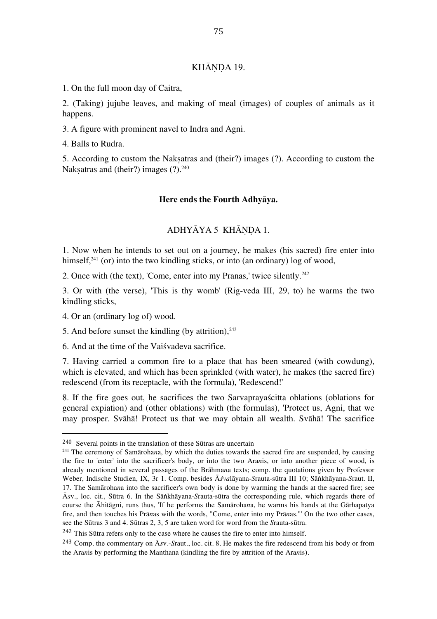### KHĀNDA 19.

1. On the full moon day of Caitra,

2. (Taking) jujube leaves, and making of meal (images) of couples of animals as it happens.

3. A figure with prominent navel to Indra and Agni.

4. Balls to Rudra.

5. According to custom the Nakṣatras and (their?) images (?). According to custom the Nakṣatras and (their?) images (?).<sup>240</sup>

#### **Here ends the Fourth Adhyāya.**

### ADHYĀYA 5 KHĀNDA 1.

1. Now when he intends to set out on a journey, he makes (his sacred) fire enter into himself,<sup>241</sup> (or) into the two kindling sticks, or into (an ordinary) log of wood,

2. Once with (the text), 'Come, enter into my Pranas,' twice silently. 242

3. Or with (the verse), 'This is thy womb' (Rig-veda III, 29, to) he warms the two kindling sticks,

4. Or an (ordinary log of) wood.

 

5. And before sunset the kindling (by attrition), 243

6. And at the time of the Vaiśvadeva sacrifice.

7. Having carried a common fire to a place that has been smeared (with cowdung), which is elevated, and which has been sprinkled (with water), he makes (the sacred fire) redescend (from its receptacle, with the formula), 'Redescend!'

8. If the fire goes out, he sacrifices the two Sarvaprayaścitta oblations (oblations for general expiation) and (other oblations) with (the formulas), 'Protect us, Agni, that we may prosper. Svāhā! Protect us that we may obtain all wealth. Svāhā! The sacrifice

<sup>240</sup> Several points in the translation of these Sūtras are uncertain

<sup>241</sup> The ceremony of Samāroha*n*a, by which the duties towards the sacred fire are suspended, by causing the fire to 'enter' into the sacrificer's body, or into the two Ara*n*is, or into another piece of wood, is already mentioned in several passages of the Brāhma*n*a texts; comp. the quotations given by Professor Weber, Indische Studien, IX, 3r 1. Comp. besides Ā*śva*lāyana-*S*rauta-sūtra III 10; Sāṅkhāyana-*S*raut. II, 17. The Samāroha*n*a into the sacrificer's own body is done by warming the hands at the sacred fire; see Ā*s*v., loc. cit., Sūtra 6. In the Sāṅkhāyana-*S*rauta-sūtra the corresponding rule, which regards there of course the Āhitāgni, runs thus, 'If he performs the Samāroha*n*a, he warms his hands at the Gārhapatya fire, and then touches his Prā*n*as with the words, "Come, enter into my Prā*n*as."' On the two other cases, see the Sūtras 3 and 4. Sūtras 2, 3, 5 are taken word for word from the *S*rauta-sūtra.

<sup>242</sup> This Sūtra refers only to the case where he causes the fire to enter into himself.

<sup>243</sup> Comp. the commentary on Ā*s*v.-*S*raut., loc. cit. 8. He makes the fire redescend from his body or from the Ara*n*is by performing the Manthana (kindling the fire by attrition of the Ara*n*is).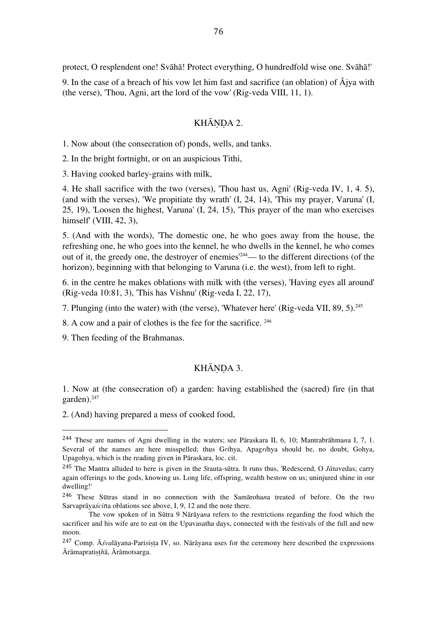protect, O resplendent one! Svāhā! Protect everything, O hundredfold wise one. Svāhā!'

9. In the case of a breach of his vow let him fast and sacrifice (an oblation) of  $\overline{A}$ jya with (the verse), 'Thou, Agni, art the lord of the vow' (Rig-veda VIII, 11, 1).

### KHĀNDA 2.

1. Now about (the consecration of) ponds, wells, and tanks.

2. In the bright fortnight, or on an auspicious Tithi,

3. Having cooked barley-grains with milk,

4. He shall sacrifice with the two (verses), 'Thou hast us, Agni' (Rig-veda IV, 1, 4. 5), (and with the verses), 'We propitiate thy wrath' (I, 24, 14), 'This my prayer, Varuna' (I, 25, 19), 'Loosen the highest, Varuna' (I, 24, 15), 'This prayer of the man who exercises himself' (VIII, 42, 3),

5. (And with the words), 'The domestic one, he who goes away from the house, the refreshing one, he who goes into the kennel, he who dwells in the kennel, he who comes out of it, the greedy one, the destroyer of enemies' 244— to the different directions (of the horizon), beginning with that belonging to Varuna (i.e. the west), from left to right.

6. in the centre he makes oblations with milk with (the verses), 'Having eyes all around' (Rig-veda 10:81, 3), 'This has Vishnu' (Rig-veda I, 22, 17),

7. Plunging (into the water) with (the verse), 'Whatever here' (Rig-veda VII, 89, 5). 245

8. A cow and a pair of clothes is the fee for the sacrifice. <sup>246</sup>

9. Then feeding of the Brahmanas.

 

### KHĀNDA 3.

1. Now at (the consecration of) a garden: having established the (sacred) fire (in that garden). 247

2. (And) having prepared a mess of cooked food,

<sup>244</sup> These are names of Agni dwelling in the waters; see Pāraskara II, 6, 10; Mantrabrāhma*n*a I, 7, 1. Several of the names are here misspelled; thus G*ri*hya, Apag*ri*hya should be, no doubt, Gohya, Upagohya, which is the reading given in Pāraskara, loc. cit.

<sup>245</sup> The Mantra alluded to here is given in the *S*rauta-sūtra. It runs thus, 'Redescend, O *Jāta*vedas; carry again offerings to the gods, knowing us. Long life, offspring, wealth bestow on us; uninjured shine in our dwelling!'

<sup>246</sup> These Sūtras stand in no connection with the Samāroha*n*a treated of before. On the two Sarvaprāya*ścit*ta oblations see above, I, 9, 12 and the note there.

The vow spoken of in Sūtra 9 Nārāya*n*a refers to the restrictions regarding the food which the sacrificer and his wife are to eat on the Upavasatha days, connected with the festivals of the full and new moon.

<sup>&</sup>lt;sup>247</sup> Comp. Ā*śvalāyana-Parisista IV*, so. Nārāyana uses for the ceremony here described the expressions Ārāmapratiṣṭ*h*ā, Ārāmotsarga.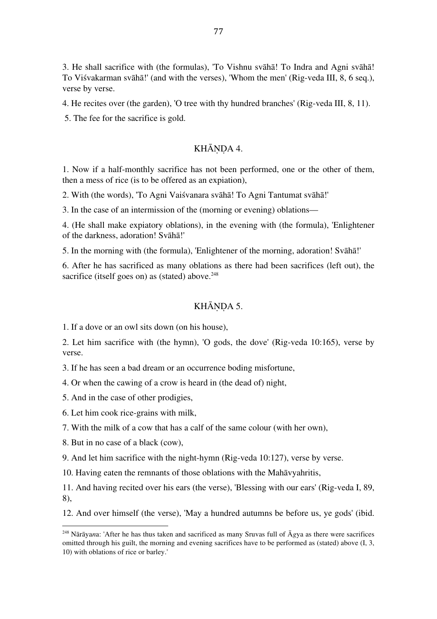3. He shall sacrifice with (the formulas), 'To Vishnu svāhā! To Indra and Agni svāhā! To Viśvakarman svāhā!' (and with the verses), 'Whom the men' (Rig-veda III, 8, 6 seq.), verse by verse.

4. He recites over (the garden), 'O tree with thy hundred branches' (Rig-veda III, 8, 11).

5. The fee for the sacrifice is gold.

### KHĀNDA 4.

1. Now if a half-monthly sacrifice has not been performed, one or the other of them, then a mess of rice (is to be offered as an expiation),

2. With (the words), 'To Agni Vaiśvanara svāhā! To Agni Tantumat svāhā!'

3. In the case of an intermission of the (morning or evening) oblations—

4. (He shall make expiatory oblations), in the evening with (the formula), 'Enlightener of the darkness, adoration! Svāhā!'

5. In the morning with (the formula), 'Enlightener of the morning, adoration! Svāhā!'

6. After he has sacrificed as many oblations as there had been sacrifices (left out), the sacrifice (itself goes on) as (stated) above.<sup>248</sup>

## KHĀNDA 5.

1. If a dove or an owl sits down (on his house),

2. Let him sacrifice with (the hymn), 'O gods, the dove' (Rig-veda 10:165), verse by verse.

3. If he has seen a bad dream or an occurrence boding misfortune,

4. Or when the cawing of a crow is heard in (the dead of) night,

5. And in the case of other prodigies,

6. Let him cook rice-grains with milk,

7. With the milk of a cow that has a calf of the same colour (with her own),

8. But in no case of a black (cow),

 

9. And let him sacrifice with the night-hymn (Rig-veda 10:127), verse by verse.

10. Having eaten the remnants of those oblations with the Mahāvyahritis,

11. And having recited over his ears (the verse), 'Blessing with our ears' (Rig-veda I, 89, 8),

12. And over himself (the verse), 'May a hundred autumns be before us, ye gods' (ibid.

<sup>248</sup> Nārāya*n*a: 'After he has thus taken and sacrificed as many Sruvas full of Ā*g*ya as there were sacrifices omitted through his guilt, the morning and evening sacrifices have to be performed as (stated) above (I, 3, 10) with oblations of rice or barley.'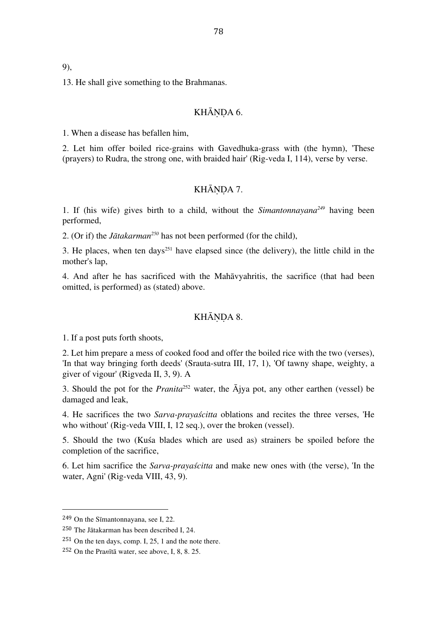9),

13. He shall give something to the Brahmanas.

#### KHĀNDA 6.

1. When a disease has befallen him,

2. Let him offer boiled rice-grains with Gavedhuka-grass with (the hymn), 'These (prayers) to Rudra, the strong one, with braided hair' (Rig-veda I, 114), verse by verse.

## KHĀNDA 7.

1. If (his wife) gives birth to a child, without the *Simantonnayana249* having been performed,

2. (Or if) the *Jātakarman250* has not been performed (for the child),

3. He places, when ten days<sup>251</sup> have elapsed since (the delivery), the little child in the mother's lap,

4. And after he has sacrificed with the Mahāvyahritis, the sacrifice (that had been omitted, is performed) as (stated) above.

#### KHĀNDA 8.

1. If a post puts forth shoots,

2. Let him prepare a mess of cooked food and offer the boiled rice with the two (verses), 'In that way bringing forth deeds' (Srauta-sutra III, 17, 1), 'Of tawny shape, weighty, a giver of vigour' (Rigveda II, 3, 9). A

3. Should the pot for the *Pranita*<sup>252</sup> water, the  $\overline{A}$ jya pot, any other earthen (vessel) be damaged and leak,

4. He sacrifices the two *Sarva-prayaścitta* oblations and recites the three verses, 'He who without' (Rig-veda VIII, I, 12 seq.), over the broken (vessel).

5. Should the two (Kuśa blades which are used as) strainers be spoiled before the completion of the sacrifice,

6. Let him sacrifice the *Sarva-prayaścitta* and make new ones with (the verse), 'In the water, Agni' (Rig-veda VIII, 43, 9).

<sup>249</sup> On the Sīmantonnayana, see I, 22.

<sup>250</sup> The Jātakarman has been described I, 24.

 $251$  On the ten days, comp. I, 25, 1 and the note there.

<sup>252</sup> On the Pra*n*ītā water, see above, I, 8, 8. 25.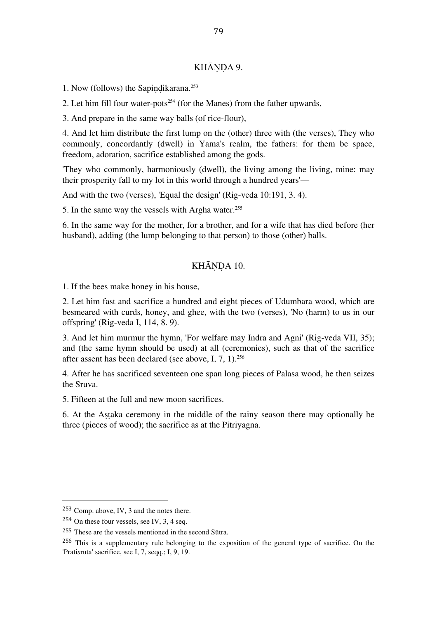## KHĀNDA 9.

1. Now (follows) the Sapiṇḍikarana. 253

2. Let him fill four water-pots<sup>254</sup> (for the Manes) from the father upwards,

3. And prepare in the same way balls (of rice-flour),

4. And let him distribute the first lump on the (other) three with (the verses), They who commonly, concordantly (dwell) in Yama's realm, the fathers: for them be space, freedom, adoration, sacrifice established among the gods.

'They who commonly, harmoniously (dwell), the living among the living, mine: may their prosperity fall to my lot in this world through a hundred years'—

And with the two (verses), 'Equal the design' (Rig-veda 10:191, 3. 4).

5. In the same way the vessels with Argha water. 255

6. In the same way for the mother, for a brother, and for a wife that has died before (her husband), adding (the lump belonging to that person) to those (other) balls.

## KHĀNDA 10.

1. If the bees make honey in his house,

2. Let him fast and sacrifice a hundred and eight pieces of Udumbara wood, which are besmeared with curds, honey, and ghee, with the two (verses), 'No (harm) to us in our offspring' (Rig-veda I, 114, 8. 9).

3. And let him murmur the hymn, 'For welfare may Indra and Agni' (Rig-veda VII, 35); and (the same hymn should be used) at all (ceremonies), such as that of the sacrifice after assent has been declared (see above, I, 7, 1). 256

4. After he has sacrificed seventeen one span long pieces of Palasa wood, he then seizes the Sruva.

5. Fifteen at the full and new moon sacrifices.

6. At the Aṣṭaka ceremony in the middle of the rainy season there may optionally be three (pieces of wood); the sacrifice as at the Pitriyagna.

<sup>253</sup> Comp. above, IV, 3 and the notes there.

<sup>254</sup> On these four vessels, see IV, 3, 4 seq.

<sup>255</sup> These are the vessels mentioned in the second Sūtra.

<sup>256</sup> This is a supplementary rule belonging to the exposition of the general type of sacrifice. On the 'Prati*s*ruta' sacrifice, see I, 7, seqq.; I, 9, 19.